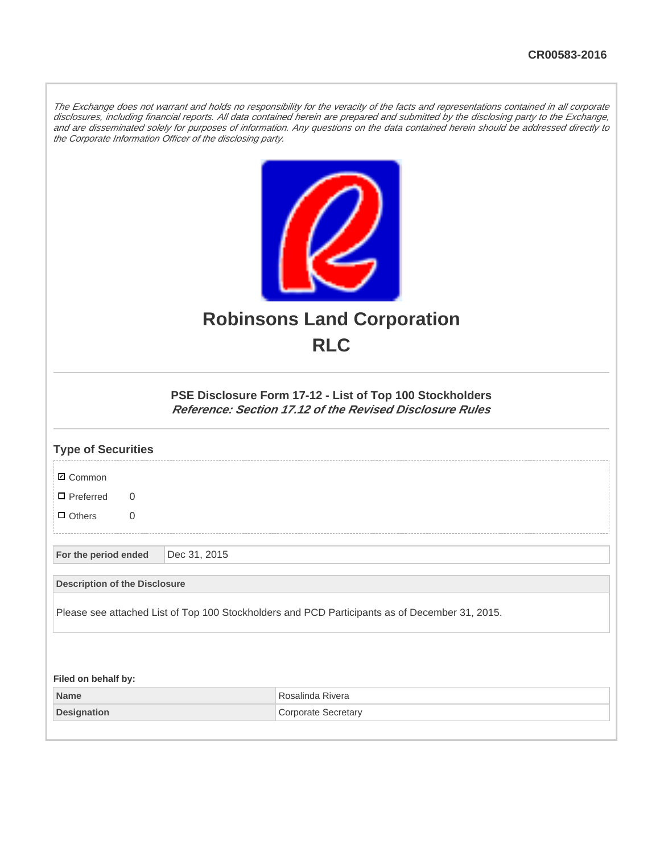The Exchange does not warrant and holds no responsibility for the veracity of the facts and representations contained in all corporate disclosures, including financial reports. All data contained herein are prepared and submitted by the disclosing party to the Exchange, and are disseminated solely for purposes of information. Any questions on the data contained herein should be addressed directly to the Corporate Information Officer of the disclosing party.



## **Robinsons Land Corporation RLC**

## **PSE Disclosure Form 17-12 - List of Top 100 Stockholders Reference: Section 17.12 of the Revised Disclosure Rules**

| <b>Type of Securities</b>            |              |                                                                                                |
|--------------------------------------|--------------|------------------------------------------------------------------------------------------------|
| <b>Ø</b> Common                      |              |                                                                                                |
| $\Box$ Preferred<br>$\Omega$         |              |                                                                                                |
| $\Box$ Others<br>$\overline{0}$      |              |                                                                                                |
| For the period ended                 | Dec 31, 2015 |                                                                                                |
| <b>Description of the Disclosure</b> |              |                                                                                                |
|                                      |              | Please see attached List of Top 100 Stockholders and PCD Participants as of December 31, 2015. |
|                                      |              |                                                                                                |
| Filed on behalf by:                  |              |                                                                                                |
| <b>Name</b>                          |              | Rosalinda Rivera                                                                               |
| <b>Designation</b>                   |              | <b>Corporate Secretary</b>                                                                     |
|                                      |              |                                                                                                |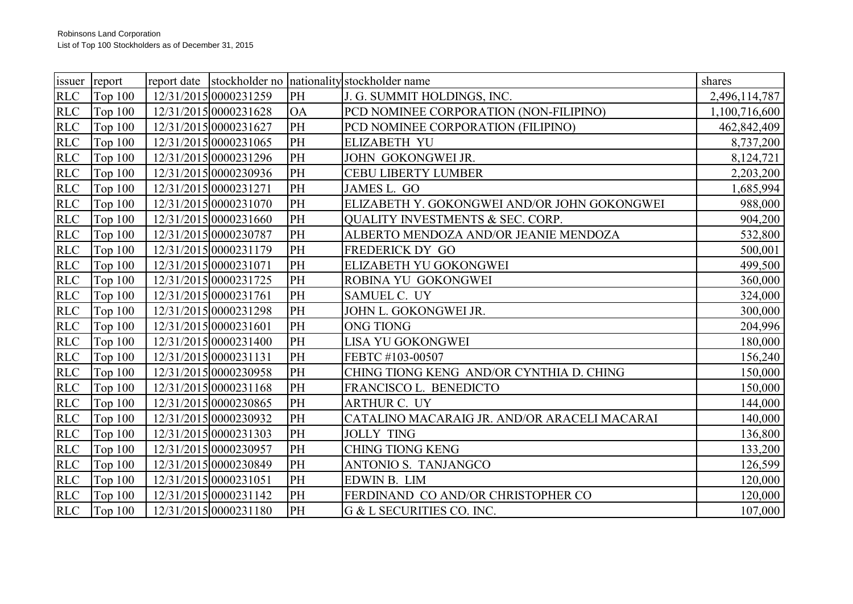|            | issuer report  |                       |           | report date Stockholder no nationality stockholder name | shares        |  |
|------------|----------------|-----------------------|-----------|---------------------------------------------------------|---------------|--|
| <b>RLC</b> | Top $100$      | 12/31/2015 0000231259 | PH        | J. G. SUMMIT HOLDINGS, INC.                             | 2,496,114,787 |  |
| <b>RLC</b> | <b>Top 100</b> | 12/31/2015 0000231628 | <b>OA</b> | PCD NOMINEE CORPORATION (NON-FILIPINO)                  | 1,100,716,600 |  |
| <b>RLC</b> | Top $100$      | 12/31/2015 0000231627 | PH        | PCD NOMINEE CORPORATION (FILIPINO)                      | 462,842,409   |  |
| <b>RLC</b> | <b>Top 100</b> | 12/31/2015 0000231065 | PH        | <b>ELIZABETH YU</b>                                     | 8,737,200     |  |
| <b>RLC</b> | <b>Top 100</b> | 12/31/2015 0000231296 | PH        | JOHN GOKONGWEI JR.                                      | 8,124,721     |  |
| <b>RLC</b> | Top $100$      | 12/31/2015 0000230936 | PH        | <b>CEBU LIBERTY LUMBER</b>                              | 2,203,200     |  |
| <b>RLC</b> | Top $100$      | 12/31/2015 0000231271 | PH        | JAMES L. GO                                             | 1,685,994     |  |
| <b>RLC</b> | <b>Top 100</b> | 12/31/2015 0000231070 | PH        | ELIZABETH Y. GOKONGWEI AND/OR JOHN GOKONGWEI            | 988,000       |  |
| <b>RLC</b> | Top $100$      | 12/31/2015 0000231660 | PH        | <b>OUALITY INVESTMENTS &amp; SEC. CORP.</b>             | 904,200       |  |
| <b>RLC</b> | Top $100$      | 12/31/2015 0000230787 | PH        | ALBERTO MENDOZA AND/OR JEANIE MENDOZA                   | 532,800       |  |
| <b>RLC</b> | Top $100$      | 12/31/2015 0000231179 | PH        | FREDERICK DY GO                                         | 500,001       |  |
| <b>RLC</b> | <b>Top 100</b> | 12/31/2015 0000231071 | PH        | ELIZABETH YU GOKONGWEI                                  | 499,500       |  |
| <b>RLC</b> | Top $100$      | 12/31/2015 0000231725 | PH        | ROBINA YU GOKONGWEI                                     | 360,000       |  |
| <b>RLC</b> | <b>Top 100</b> | 12/31/2015 0000231761 | PH        | SAMUEL C. UY                                            | 324,000       |  |
| <b>RLC</b> | <b>Top 100</b> | 12/31/2015 0000231298 | PH        | JOHN L. GOKONGWEI JR.                                   | 300,000       |  |
| <b>RLC</b> | Top $100$      | 12/31/2015 0000231601 | PH        | <b>ONG TIONG</b>                                        | 204,996       |  |
| <b>RLC</b> | Top $100$      | 12/31/2015 0000231400 | PH        | <b>LISA YU GOKONGWEI</b>                                | 180,000       |  |
| <b>RLC</b> | <b>Top 100</b> | 12/31/2015 0000231131 | PH        | FEBTC #103-00507                                        | 156,240       |  |
| <b>RLC</b> | <b>Top 100</b> | 12/31/2015 0000230958 | PH        | CHING TIONG KENG AND/OR CYNTHIA D. CHING                | 150,000       |  |
| <b>RLC</b> | Top $100$      | 12/31/2015 0000231168 | PH        | FRANCISCO L. BENEDICTO                                  | 150,000       |  |
| <b>RLC</b> | <b>Top 100</b> | 12/31/2015 0000230865 | PH        | <b>ARTHUR C. UY</b>                                     | 144,000       |  |
| <b>RLC</b> | <b>Top 100</b> | 12/31/2015 0000230932 | PH        | CATALINO MACARAIG JR. AND/OR ARACELI MACARAI            | 140,000       |  |
| <b>RLC</b> | <b>Top 100</b> | 12/31/2015 0000231303 | PH        | <b>JOLLY TING</b>                                       | 136,800       |  |
| <b>RLC</b> | Top $100$      | 12/31/2015 0000230957 | PH        | <b>CHING TIONG KENG</b>                                 | 133,200       |  |
| <b>RLC</b> | <b>Top 100</b> | 12/31/2015 0000230849 | PH        | ANTONIO S. TANJANGCO                                    | 126,599       |  |
| <b>RLC</b> | <b>Top 100</b> | 12/31/2015 0000231051 | PH        | EDWIN B. LIM                                            | 120,000       |  |
| <b>RLC</b> | Top $100$      | 12/31/2015 0000231142 | PH        | FERDINAND CO AND/OR CHRISTOPHER CO                      | 120,000       |  |
|            | RLC Top 100    | 12/31/2015 0000231180 | PH        | G & L SECURITIES CO. INC.                               | 107,000       |  |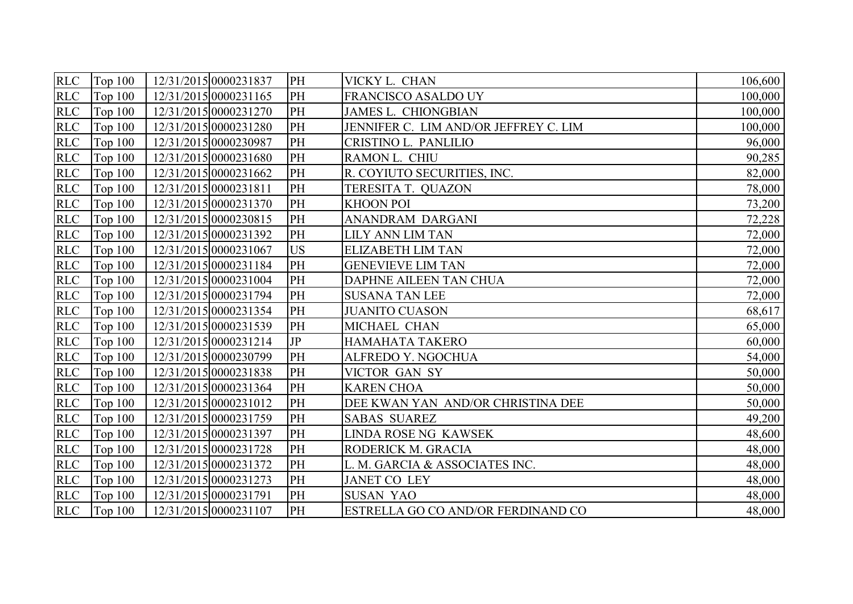| <b>RLC</b> | Top $100$      | 12/31/2015 0000231837 | PH        | VICKY L. CHAN                             | 106,600 |
|------------|----------------|-----------------------|-----------|-------------------------------------------|---------|
| <b>RLC</b> | <b>Top 100</b> | 12/31/2015 0000231165 | PH        | <b>FRANCISCO ASALDO UY</b>                | 100,000 |
| <b>RLC</b> | <b>Top 100</b> | 12/31/2015 0000231270 | PH        | <b>JAMES L. CHIONGBIAN</b>                | 100,000 |
| <b>RLC</b> | Top $100$      | 12/31/2015 0000231280 | PH        | JENNIFER C. LIM AND/OR JEFFREY C. LIM     | 100,000 |
| <b>RLC</b> | <b>Top 100</b> | 12/31/2015 0000230987 | PH        | CRISTINO L. PANLILIO                      | 96,000  |
| <b>RLC</b> | <b>Top 100</b> | 12/31/2015 0000231680 | PH        | RAMON L. CHIU                             | 90,285  |
| <b>RLC</b> | Top $100$      | 12/31/2015 0000231662 | PH        | R. COYIUTO SECURITIES, INC.               | 82,000  |
| <b>RLC</b> | Top $100$      | 12/31/2015 0000231811 | PH        | TERESITA T. QUAZON                        | 78,000  |
| RLC        | <b>Top 100</b> | 12/31/2015 0000231370 | PH        | <b>KHOON POI</b>                          | 73,200  |
| <b>RLC</b> | <b>Top 100</b> | 12/31/2015 0000230815 | PH        | ANANDRAM DARGANI                          | 72,228  |
| RLC        | <b>Top 100</b> | 12/31/2015 0000231392 | PH        | <b>LILY ANN LIM TAN</b>                   | 72,000  |
| <b>RLC</b> | <b>Top 100</b> | 12/31/2015 0000231067 | <b>US</b> | <b>ELIZABETH LIM TAN</b>                  | 72,000  |
| <b>RLC</b> | <b>Top 100</b> | 12/31/2015 0000231184 | PH        | <b>GENEVIEVE LIM TAN</b>                  | 72,000  |
| <b>RLC</b> | <b>Top 100</b> | 12/31/2015 0000231004 | PH        | <b>DAPHNE AILEEN TAN CHUA</b>             | 72,000  |
| <b>RLC</b> | <b>Top 100</b> | 12/31/2015 0000231794 | PH        | <b>SUSANA TAN LEE</b>                     | 72,000  |
| <b>RLC</b> | <b>Top 100</b> | 12/31/2015 0000231354 | PH        | <b>JUANITO CUASON</b>                     | 68,617  |
| <b>RLC</b> | <b>Top 100</b> | 12/31/2015 0000231539 | PH        | MICHAEL CHAN                              | 65,000  |
| <b>RLC</b> | <b>Top 100</b> | 12/31/2015 0000231214 | JP        | HAMAHATA TAKERO                           | 60,000  |
| <b>RLC</b> | <b>Top 100</b> | 12/31/2015 0000230799 | PH        | ALFREDO Y. NGOCHUA                        | 54,000  |
| <b>RLC</b> | <b>Top 100</b> | 12/31/2015 0000231838 | PH        | VICTOR GAN SY                             | 50,000  |
| <b>RLC</b> | <b>Top 100</b> | 12/31/2015 0000231364 | PH        | <b>KAREN CHOA</b>                         | 50,000  |
| <b>RLC</b> | <b>Top 100</b> | 12/31/2015 0000231012 | PH        | DEE KWAN YAN AND/OR CHRISTINA DEE         | 50,000  |
| <b>RLC</b> | <b>Top 100</b> | 12/31/2015 0000231759 | PH        | <b>SABAS SUAREZ</b>                       | 49,200  |
| <b>RLC</b> | <b>Top 100</b> | 12/31/2015 0000231397 | PH        | <b>LINDA ROSE NG KAWSEK</b>               | 48,600  |
| <b>RLC</b> | <b>Top 100</b> | 12/31/2015 0000231728 | PH        | RODERICK M. GRACIA                        | 48,000  |
| <b>RLC</b> | <b>Top 100</b> | 12/31/2015 0000231372 | PH        | L. M. GARCIA & ASSOCIATES INC.            | 48,000  |
| RLC        | Top $100$      | 12/31/2015 0000231273 | PH        | <b>JANET CO LEY</b>                       | 48,000  |
| <b>RLC</b> | <b>Top 100</b> | 12/31/2015 0000231791 | PH        | <b>SUSAN YAO</b>                          | 48,000  |
|            | RLC Top 100    | 12/31/2015 0000231107 | PH        | <b>ESTRELLA GO CO AND/OR FERDINAND CO</b> | 48,000  |
|            |                |                       |           |                                           |         |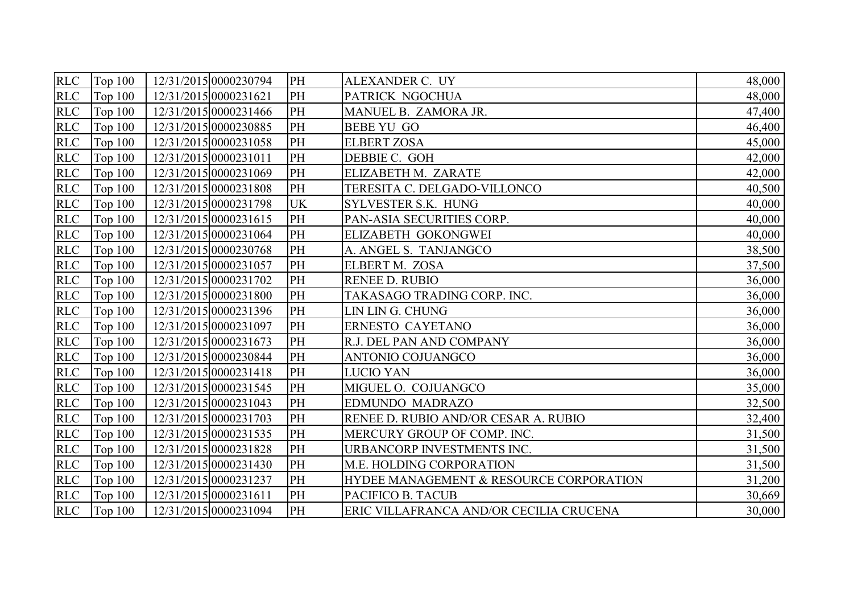| <b>RLC</b> | Top $100$      | 12/31/2015 0000230794 | PH        | ALEXANDER C. UY                         | 48,000 |
|------------|----------------|-----------------------|-----------|-----------------------------------------|--------|
| <b>RLC</b> | <b>Top 100</b> | 12/31/2015 0000231621 | PH        | PATRICK NGOCHUA                         | 48,000 |
| <b>RLC</b> | <b>Top 100</b> | 12/31/2015 0000231466 | PH        | MANUEL B. ZAMORA JR.                    | 47,400 |
| <b>RLC</b> | Top $100$      | 12/31/2015 0000230885 | PH        | <b>BEBE YU GO</b>                       | 46,400 |
| <b>RLC</b> | <b>Top 100</b> | 12/31/2015 0000231058 | PH        | <b>ELBERT ZOSA</b>                      | 45,000 |
| RLC        | <b>Top 100</b> | 12/31/2015 0000231011 | PH        | DEBBIE C. GOH                           | 42,000 |
| <b>RLC</b> | <b>Top 100</b> | 12/31/2015 0000231069 | PH        | ELIZABETH M. ZARATE                     | 42,000 |
| <b>RLC</b> | <b>Top 100</b> | 12/31/2015 0000231808 | PH        | TERESITA C. DELGADO-VILLONCO            | 40,500 |
| <b>RLC</b> | <b>Top 100</b> | 12/31/2015 0000231798 | <b>UK</b> | SYLVESTER S.K. HUNG                     | 40,000 |
| <b>RLC</b> | <b>Top 100</b> | 12/31/2015 0000231615 | PH        | PAN-ASIA SECURITIES CORP.               | 40,000 |
| <b>RLC</b> | Top $100$      | 12/31/2015 0000231064 | PH        | ELIZABETH GOKONGWEI                     | 40,000 |
| <b>RLC</b> | <b>Top 100</b> | 12/31/2015 0000230768 | PH        | A. ANGEL S. TANJANGCO                   | 38,500 |
| <b>RLC</b> | <b>Top 100</b> | 12/31/2015 0000231057 | PH        | ELBERT M. ZOSA                          | 37,500 |
| <b>RLC</b> | <b>Top 100</b> | 12/31/2015 0000231702 | PH        | <b>RENEE D. RUBIO</b>                   | 36,000 |
| <b>RLC</b> | <b>Top 100</b> | 12/31/2015 0000231800 | PH        | TAKASAGO TRADING CORP. INC.             | 36,000 |
| <b>RLC</b> | <b>Top 100</b> | 12/31/2015 0000231396 | PH        | LIN LIN G. CHUNG                        | 36,000 |
| <b>RLC</b> | <b>Top 100</b> | 12/31/2015 0000231097 | PH        | ERNESTO CAYETANO                        | 36,000 |
| <b>RLC</b> | Top 100        | 12/31/2015 0000231673 | PH        | R.J. DEL PAN AND COMPANY                | 36,000 |
| <b>RLC</b> | <b>Top 100</b> | 12/31/2015 0000230844 | PH        | <b>ANTONIO COJUANGCO</b>                | 36,000 |
| <b>RLC</b> | <b>Top 100</b> | 12/31/2015 0000231418 | PH        | <b>LUCIO YAN</b>                        | 36,000 |
| <b>RLC</b> | Top $100$      | 12/31/2015 0000231545 | PH        | MIGUEL O. COJUANGCO                     | 35,000 |
| <b>RLC</b> | <b>Top 100</b> | 12/31/2015 0000231043 | PH        | <b>EDMUNDO MADRAZO</b>                  | 32,500 |
| RLC        | <b>Top 100</b> | 12/31/2015 0000231703 | PH        | RENEE D. RUBIO AND/OR CESAR A. RUBIO    | 32,400 |
| <b>RLC</b> | <b>Top 100</b> | 12/31/2015 0000231535 | PH        | MERCURY GROUP OF COMP. INC.             | 31,500 |
| <b>RLC</b> | Top $100$      | 12/31/2015 0000231828 | PH        | URBANCORP INVESTMENTS INC.              | 31,500 |
| <b>RLC</b> | <b>Top 100</b> | 12/31/2015 0000231430 | PH        | <b>M.E. HOLDING CORPORATION</b>         | 31,500 |
| <b>RLC</b> | <b>Top 100</b> | 12/31/2015 0000231237 | PH        | HYDEE MANAGEMENT & RESOURCE CORPORATION | 31,200 |
| <b>RLC</b> | Top $100$      | 12/31/2015 0000231611 | PH        | PACIFICO B. TACUB                       | 30,669 |
|            | $RLC$ Top 100  | 12/31/2015 0000231094 | PH        | ERIC VILLAFRANCA AND/OR CECILIA CRUCENA | 30,000 |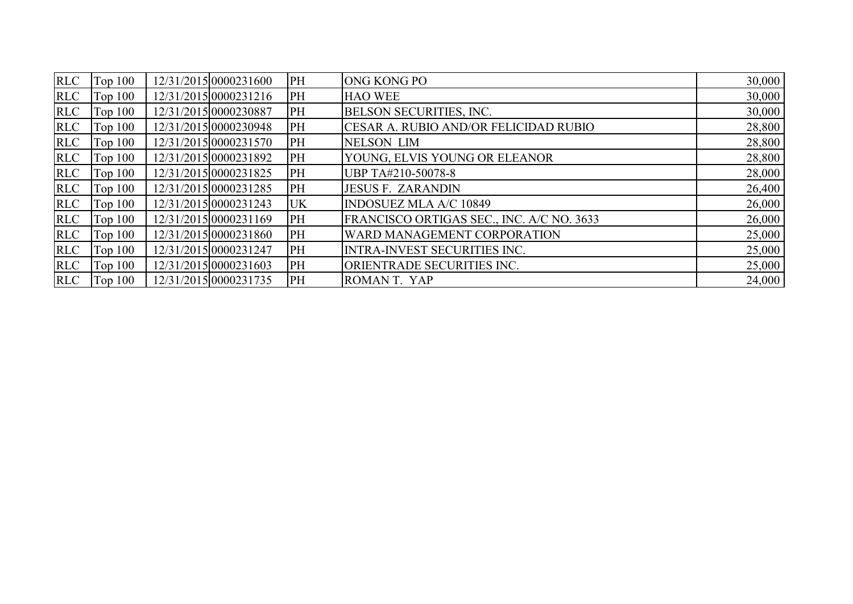| <b>RLC</b> | <b>Top 100</b> | 12/31/2015 0000231600 | PH        | <b>ONG KONG PO</b>                           | 30,000 |
|------------|----------------|-----------------------|-----------|----------------------------------------------|--------|
| <b>RLC</b> | Top $100$      | 12/31/2015 0000231216 | PH        | <b>HAO WEE</b>                               | 30,000 |
| <b>RLC</b> | <b>Top 100</b> | 12/31/2015 0000230887 | PH        | <b>BELSON SECURITIES, INC.</b>               | 30,000 |
| <b>RLC</b> | <b>Top 100</b> | 12/31/2015 0000230948 | PH        | <b>CESAR A. RUBIO AND/OR FELICIDAD RUBIO</b> | 28,800 |
| RLC        | Top $100$      | 12/31/2015 0000231570 | PH        | <b>NELSON LIM</b>                            | 28,800 |
| RLC        | Top $100$      | 12/31/2015 0000231892 | PH        | YOUNG, ELVIS YOUNG OR ELEANOR                | 28,800 |
| <b>RLC</b> | Top $100$      | 12/31/2015 0000231825 | PH        | UBP TA#210-50078-8                           | 28,000 |
| <b>RLC</b> | Top $100$      | 12/31/2015 0000231285 | PH        | <b>JESUS F. ZARANDIN</b>                     | 26,400 |
| <b>RLC</b> | Top $100$      | 12/31/2015 0000231243 | <b>UK</b> | <b>INDOSUEZ MLA A/C 10849</b>                | 26,000 |
| RLC        | Top $100$      | 12/31/2015 0000231169 | PH        | FRANCISCO ORTIGAS SEC., INC. A/C NO. 3633    | 26,000 |
| <b>RLC</b> | <b>Top 100</b> | 12/31/2015 0000231860 | PH        | WARD MANAGEMENT CORPORATION                  | 25,000 |
| <b>RLC</b> | Top $100$      | 12/31/2015 0000231247 | PH        | <b>INTRA-INVEST SECURITIES INC.</b>          | 25,000 |
| <b>RLC</b> | Top $100$      | 12/31/2015 0000231603 | PH        | ORIENTRADE SECURITIES INC.                   | 25,000 |
| <b>RLC</b> | Top $100$      | 12/31/2015 0000231735 | PH        | ROMANT. YAP                                  | 24,000 |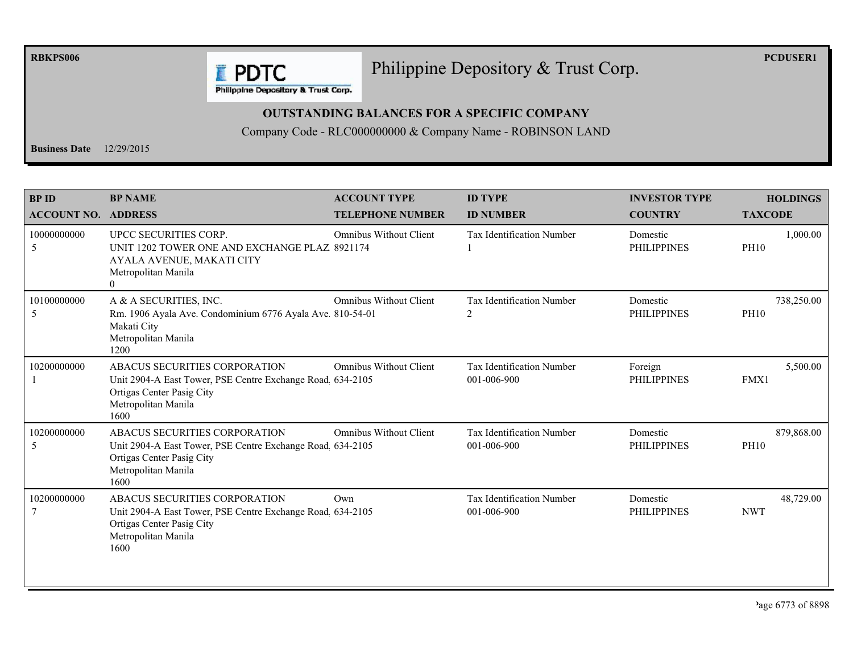**RBKPS006** 

## Philippine Depository & Trust Corp.

**PCDUSER1** 

**E** PDTC Philippine Depository & Trust Corp.

## **OUTSTANDING BALANCES FOR A SPECIFIC COMPANY**

Company Code - RLC000000000 & Company Name - ROBINSON LAND

**Business Date**  $12/29/2015$ 

| <b>BP ID</b><br><b>ACCOUNT NO.</b> | <b>BP NAME</b><br><b>ADDRESS</b>                                                                                                                       | <b>ACCOUNT TYPE</b><br><b>TELEPHONE NUMBER</b> | <b>ID TYPE</b><br><b>ID NUMBER</b>              | <b>INVESTOR TYPE</b><br><b>COUNTRY</b> | <b>HOLDINGS</b><br><b>TAXCODE</b> |
|------------------------------------|--------------------------------------------------------------------------------------------------------------------------------------------------------|------------------------------------------------|-------------------------------------------------|----------------------------------------|-----------------------------------|
| 10000000000<br>5                   | UPCC SECURITIES CORP.<br>UNIT 1202 TOWER ONE AND EXCHANGE PLAZ 8921174<br>AYALA AVENUE, MAKATI CITY<br>Metropolitan Manila<br>$\theta$                 | <b>Omnibus Without Client</b>                  | <b>Tax Identification Number</b>                | Domestic<br><b>PHILIPPINES</b>         | 1,000.00<br><b>PH10</b>           |
| 10100000000<br>5                   | A & A SECURITIES, INC.<br>Rm. 1906 Ayala Ave. Condominium 6776 Ayala Ave. 810-54-01<br>Makati City<br>Metropolitan Manila<br>1200                      | <b>Omnibus Without Client</b>                  | <b>Tax Identification Number</b><br>2           | Domestic<br><b>PHILIPPINES</b>         | 738,250.00<br><b>PH10</b>         |
| 10200000000                        | ABACUS SECURITIES CORPORATION<br>Unit 2904-A East Tower, PSE Centre Exchange Road 634-2105<br>Ortigas Center Pasig City<br>Metropolitan Manila<br>1600 | <b>Omnibus Without Client</b>                  | <b>Tax Identification Number</b><br>001-006-900 | Foreign<br><b>PHILIPPINES</b>          | 5,500.00<br>FMX1                  |
| 10200000000<br>5                   | ABACUS SECURITIES CORPORATION<br>Unit 2904-A East Tower, PSE Centre Exchange Road 634-2105<br>Ortigas Center Pasig City<br>Metropolitan Manila<br>1600 | <b>Omnibus Without Client</b>                  | Tax Identification Number<br>001-006-900        | Domestic<br><b>PHILIPPINES</b>         | 879,868.00<br><b>PH10</b>         |
| 10200000000                        | ABACUS SECURITIES CORPORATION<br>Unit 2904-A East Tower, PSE Centre Exchange Road 634-2105<br>Ortigas Center Pasig City<br>Metropolitan Manila<br>1600 | Own                                            | Tax Identification Number<br>001-006-900        | Domestic<br><b>PHILIPPINES</b>         | 48,729.00<br><b>NWT</b>           |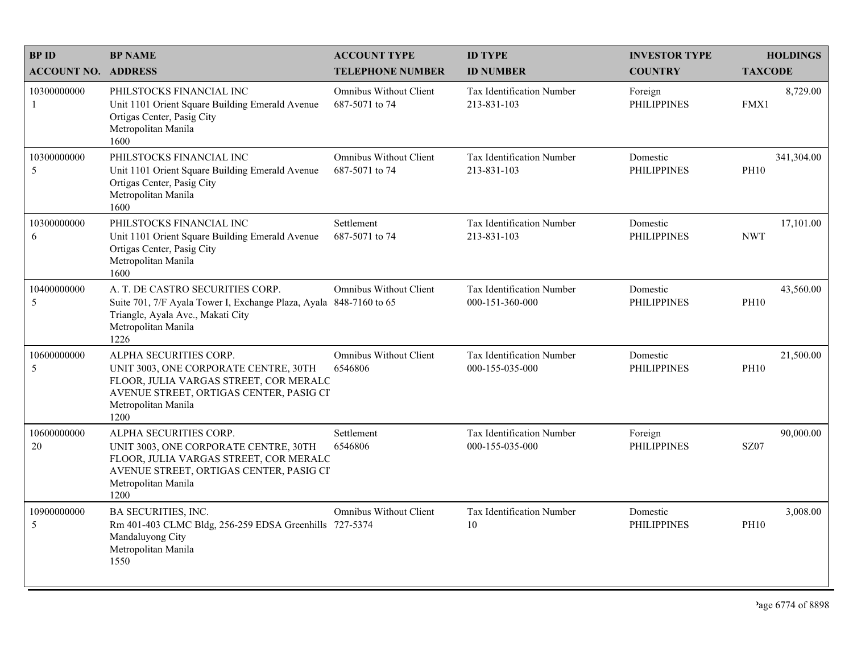| <b>BPID</b>                | <b>BP NAME</b>                                                                                                                                                                      | <b>ACCOUNT TYPE</b>                             | <b>ID TYPE</b>                               | <b>INVESTOR TYPE</b>           | <b>HOLDINGS</b>           |
|----------------------------|-------------------------------------------------------------------------------------------------------------------------------------------------------------------------------------|-------------------------------------------------|----------------------------------------------|--------------------------------|---------------------------|
| <b>ACCOUNT NO. ADDRESS</b> |                                                                                                                                                                                     | <b>TELEPHONE NUMBER</b>                         | <b>ID NUMBER</b>                             | <b>COUNTRY</b>                 | <b>TAXCODE</b>            |
| 10300000000<br>-1          | PHILSTOCKS FINANCIAL INC<br>Unit 1101 Orient Square Building Emerald Avenue<br>Ortigas Center, Pasig City<br>Metropolitan Manila<br>1600                                            | <b>Omnibus Without Client</b><br>687-5071 to 74 | Tax Identification Number<br>213-831-103     | Foreign<br><b>PHILIPPINES</b>  | 8,729.00<br>FMX1          |
| 10300000000<br>5           | PHILSTOCKS FINANCIAL INC<br>Unit 1101 Orient Square Building Emerald Avenue<br>Ortigas Center, Pasig City<br>Metropolitan Manila<br>1600                                            | <b>Omnibus Without Client</b><br>687-5071 to 74 | Tax Identification Number<br>213-831-103     | Domestic<br><b>PHILIPPINES</b> | 341,304.00<br><b>PH10</b> |
| 10300000000<br>6           | PHILSTOCKS FINANCIAL INC<br>Unit 1101 Orient Square Building Emerald Avenue<br>Ortigas Center, Pasig City<br>Metropolitan Manila<br>1600                                            | Settlement<br>687-5071 to 74                    | Tax Identification Number<br>213-831-103     | Domestic<br><b>PHILIPPINES</b> | 17,101.00<br><b>NWT</b>   |
| 10400000000<br>5           | A. T. DE CASTRO SECURITIES CORP.<br>Suite 701, 7/F Ayala Tower I, Exchange Plaza, Ayala 848-7160 to 65<br>Triangle, Ayala Ave., Makati City<br>Metropolitan Manila<br>1226          | Omnibus Without Client                          | Tax Identification Number<br>000-151-360-000 | Domestic<br><b>PHILIPPINES</b> | 43,560.00<br><b>PH10</b>  |
| 10600000000<br>5           | ALPHA SECURITIES CORP.<br>UNIT 3003, ONE CORPORATE CENTRE, 30TH<br>FLOOR, JULIA VARGAS STREET, COR MERALC<br>AVENUE STREET, ORTIGAS CENTER, PASIG CI<br>Metropolitan Manila<br>1200 | <b>Omnibus Without Client</b><br>6546806        | Tax Identification Number<br>000-155-035-000 | Domestic<br><b>PHILIPPINES</b> | 21,500.00<br><b>PH10</b>  |
| 10600000000<br>20          | ALPHA SECURITIES CORP.<br>UNIT 3003, ONE CORPORATE CENTRE, 30TH<br>FLOOR, JULIA VARGAS STREET, COR MERALC<br>AVENUE STREET, ORTIGAS CENTER, PASIG CI<br>Metropolitan Manila<br>1200 | Settlement<br>6546806                           | Tax Identification Number<br>000-155-035-000 | Foreign<br><b>PHILIPPINES</b>  | 90,000.00<br>SZ07         |
| 10900000000<br>5           | <b>BA SECURITIES, INC.</b><br>Rm 401-403 CLMC Bldg, 256-259 EDSA Greenhills 727-5374<br>Mandaluyong City<br>Metropolitan Manila<br>1550                                             | <b>Omnibus Without Client</b>                   | Tax Identification Number<br>10              | Domestic<br><b>PHILIPPINES</b> | 3,008.00<br><b>PH10</b>   |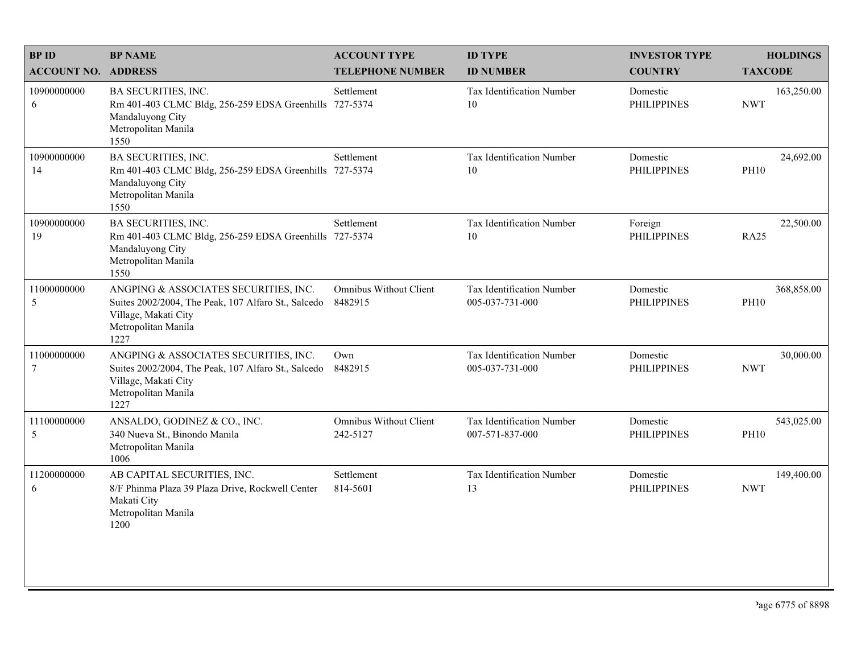| <b>BPID</b>                | <b>BP NAME</b>                                                                                                                                      | <b>ACCOUNT TYPE</b>                       | <b>ID TYPE</b>                               | <b>INVESTOR TYPE</b>           | <b>HOLDINGS</b>           |
|----------------------------|-----------------------------------------------------------------------------------------------------------------------------------------------------|-------------------------------------------|----------------------------------------------|--------------------------------|---------------------------|
| <b>ACCOUNT NO. ADDRESS</b> |                                                                                                                                                     | <b>TELEPHONE NUMBER</b>                   | <b>ID NUMBER</b>                             | <b>COUNTRY</b>                 | <b>TAXCODE</b>            |
| 10900000000<br>6           | <b>BA SECURITIES, INC.</b><br>Rm 401-403 CLMC Bldg, 256-259 EDSA Greenhills<br>Mandaluyong City<br>Metropolitan Manila<br>1550                      | Settlement<br>727-5374                    | Tax Identification Number<br>10              | Domestic<br><b>PHILIPPINES</b> | 163,250.00<br><b>NWT</b>  |
| 10900000000<br>14          | BA SECURITIES, INC.<br>Rm 401-403 CLMC Bldg, 256-259 EDSA Greenhills 727-5374<br>Mandaluyong City<br>Metropolitan Manila<br>1550                    | Settlement                                | Tax Identification Number<br>10              | Domestic<br><b>PHILIPPINES</b> | 24,692.00<br><b>PH10</b>  |
| 10900000000<br>19          | BA SECURITIES, INC.<br>Rm 401-403 CLMC Bldg, 256-259 EDSA Greenhills 727-5374<br>Mandaluyong City<br>Metropolitan Manila<br>1550                    | Settlement                                | Tax Identification Number<br>10              | Foreign<br><b>PHILIPPINES</b>  | 22,500.00<br><b>RA25</b>  |
| 11000000000<br>5           | ANGPING & ASSOCIATES SECURITIES, INC.<br>Suites 2002/2004, The Peak, 107 Alfaro St., Salcedo<br>Village, Makati City<br>Metropolitan Manila<br>1227 | <b>Omnibus Without Client</b><br>8482915  | Tax Identification Number<br>005-037-731-000 | Domestic<br><b>PHILIPPINES</b> | 368,858.00<br><b>PH10</b> |
| 11000000000<br>7           | ANGPING & ASSOCIATES SECURITIES, INC.<br>Suites 2002/2004, The Peak, 107 Alfaro St., Salcedo<br>Village, Makati City<br>Metropolitan Manila<br>1227 | Own<br>8482915                            | Tax Identification Number<br>005-037-731-000 | Domestic<br><b>PHILIPPINES</b> | 30,000.00<br><b>NWT</b>   |
| 11100000000<br>5           | ANSALDO, GODINEZ & CO., INC.<br>340 Nueva St., Binondo Manila<br>Metropolitan Manila<br>1006                                                        | <b>Omnibus Without Client</b><br>242-5127 | Tax Identification Number<br>007-571-837-000 | Domestic<br><b>PHILIPPINES</b> | 543,025.00<br><b>PH10</b> |
| 11200000000<br>6           | AB CAPITAL SECURITIES, INC.<br>8/F Phinma Plaza 39 Plaza Drive, Rockwell Center<br>Makati City<br>Metropolitan Manila<br>1200                       | Settlement<br>814-5601                    | Tax Identification Number<br>13              | Domestic<br><b>PHILIPPINES</b> | 149,400.00<br><b>NWT</b>  |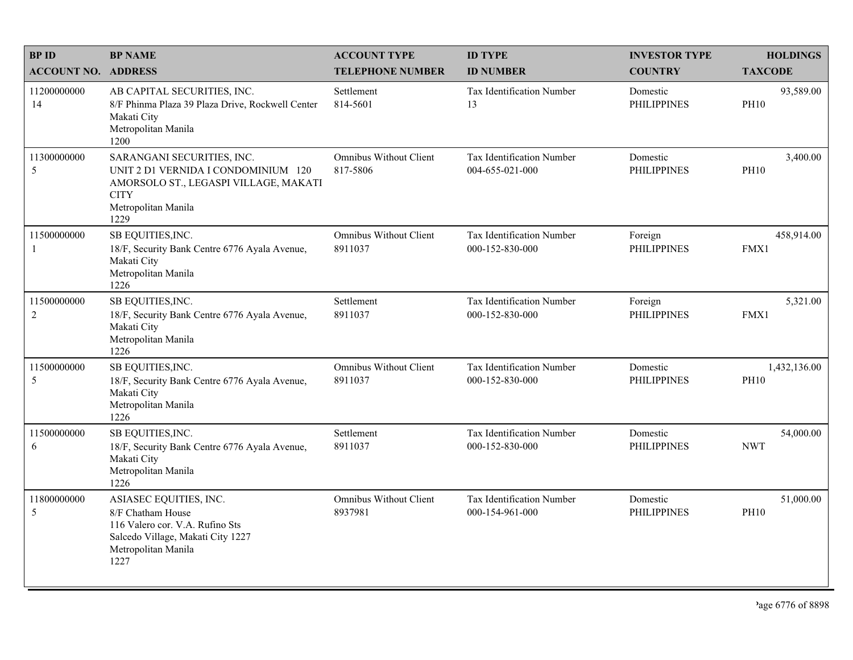| <b>BPID</b>                | <b>BP NAME</b>                                                                                                                                           | <b>ACCOUNT TYPE</b>                       | <b>ID TYPE</b>                               | <b>INVESTOR TYPE</b>           | <b>HOLDINGS</b>             |
|----------------------------|----------------------------------------------------------------------------------------------------------------------------------------------------------|-------------------------------------------|----------------------------------------------|--------------------------------|-----------------------------|
| <b>ACCOUNT NO. ADDRESS</b> |                                                                                                                                                          | <b>TELEPHONE NUMBER</b>                   | <b>ID NUMBER</b>                             | <b>COUNTRY</b>                 | <b>TAXCODE</b>              |
| 11200000000<br>14          | AB CAPITAL SECURITIES, INC.<br>8/F Phinma Plaza 39 Plaza Drive, Rockwell Center<br>Makati City<br>Metropolitan Manila<br>1200                            | Settlement<br>814-5601                    | <b>Tax Identification Number</b><br>13       | Domestic<br><b>PHILIPPINES</b> | 93,589.00<br><b>PH10</b>    |
| 11300000000<br>5           | SARANGANI SECURITIES, INC.<br>UNIT 2 D1 VERNIDA I CONDOMINIUM 120<br>AMORSOLO ST., LEGASPI VILLAGE, MAKATI<br><b>CITY</b><br>Metropolitan Manila<br>1229 | <b>Omnibus Without Client</b><br>817-5806 | Tax Identification Number<br>004-655-021-000 | Domestic<br><b>PHILIPPINES</b> | 3,400.00<br><b>PH10</b>     |
| 11500000000<br>-1          | SB EQUITIES, INC.<br>18/F, Security Bank Centre 6776 Ayala Avenue,<br>Makati City<br>Metropolitan Manila<br>1226                                         | <b>Omnibus Without Client</b><br>8911037  | Tax Identification Number<br>000-152-830-000 | Foreign<br><b>PHILIPPINES</b>  | 458,914.00<br>FMX1          |
| 11500000000<br>2           | SB EQUITIES, INC.<br>18/F, Security Bank Centre 6776 Ayala Avenue,<br>Makati City<br>Metropolitan Manila<br>1226                                         | Settlement<br>8911037                     | Tax Identification Number<br>000-152-830-000 | Foreign<br><b>PHILIPPINES</b>  | 5,321.00<br>FMX1            |
| 11500000000<br>5           | SB EQUITIES, INC.<br>18/F, Security Bank Centre 6776 Ayala Avenue,<br>Makati City<br>Metropolitan Manila<br>1226                                         | <b>Omnibus Without Client</b><br>8911037  | Tax Identification Number<br>000-152-830-000 | Domestic<br><b>PHILIPPINES</b> | 1,432,136.00<br><b>PH10</b> |
| 11500000000<br>6           | SB EQUITIES, INC.<br>18/F, Security Bank Centre 6776 Ayala Avenue,<br>Makati City<br>Metropolitan Manila<br>1226                                         | Settlement<br>8911037                     | Tax Identification Number<br>000-152-830-000 | Domestic<br><b>PHILIPPINES</b> | 54,000.00<br><b>NWT</b>     |
| 11800000000<br>5           | ASIASEC EQUITIES, INC.<br>8/F Chatham House<br>116 Valero cor. V.A. Rufino Sts<br>Salcedo Village, Makati City 1227<br>Metropolitan Manila<br>1227       | <b>Omnibus Without Client</b><br>8937981  | Tax Identification Number<br>000-154-961-000 | Domestic<br><b>PHILIPPINES</b> | 51,000.00<br><b>PH10</b>    |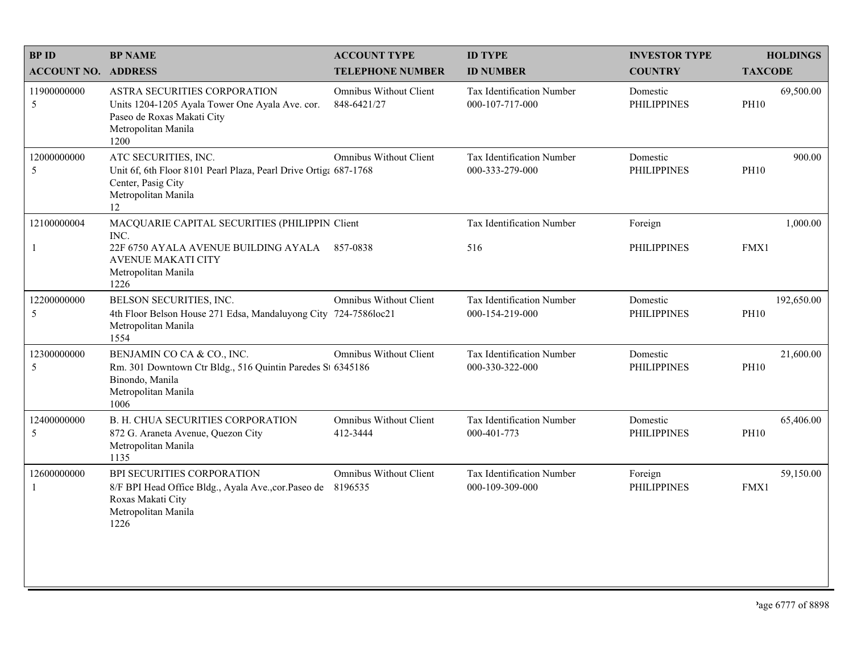| <b>BPID</b>                   | <b>BP NAME</b>                                                                                                                               | <b>ACCOUNT TYPE</b>                          | <b>ID TYPE</b>                               | <b>INVESTOR TYPE</b>           | <b>HOLDINGS</b>           |
|-------------------------------|----------------------------------------------------------------------------------------------------------------------------------------------|----------------------------------------------|----------------------------------------------|--------------------------------|---------------------------|
| <b>ACCOUNT NO. ADDRESS</b>    |                                                                                                                                              | <b>TELEPHONE NUMBER</b>                      | <b>ID NUMBER</b>                             | <b>COUNTRY</b>                 | <b>TAXCODE</b>            |
| 11900000000<br>5              | ASTRA SECURITIES CORPORATION<br>Units 1204-1205 Ayala Tower One Ayala Ave. cor.<br>Paseo de Roxas Makati City<br>Metropolitan Manila<br>1200 | <b>Omnibus Without Client</b><br>848-6421/27 | Tax Identification Number<br>000-107-717-000 | Domestic<br><b>PHILIPPINES</b> | 69,500.00<br><b>PH10</b>  |
| 12000000000<br>5              | ATC SECURITIES, INC.<br>Unit 6f, 6th Floor 8101 Pearl Plaza, Pearl Drive Ortiga 687-1768<br>Center, Pasig City<br>Metropolitan Manila<br>12  | Omnibus Without Client                       | Tax Identification Number<br>000-333-279-000 | Domestic<br><b>PHILIPPINES</b> | 900.00<br><b>PH10</b>     |
| 12100000004                   | MACQUARIE CAPITAL SECURITIES (PHILIPPIN Client<br>INC.                                                                                       |                                              | Tax Identification Number                    | Foreign                        | 1,000.00                  |
| $\mathbf{1}$                  | 22F 6750 AYALA AVENUE BUILDING AYALA 857-0838<br><b>AVENUE MAKATI CITY</b><br>Metropolitan Manila<br>1226                                    |                                              | 516                                          | <b>PHILIPPINES</b>             | FMX1                      |
| 12200000000<br>$\mathfrak{S}$ | BELSON SECURITIES, INC.<br>4th Floor Belson House 271 Edsa, Mandaluyong City 724-7586loc21<br>Metropolitan Manila<br>1554                    | Omnibus Without Client                       | Tax Identification Number<br>000-154-219-000 | Domestic<br><b>PHILIPPINES</b> | 192,650.00<br><b>PH10</b> |
| 12300000000<br>5              | BENJAMIN CO CA & CO., INC.<br>Rm. 301 Downtown Ctr Bldg., 516 Quintin Paredes St 6345186<br>Binondo, Manila<br>Metropolitan Manila<br>1006   | Omnibus Without Client                       | Tax Identification Number<br>000-330-322-000 | Domestic<br><b>PHILIPPINES</b> | 21,600.00<br><b>PH10</b>  |
| 12400000000<br>5              | B. H. CHUA SECURITIES CORPORATION<br>872 G. Araneta Avenue, Quezon City<br>Metropolitan Manila<br>1135                                       | Omnibus Without Client<br>412-3444           | Tax Identification Number<br>000-401-773     | Domestic<br><b>PHILIPPINES</b> | 65,406.00<br><b>PH10</b>  |
| 12600000000<br>$\mathbf{1}$   | BPI SECURITIES CORPORATION<br>8/F BPI Head Office Bldg., Ayala Ave., cor. Paseo de<br>Roxas Makati City<br>Metropolitan Manila<br>1226       | <b>Omnibus Without Client</b><br>8196535     | Tax Identification Number<br>000-109-309-000 | Foreign<br><b>PHILIPPINES</b>  | 59,150.00<br>FMX1         |
|                               |                                                                                                                                              |                                              |                                              |                                |                           |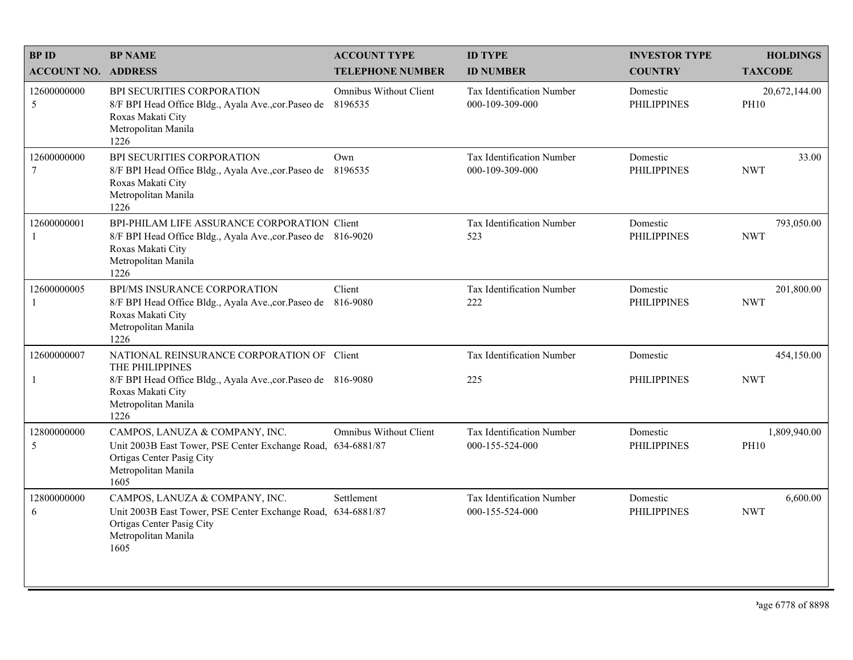| <b>BPID</b>                   | <b>BP NAME</b>                                                                                                                                                    | <b>ACCOUNT TYPE</b>                      | <b>ID TYPE</b>                               | <b>INVESTOR TYPE</b>           | <b>HOLDINGS</b>              |
|-------------------------------|-------------------------------------------------------------------------------------------------------------------------------------------------------------------|------------------------------------------|----------------------------------------------|--------------------------------|------------------------------|
| <b>ACCOUNT NO. ADDRESS</b>    |                                                                                                                                                                   | <b>TELEPHONE NUMBER</b>                  | <b>ID NUMBER</b>                             | <b>COUNTRY</b>                 | <b>TAXCODE</b>               |
| 12600000000<br>5              | BPI SECURITIES CORPORATION<br>8/F BPI Head Office Bldg., Ayala Ave., cor. Paseo de<br>Roxas Makati City<br>Metropolitan Manila<br>1226                            | <b>Omnibus Without Client</b><br>8196535 | Tax Identification Number<br>000-109-309-000 | Domestic<br><b>PHILIPPINES</b> | 20,672,144.00<br><b>PH10</b> |
| 12600000000<br>$\overline{7}$ | BPI SECURITIES CORPORATION<br>8/F BPI Head Office Bldg., Ayala Ave., cor. Paseo de 8196535<br>Roxas Makati City<br>Metropolitan Manila<br>1226                    | Own                                      | Tax Identification Number<br>000-109-309-000 | Domestic<br><b>PHILIPPINES</b> | 33.00<br><b>NWT</b>          |
| 12600000001<br>-1             | BPI-PHILAM LIFE ASSURANCE CORPORATION Client<br>8/F BPI Head Office Bldg., Ayala Ave., cor. Paseo de 816-9020<br>Roxas Makati City<br>Metropolitan Manila<br>1226 |                                          | Tax Identification Number<br>523             | Domestic<br><b>PHILIPPINES</b> | 793,050.00<br><b>NWT</b>     |
| 12600000005<br>-1             | BPI/MS INSURANCE CORPORATION<br>8/F BPI Head Office Bldg., Ayala Ave., cor. Paseo de<br>Roxas Makati City<br>Metropolitan Manila<br>1226                          | Client<br>816-9080                       | Tax Identification Number<br>222             | Domestic<br><b>PHILIPPINES</b> | 201,800.00<br><b>NWT</b>     |
| 12600000007                   | NATIONAL REINSURANCE CORPORATION OF Client<br>THE PHILIPPINES                                                                                                     |                                          | Tax Identification Number                    | Domestic                       | 454,150.00                   |
| $\mathbf{1}$                  | 8/F BPI Head Office Bldg., Ayala Ave., cor. Paseo de 816-9080<br>Roxas Makati City<br>Metropolitan Manila<br>1226                                                 |                                          | 225                                          | <b>PHILIPPINES</b>             | <b>NWT</b>                   |
| 12800000000<br>5              | CAMPOS, LANUZA & COMPANY, INC.<br>Unit 2003B East Tower, PSE Center Exchange Road, 634-6881/87<br>Ortigas Center Pasig City<br>Metropolitan Manila<br>1605        | <b>Omnibus Without Client</b>            | Tax Identification Number<br>000-155-524-000 | Domestic<br><b>PHILIPPINES</b> | 1,809,940.00<br><b>PH10</b>  |
| 12800000000<br>6              | CAMPOS, LANUZA & COMPANY, INC.<br>Unit 2003B East Tower, PSE Center Exchange Road, 634-6881/87<br>Ortigas Center Pasig City<br>Metropolitan Manila<br>1605        | Settlement                               | Tax Identification Number<br>000-155-524-000 | Domestic<br><b>PHILIPPINES</b> | 6,600.00<br><b>NWT</b>       |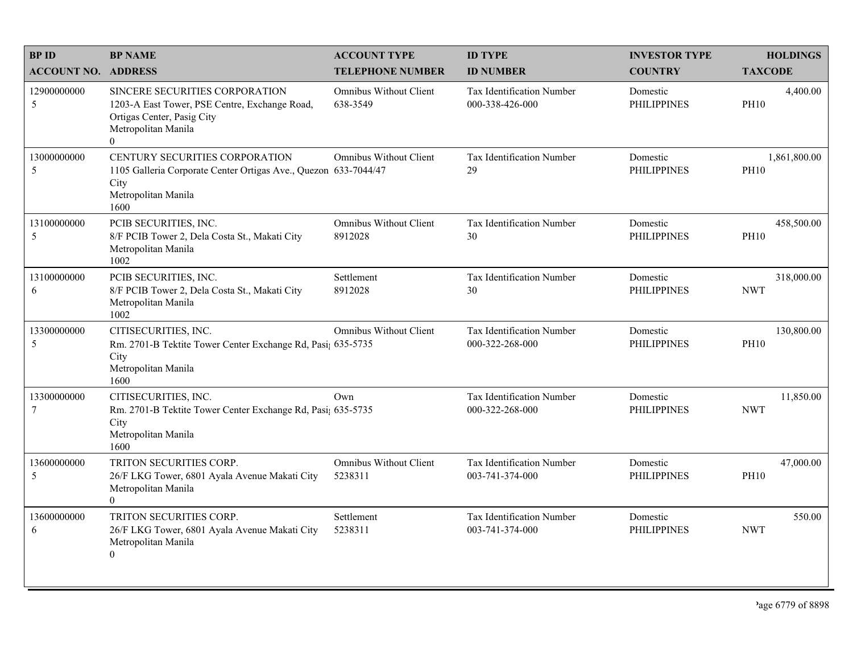| <b>BPID</b>                | <b>BP NAME</b>                                                                                                                                   | <b>ACCOUNT TYPE</b>                       | <b>ID TYPE</b>                                      | <b>INVESTOR TYPE</b>           | <b>HOLDINGS</b>             |
|----------------------------|--------------------------------------------------------------------------------------------------------------------------------------------------|-------------------------------------------|-----------------------------------------------------|--------------------------------|-----------------------------|
| <b>ACCOUNT NO. ADDRESS</b> |                                                                                                                                                  | <b>TELEPHONE NUMBER</b>                   | <b>ID NUMBER</b>                                    | <b>COUNTRY</b>                 | <b>TAXCODE</b>              |
| 12900000000<br>5           | SINCERE SECURITIES CORPORATION<br>1203-A East Tower, PSE Centre, Exchange Road,<br>Ortigas Center, Pasig City<br>Metropolitan Manila<br>$\theta$ | <b>Omnibus Without Client</b><br>638-3549 | <b>Tax Identification Number</b><br>000-338-426-000 | Domestic<br><b>PHILIPPINES</b> | 4,400.00<br><b>PH10</b>     |
| 13000000000<br>5           | CENTURY SECURITIES CORPORATION<br>1105 Galleria Corporate Center Ortigas Ave., Quezon 633-7044/47<br>City<br>Metropolitan Manila<br>1600         | <b>Omnibus Without Client</b>             | Tax Identification Number<br>29                     | Domestic<br><b>PHILIPPINES</b> | 1,861,800.00<br><b>PH10</b> |
| 13100000000<br>5           | PCIB SECURITIES, INC.<br>8/F PCIB Tower 2, Dela Costa St., Makati City<br>Metropolitan Manila<br>1002                                            | <b>Omnibus Without Client</b><br>8912028  | Tax Identification Number<br>30                     | Domestic<br><b>PHILIPPINES</b> | 458,500.00<br><b>PH10</b>   |
| 13100000000<br>6           | PCIB SECURITIES, INC.<br>8/F PCIB Tower 2, Dela Costa St., Makati City<br>Metropolitan Manila<br>1002                                            | Settlement<br>8912028                     | Tax Identification Number<br>30                     | Domestic<br><b>PHILIPPINES</b> | 318,000.00<br><b>NWT</b>    |
| 13300000000<br>5           | CITISECURITIES, INC.<br>Rm. 2701-B Tektite Tower Center Exchange Rd, Pasi; 635-5735<br>City<br>Metropolitan Manila<br>1600                       | <b>Omnibus Without Client</b>             | Tax Identification Number<br>000-322-268-000        | Domestic<br><b>PHILIPPINES</b> | 130,800.00<br><b>PH10</b>   |
| 13300000000<br>7           | CITISECURITIES, INC.<br>Rm. 2701-B Tektite Tower Center Exchange Rd, Pasi; 635-5735<br>City<br>Metropolitan Manila<br>1600                       | Own                                       | Tax Identification Number<br>000-322-268-000        | Domestic<br><b>PHILIPPINES</b> | 11,850.00<br><b>NWT</b>     |
| 13600000000<br>5           | TRITON SECURITIES CORP.<br>26/F LKG Tower, 6801 Ayala Avenue Makati City<br>Metropolitan Manila<br>$\mathbf{0}$                                  | <b>Omnibus Without Client</b><br>5238311  | Tax Identification Number<br>003-741-374-000        | Domestic<br><b>PHILIPPINES</b> | 47,000.00<br><b>PH10</b>    |
| 13600000000<br>6           | TRITON SECURITIES CORP.<br>26/F LKG Tower, 6801 Ayala Avenue Makati City<br>Metropolitan Manila<br>$\overline{0}$                                | Settlement<br>5238311                     | Tax Identification Number<br>003-741-374-000        | Domestic<br>PHILIPPINES        | 550.00<br><b>NWT</b>        |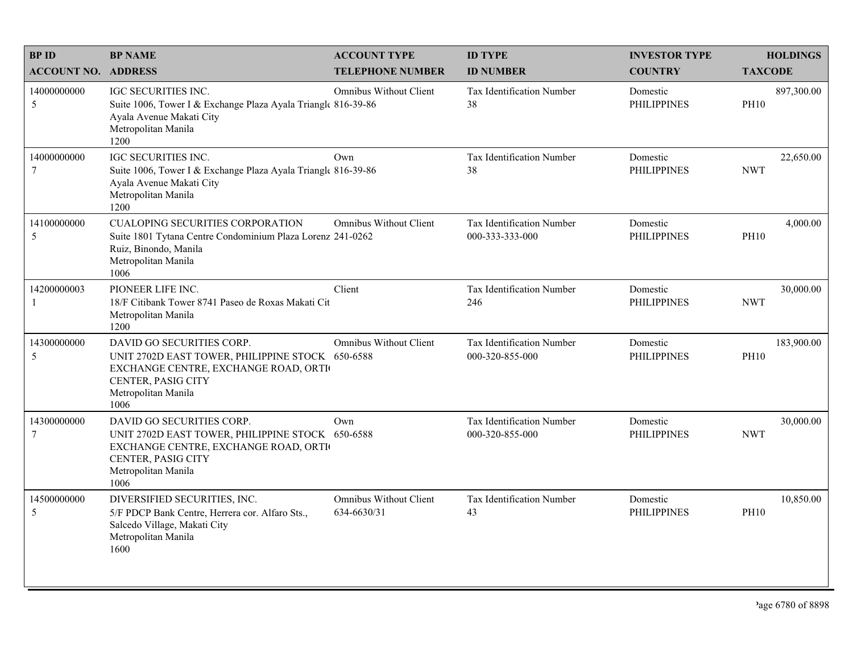| <b>BPID</b>                    | <b>BP NAME</b>                                                                                                                                                             | <b>ACCOUNT TYPE</b>                          | <b>ID TYPE</b>                                      | <b>INVESTOR TYPE</b>           | <b>HOLDINGS</b>           |
|--------------------------------|----------------------------------------------------------------------------------------------------------------------------------------------------------------------------|----------------------------------------------|-----------------------------------------------------|--------------------------------|---------------------------|
| <b>ACCOUNT NO. ADDRESS</b>     |                                                                                                                                                                            | <b>TELEPHONE NUMBER</b>                      | <b>ID NUMBER</b>                                    | <b>COUNTRY</b>                 | <b>TAXCODE</b>            |
| 14000000000<br>5               | IGC SECURITIES INC.<br>Suite 1006, Tower I & Exchange Plaza Ayala Trianglt 816-39-86<br>Ayala Avenue Makati City<br>Metropolitan Manila<br>1200                            | Omnibus Without Client                       | Tax Identification Number<br>38                     | Domestic<br><b>PHILIPPINES</b> | 897,300.00<br><b>PH10</b> |
| 14000000000<br>7               | <b>IGC SECURITIES INC.</b><br>Suite 1006, Tower I & Exchange Plaza Ayala Triangle 816-39-86<br>Ayala Avenue Makati City<br>Metropolitan Manila<br>1200                     | Own                                          | Tax Identification Number<br>38                     | Domestic<br><b>PHILIPPINES</b> | 22,650.00<br><b>NWT</b>   |
| 14100000000<br>5               | <b>CUALOPING SECURITIES CORPORATION</b><br>Suite 1801 Tytana Centre Condominium Plaza Lorenz 241-0262<br>Ruiz, Binondo, Manila<br>Metropolitan Manila<br>1006              | <b>Omnibus Without Client</b>                | Tax Identification Number<br>000-333-333-000        | Domestic<br><b>PHILIPPINES</b> | 4,000.00<br><b>PH10</b>   |
| 14200000003                    | PIONEER LIFE INC.<br>18/F Citibank Tower 8741 Paseo de Roxas Makati Cit<br>Metropolitan Manila<br>1200                                                                     | Client                                       | Tax Identification Number<br>246                    | Domestic<br><b>PHILIPPINES</b> | 30,000.00<br><b>NWT</b>   |
| 14300000000<br>5               | DAVID GO SECURITIES CORP.<br>UNIT 2702D EAST TOWER, PHILIPPINE STOCK 650-6588<br>EXCHANGE CENTRE, EXCHANGE ROAD, ORTI<br>CENTER, PASIG CITY<br>Metropolitan Manila<br>1006 | <b>Omnibus Without Client</b>                | <b>Tax Identification Number</b><br>000-320-855-000 | Domestic<br><b>PHILIPPINES</b> | 183,900.00<br><b>PH10</b> |
| 14300000000<br>$7\phantom{.0}$ | DAVID GO SECURITIES CORP.<br>UNIT 2702D EAST TOWER, PHILIPPINE STOCK 650-6588<br>EXCHANGE CENTRE, EXCHANGE ROAD, ORTI<br>CENTER, PASIG CITY<br>Metropolitan Manila<br>1006 | Own                                          | Tax Identification Number<br>000-320-855-000        | Domestic<br><b>PHILIPPINES</b> | 30,000.00<br><b>NWT</b>   |
| 14500000000<br>5               | DIVERSIFIED SECURITIES, INC.<br>5/F PDCP Bank Centre, Herrera cor. Alfaro Sts.,<br>Salcedo Village, Makati City<br>Metropolitan Manila<br>1600                             | <b>Omnibus Without Client</b><br>634-6630/31 | Tax Identification Number<br>43                     | Domestic<br><b>PHILIPPINES</b> | 10,850.00<br><b>PH10</b>  |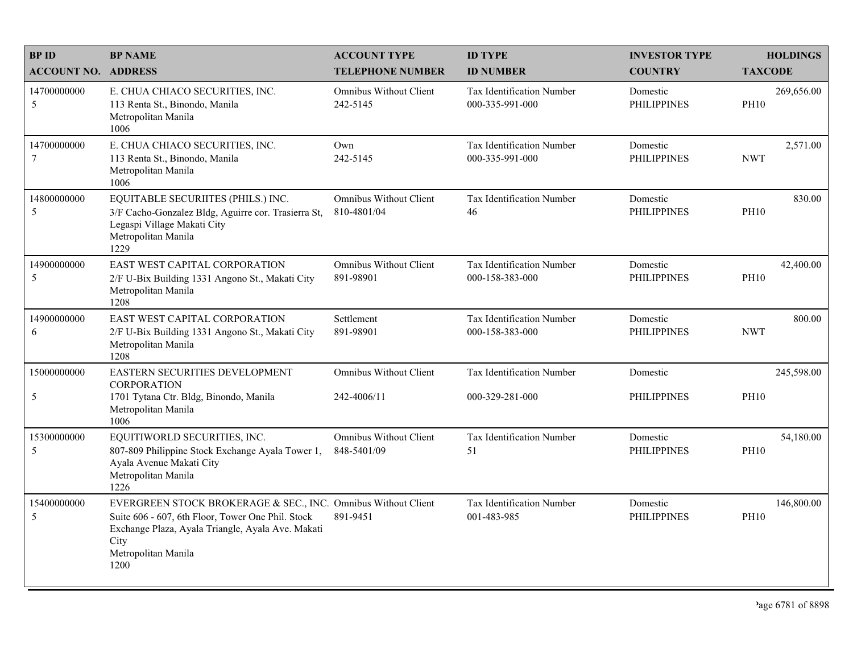| <b>BPID</b>                   | <b>BP NAME</b>                                                                                                                                                                                                 | <b>ACCOUNT TYPE</b>                          | <b>ID TYPE</b>                                      | <b>INVESTOR TYPE</b>           | <b>HOLDINGS</b>           |
|-------------------------------|----------------------------------------------------------------------------------------------------------------------------------------------------------------------------------------------------------------|----------------------------------------------|-----------------------------------------------------|--------------------------------|---------------------------|
| <b>ACCOUNT NO. ADDRESS</b>    |                                                                                                                                                                                                                | <b>TELEPHONE NUMBER</b>                      | <b>ID NUMBER</b>                                    | <b>COUNTRY</b>                 | <b>TAXCODE</b>            |
| 14700000000<br>5              | E. CHUA CHIACO SECURITIES, INC.<br>113 Renta St., Binondo, Manila<br>Metropolitan Manila<br>1006                                                                                                               | Omnibus Without Client<br>242-5145           | <b>Tax Identification Number</b><br>000-335-991-000 | Domestic<br><b>PHILIPPINES</b> | 269,656.00<br><b>PH10</b> |
| 14700000000<br>$\overline{7}$ | E. CHUA CHIACO SECURITIES, INC.<br>113 Renta St., Binondo, Manila<br>Metropolitan Manila<br>1006                                                                                                               | Own<br>242-5145                              | Tax Identification Number<br>000-335-991-000        | Domestic<br><b>PHILIPPINES</b> | 2,571.00<br><b>NWT</b>    |
| 14800000000<br>5              | EQUITABLE SECURIITES (PHILS.) INC.<br>3/F Cacho-Gonzalez Bldg, Aguirre cor. Trasierra St,<br>Legaspi Village Makati City<br>Metropolitan Manila<br>1229                                                        | <b>Omnibus Without Client</b><br>810-4801/04 | Tax Identification Number<br>46                     | Domestic<br><b>PHILIPPINES</b> | 830.00<br><b>PH10</b>     |
| 14900000000<br>5              | EAST WEST CAPITAL CORPORATION<br>2/F U-Bix Building 1331 Angono St., Makati City<br>Metropolitan Manila<br>1208                                                                                                | <b>Omnibus Without Client</b><br>891-98901   | Tax Identification Number<br>000-158-383-000        | Domestic<br><b>PHILIPPINES</b> | 42,400.00<br><b>PH10</b>  |
| 14900000000<br>6              | EAST WEST CAPITAL CORPORATION<br>2/F U-Bix Building 1331 Angono St., Makati City<br>Metropolitan Manila<br>1208                                                                                                | Settlement<br>891-98901                      | Tax Identification Number<br>000-158-383-000        | Domestic<br><b>PHILIPPINES</b> | 800.00<br><b>NWT</b>      |
| 15000000000                   | EASTERN SECURITIES DEVELOPMENT<br><b>CORPORATION</b>                                                                                                                                                           | <b>Omnibus Without Client</b>                | Tax Identification Number                           | Domestic                       | 245,598.00                |
| 5                             | 1701 Tytana Ctr. Bldg, Binondo, Manila<br>Metropolitan Manila<br>1006                                                                                                                                          | 242-4006/11                                  | 000-329-281-000                                     | <b>PHILIPPINES</b>             | <b>PH10</b>               |
| 15300000000<br>5              | EQUITIWORLD SECURITIES, INC.<br>807-809 Philippine Stock Exchange Ayala Tower 1,<br>Ayala Avenue Makati City<br>Metropolitan Manila<br>1226                                                                    | <b>Omnibus Without Client</b><br>848-5401/09 | Tax Identification Number<br>51                     | Domestic<br><b>PHILIPPINES</b> | 54,180.00<br><b>PH10</b>  |
| 15400000000<br>5              | EVERGREEN STOCK BROKERAGE & SEC., INC. Omnibus Without Client<br>Suite 606 - 607, 6th Floor, Tower One Phil. Stock<br>Exchange Plaza, Ayala Triangle, Ayala Ave. Makati<br>City<br>Metropolitan Manila<br>1200 | 891-9451                                     | <b>Tax Identification Number</b><br>001-483-985     | Domestic<br><b>PHILIPPINES</b> | 146,800.00<br><b>PH10</b> |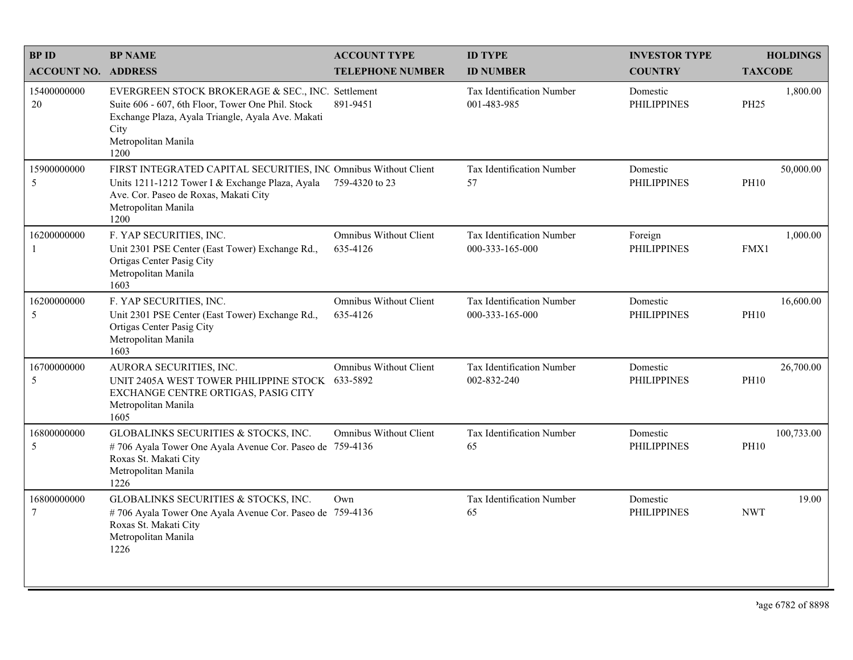| <b>BPID</b>                | <b>BP NAME</b>                                                                                                                                                                                     | <b>ACCOUNT TYPE</b>                       | <b>ID TYPE</b>                               | <b>INVESTOR TYPE</b>           | <b>HOLDINGS</b>           |
|----------------------------|----------------------------------------------------------------------------------------------------------------------------------------------------------------------------------------------------|-------------------------------------------|----------------------------------------------|--------------------------------|---------------------------|
| <b>ACCOUNT NO. ADDRESS</b> |                                                                                                                                                                                                    | <b>TELEPHONE NUMBER</b>                   | <b>ID NUMBER</b>                             | <b>COUNTRY</b>                 | <b>TAXCODE</b>            |
| 15400000000<br>20          | EVERGREEN STOCK BROKERAGE & SEC., INC. Settlement<br>Suite 606 - 607, 6th Floor, Tower One Phil. Stock<br>Exchange Plaza, Ayala Triangle, Ayala Ave. Makati<br>City<br>Metropolitan Manila<br>1200 | 891-9451                                  | Tax Identification Number<br>001-483-985     | Domestic<br><b>PHILIPPINES</b> | 1,800.00<br><b>PH25</b>   |
| 15900000000<br>5           | FIRST INTEGRATED CAPITAL SECURITIES, INC Omnibus Without Client<br>Units 1211-1212 Tower I & Exchange Plaza, Ayala<br>Ave. Cor. Paseo de Roxas, Makati City<br>Metropolitan Manila<br>1200         | 759-4320 to 23                            | Tax Identification Number<br>57              | Domestic<br><b>PHILIPPINES</b> | 50,000.00<br><b>PH10</b>  |
| 16200000000<br>-1          | F. YAP SECURITIES, INC.<br>Unit 2301 PSE Center (East Tower) Exchange Rd.,<br>Ortigas Center Pasig City<br>Metropolitan Manila<br>1603                                                             | <b>Omnibus Without Client</b><br>635-4126 | Tax Identification Number<br>000-333-165-000 | Foreign<br><b>PHILIPPINES</b>  | 1.000.00<br>FMX1          |
| 16200000000<br>5           | F. YAP SECURITIES, INC.<br>Unit 2301 PSE Center (East Tower) Exchange Rd.,<br>Ortigas Center Pasig City<br>Metropolitan Manila<br>1603                                                             | <b>Omnibus Without Client</b><br>635-4126 | Tax Identification Number<br>000-333-165-000 | Domestic<br><b>PHILIPPINES</b> | 16,600.00<br><b>PH10</b>  |
| 16700000000<br>5           | AURORA SECURITIES, INC.<br>UNIT 2405A WEST TOWER PHILIPPINE STOCK<br>EXCHANGE CENTRE ORTIGAS, PASIG CITY<br>Metropolitan Manila<br>1605                                                            | <b>Omnibus Without Client</b><br>633-5892 | Tax Identification Number<br>002-832-240     | Domestic<br><b>PHILIPPINES</b> | 26,700.00<br><b>PH10</b>  |
| 16800000000<br>5           | GLOBALINKS SECURITIES & STOCKS, INC.<br>#706 Ayala Tower One Ayala Avenue Cor. Paseo de 759-4136<br>Roxas St. Makati City<br>Metropolitan Manila<br>1226                                           | <b>Omnibus Without Client</b>             | Tax Identification Number<br>65              | Domestic<br><b>PHILIPPINES</b> | 100,733.00<br><b>PH10</b> |
| 16800000000<br>$\tau$      | GLOBALINKS SECURITIES & STOCKS, INC.<br>#706 Ayala Tower One Ayala Avenue Cor. Paseo de 759-4136<br>Roxas St. Makati City<br>Metropolitan Manila<br>1226                                           | Own                                       | Tax Identification Number<br>65              | Domestic<br><b>PHILIPPINES</b> | 19.00<br><b>NWT</b>       |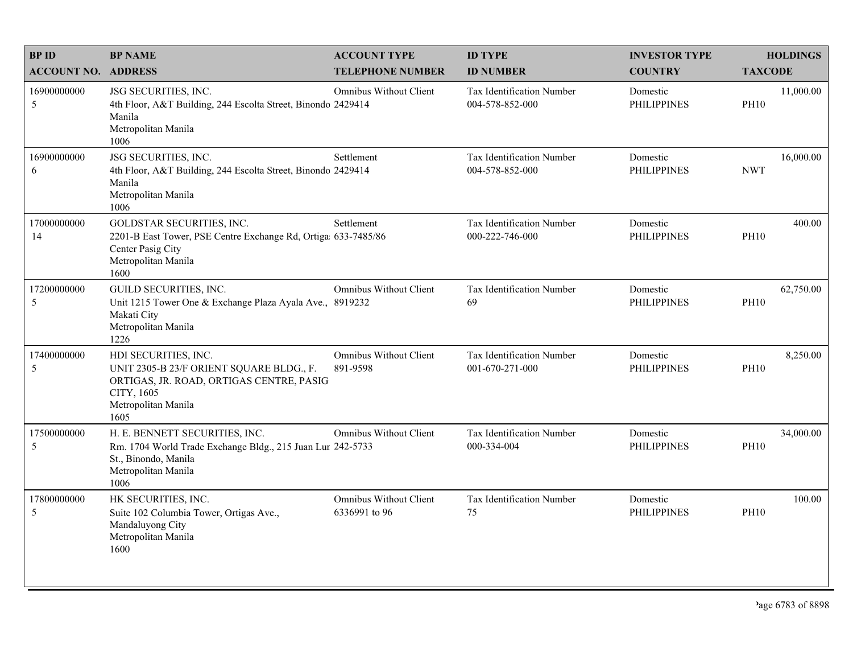| <b>BPID</b>                | <b>BP NAME</b>                                                                                                                                            | <b>ACCOUNT TYPE</b>                       | <b>ID TYPE</b>                               | <b>INVESTOR TYPE</b>           | <b>HOLDINGS</b>          |
|----------------------------|-----------------------------------------------------------------------------------------------------------------------------------------------------------|-------------------------------------------|----------------------------------------------|--------------------------------|--------------------------|
| <b>ACCOUNT NO. ADDRESS</b> |                                                                                                                                                           | <b>TELEPHONE NUMBER</b>                   | <b>ID NUMBER</b>                             | <b>COUNTRY</b>                 | <b>TAXCODE</b>           |
| 16900000000<br>5           | JSG SECURITIES, INC.<br>4th Floor, A&T Building, 244 Escolta Street, Binondo 2429414<br>Manila<br>Metropolitan Manila<br>1006                             | Omnibus Without Client                    | Tax Identification Number<br>004-578-852-000 | Domestic<br><b>PHILIPPINES</b> | 11,000.00<br><b>PH10</b> |
| 16900000000<br>6           | JSG SECURITIES, INC.<br>4th Floor, A&T Building, 244 Escolta Street, Binondo 2429414<br>Manila<br>Metropolitan Manila<br>1006                             | Settlement                                | Tax Identification Number<br>004-578-852-000 | Domestic<br><b>PHILIPPINES</b> | 16,000.00<br><b>NWT</b>  |
| 17000000000<br>14          | GOLDSTAR SECURITIES, INC.<br>2201-B East Tower, PSE Centre Exchange Rd, Ortiga 633-7485/86<br>Center Pasig City<br>Metropolitan Manila<br>1600            | Settlement                                | Tax Identification Number<br>000-222-746-000 | Domestic<br><b>PHILIPPINES</b> | 400.00<br><b>PH10</b>    |
| 17200000000<br>5           | GUILD SECURITIES, INC.<br>Unit 1215 Tower One & Exchange Plaza Ayala Ave., 8919232<br>Makati City<br>Metropolitan Manila<br>1226                          | <b>Omnibus Without Client</b>             | Tax Identification Number<br>69              | Domestic<br><b>PHILIPPINES</b> | 62,750.00<br><b>PH10</b> |
| 17400000000<br>5           | HDI SECURITIES, INC.<br>UNIT 2305-B 23/F ORIENT SQUARE BLDG., F.<br>ORTIGAS, JR. ROAD, ORTIGAS CENTRE, PASIG<br>CITY, 1605<br>Metropolitan Manila<br>1605 | <b>Omnibus Without Client</b><br>891-9598 | Tax Identification Number<br>001-670-271-000 | Domestic<br><b>PHILIPPINES</b> | 8,250.00<br><b>PH10</b>  |
| 17500000000<br>5           | H. E. BENNETT SECURITIES, INC.<br>Rm. 1704 World Trade Exchange Bldg., 215 Juan Lur 242-5733<br>St., Binondo, Manila<br>Metropolitan Manila<br>1006       | Omnibus Without Client                    | Tax Identification Number<br>000-334-004     | Domestic<br><b>PHILIPPINES</b> | 34,000.00<br><b>PH10</b> |
| 17800000000<br>5           | HK SECURITIES, INC.<br>Suite 102 Columbia Tower, Ortigas Ave.,<br>Mandaluyong City<br>Metropolitan Manila<br>1600                                         | Omnibus Without Client<br>6336991 to 96   | Tax Identification Number<br>75              | Domestic<br><b>PHILIPPINES</b> | 100.00<br><b>PH10</b>    |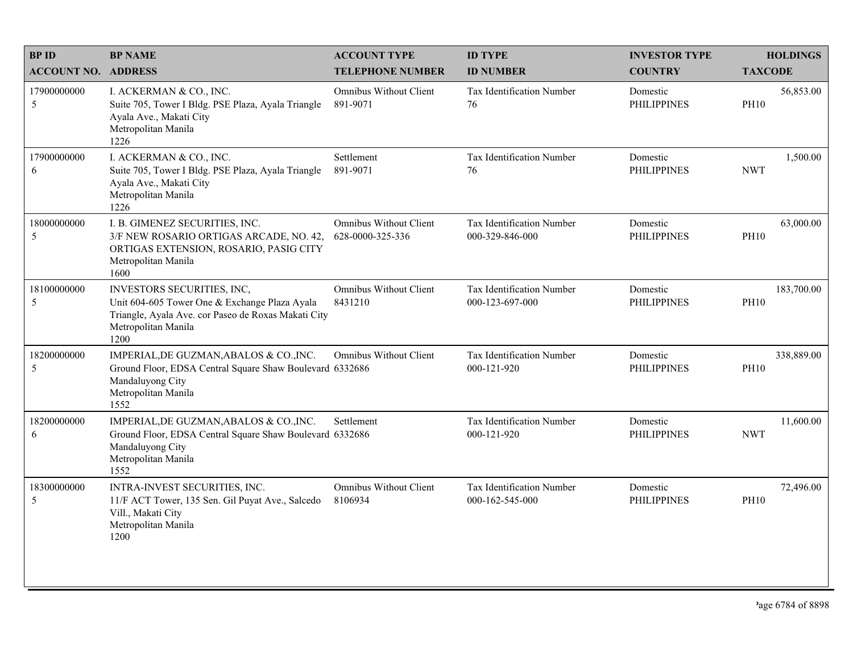| <b>BPID</b>                | <b>BP NAME</b>                                                                                                                                                    | <b>ACCOUNT TYPE</b>                               | <b>ID TYPE</b>                               | <b>INVESTOR TYPE</b>           | <b>HOLDINGS</b>           |
|----------------------------|-------------------------------------------------------------------------------------------------------------------------------------------------------------------|---------------------------------------------------|----------------------------------------------|--------------------------------|---------------------------|
| <b>ACCOUNT NO. ADDRESS</b> |                                                                                                                                                                   | <b>TELEPHONE NUMBER</b>                           | <b>ID NUMBER</b>                             | <b>COUNTRY</b>                 | <b>TAXCODE</b>            |
| 17900000000<br>5           | I. ACKERMAN & CO., INC.<br>Suite 705, Tower I Bldg. PSE Plaza, Ayala Triangle<br>Ayala Ave., Makati City<br>Metropolitan Manila<br>1226                           | Omnibus Without Client<br>891-9071                | Tax Identification Number<br>76              | Domestic<br><b>PHILIPPINES</b> | 56,853.00<br><b>PH10</b>  |
| 17900000000<br>6           | I. ACKERMAN & CO., INC.<br>Suite 705, Tower I Bldg. PSE Plaza, Ayala Triangle<br>Ayala Ave., Makati City<br>Metropolitan Manila<br>1226                           | Settlement<br>891-9071                            | Tax Identification Number<br>76              | Domestic<br><b>PHILIPPINES</b> | 1,500.00<br><b>NWT</b>    |
| 18000000000<br>5           | I. B. GIMENEZ SECURITIES, INC.<br>3/F NEW ROSARIO ORTIGAS ARCADE, NO. 42,<br>ORTIGAS EXTENSION, ROSARIO, PASIG CITY<br>Metropolitan Manila<br>1600                | <b>Omnibus Without Client</b><br>628-0000-325-336 | Tax Identification Number<br>000-329-846-000 | Domestic<br><b>PHILIPPINES</b> | 63,000.00<br><b>PH10</b>  |
| 18100000000<br>5           | INVESTORS SECURITIES, INC,<br>Unit 604-605 Tower One & Exchange Plaza Ayala<br>Triangle, Ayala Ave. cor Paseo de Roxas Makati City<br>Metropolitan Manila<br>1200 | <b>Omnibus Without Client</b><br>8431210          | Tax Identification Number<br>000-123-697-000 | Domestic<br><b>PHILIPPINES</b> | 183,700.00<br><b>PH10</b> |
| 18200000000<br>5           | IMPERIAL, DE GUZMAN, ABALOS & CO., INC.<br>Ground Floor, EDSA Central Square Shaw Boulevard 6332686<br>Mandaluyong City<br>Metropolitan Manila<br>1552            | <b>Omnibus Without Client</b>                     | Tax Identification Number<br>000-121-920     | Domestic<br><b>PHILIPPINES</b> | 338,889.00<br><b>PH10</b> |
| 18200000000<br>6           | IMPERIAL, DE GUZMAN, ABALOS & CO., INC.<br>Ground Floor, EDSA Central Square Shaw Boulevard 6332686<br>Mandaluyong City<br>Metropolitan Manila<br>1552            | Settlement                                        | Tax Identification Number<br>000-121-920     | Domestic<br><b>PHILIPPINES</b> | 11,600.00<br><b>NWT</b>   |
| 18300000000<br>5           | INTRA-INVEST SECURITIES, INC.<br>11/F ACT Tower, 135 Sen. Gil Puyat Ave., Salcedo<br>Vill., Makati City<br>Metropolitan Manila<br>1200                            | Omnibus Without Client<br>8106934                 | Tax Identification Number<br>000-162-545-000 | Domestic<br><b>PHILIPPINES</b> | 72,496.00<br><b>PH10</b>  |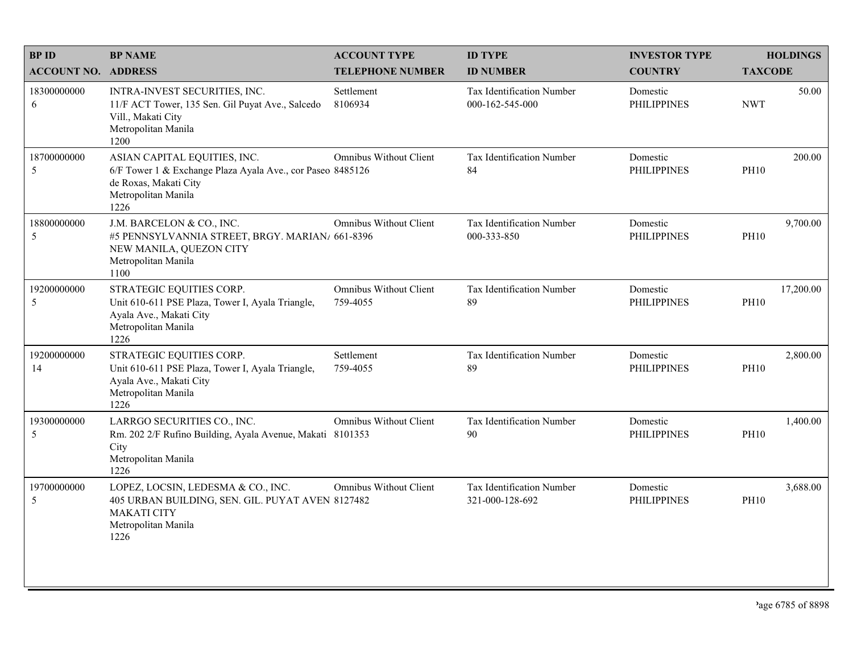| <b>BPID</b>                | <b>BP NAME</b>                                                                                                                                     | <b>ACCOUNT TYPE</b>                       | <b>ID TYPE</b>                               | <b>INVESTOR TYPE</b>           | <b>HOLDINGS</b>          |
|----------------------------|----------------------------------------------------------------------------------------------------------------------------------------------------|-------------------------------------------|----------------------------------------------|--------------------------------|--------------------------|
| <b>ACCOUNT NO. ADDRESS</b> |                                                                                                                                                    | <b>TELEPHONE NUMBER</b>                   | <b>ID NUMBER</b>                             | <b>COUNTRY</b>                 | <b>TAXCODE</b>           |
| 18300000000<br>6           | INTRA-INVEST SECURITIES, INC.<br>11/F ACT Tower, 135 Sen. Gil Puyat Ave., Salcedo<br>Vill., Makati City<br>Metropolitan Manila<br>1200             | Settlement<br>8106934                     | Tax Identification Number<br>000-162-545-000 | Domestic<br><b>PHILIPPINES</b> | 50.00<br><b>NWT</b>      |
| 18700000000<br>5           | ASIAN CAPITAL EQUITIES, INC.<br>6/F Tower 1 & Exchange Plaza Ayala Ave., cor Paseo 8485126<br>de Roxas, Makati City<br>Metropolitan Manila<br>1226 | <b>Omnibus Without Client</b>             | Tax Identification Number<br>84              | Domestic<br><b>PHILIPPINES</b> | 200.00<br><b>PH10</b>    |
| 18800000000<br>5           | J.M. BARCELON & CO., INC.<br>#5 PENNSYLVANNIA STREET, BRGY. MARIAN/ 661-8396<br>NEW MANILA, QUEZON CITY<br>Metropolitan Manila<br>1100             | <b>Omnibus Without Client</b>             | Tax Identification Number<br>000-333-850     | Domestic<br><b>PHILIPPINES</b> | 9,700.00<br><b>PH10</b>  |
| 19200000000<br>5           | STRATEGIC EQUITIES CORP.<br>Unit 610-611 PSE Plaza, Tower I, Ayala Triangle,<br>Ayala Ave., Makati City<br>Metropolitan Manila<br>1226             | <b>Omnibus Without Client</b><br>759-4055 | Tax Identification Number<br>89              | Domestic<br><b>PHILIPPINES</b> | 17,200.00<br><b>PH10</b> |
| 19200000000<br>14          | STRATEGIC EQUITIES CORP.<br>Unit 610-611 PSE Plaza, Tower I, Ayala Triangle,<br>Ayala Ave., Makati City<br>Metropolitan Manila<br>1226             | Settlement<br>759-4055                    | Tax Identification Number<br>89              | Domestic<br><b>PHILIPPINES</b> | 2,800.00<br><b>PH10</b>  |
| 19300000000<br>5           | LARRGO SECURITIES CO., INC.<br>Rm. 202 2/F Rufino Building, Ayala Avenue, Makati 8101353<br>City<br>Metropolitan Manila<br>1226                    | <b>Omnibus Without Client</b>             | Tax Identification Number<br>90              | Domestic<br><b>PHILIPPINES</b> | 1,400.00<br><b>PH10</b>  |
| 19700000000<br>5           | LOPEZ, LOCSIN, LEDESMA & CO., INC.<br>405 URBAN BUILDING, SEN. GIL. PUYAT AVEN 8127482<br><b>MAKATI CITY</b><br>Metropolitan Manila<br>1226        | <b>Omnibus Without Client</b>             | Tax Identification Number<br>321-000-128-692 | Domestic<br><b>PHILIPPINES</b> | 3,688.00<br><b>PH10</b>  |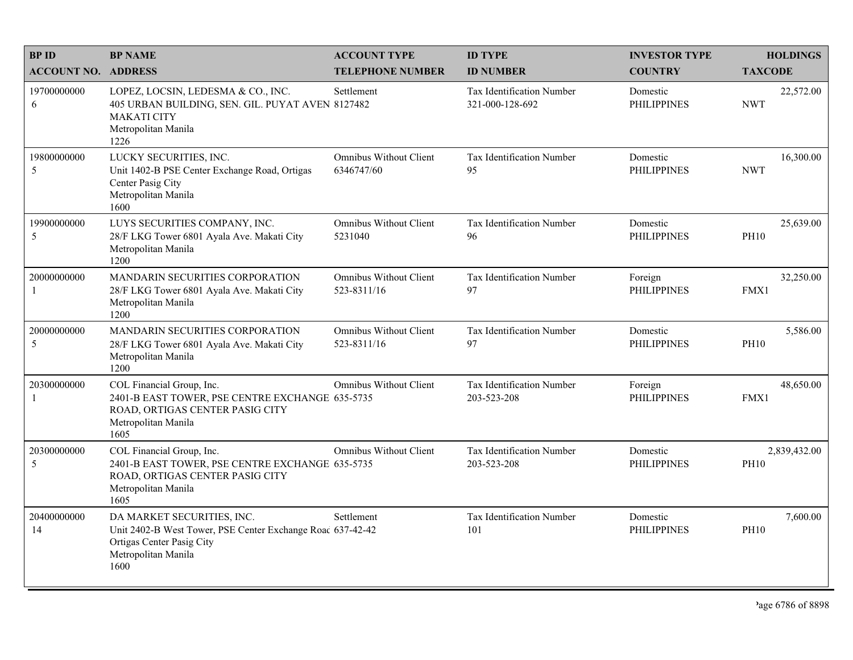| <b>BPID</b>                | <b>BP NAME</b>                                                                                                                                       | <b>ACCOUNT TYPE</b>                          | <b>ID TYPE</b>                               | <b>INVESTOR TYPE</b>           | <b>HOLDINGS</b>             |
|----------------------------|------------------------------------------------------------------------------------------------------------------------------------------------------|----------------------------------------------|----------------------------------------------|--------------------------------|-----------------------------|
| <b>ACCOUNT NO. ADDRESS</b> |                                                                                                                                                      | <b>TELEPHONE NUMBER</b>                      | <b>ID NUMBER</b>                             | <b>COUNTRY</b>                 | <b>TAXCODE</b>              |
| 19700000000<br>6           | LOPEZ, LOCSIN, LEDESMA & CO., INC.<br>405 URBAN BUILDING, SEN. GIL. PUYAT AVEN 8127482<br><b>MAKATI CITY</b><br>Metropolitan Manila<br>1226          | Settlement                                   | Tax Identification Number<br>321-000-128-692 | Domestic<br><b>PHILIPPINES</b> | 22,572.00<br><b>NWT</b>     |
| 19800000000<br>5           | LUCKY SECURITIES, INC.<br>Unit 1402-B PSE Center Exchange Road, Ortigas<br>Center Pasig City<br>Metropolitan Manila<br>1600                          | Omnibus Without Client<br>6346747/60         | Tax Identification Number<br>95              | Domestic<br><b>PHILIPPINES</b> | 16,300.00<br><b>NWT</b>     |
| 19900000000<br>5           | LUYS SECURITIES COMPANY, INC.<br>28/F LKG Tower 6801 Ayala Ave. Makati City<br>Metropolitan Manila<br>1200                                           | <b>Omnibus Without Client</b><br>5231040     | Tax Identification Number<br>96              | Domestic<br><b>PHILIPPINES</b> | 25,639.00<br><b>PH10</b>    |
| 20000000000<br>-1          | MANDARIN SECURITIES CORPORATION<br>28/F LKG Tower 6801 Ayala Ave. Makati City<br>Metropolitan Manila<br>1200                                         | <b>Omnibus Without Client</b><br>523-8311/16 | Tax Identification Number<br>97              | Foreign<br><b>PHILIPPINES</b>  | 32,250.00<br>FMX1           |
| 20000000000<br>5           | MANDARIN SECURITIES CORPORATION<br>28/F LKG Tower 6801 Ayala Ave. Makati City<br>Metropolitan Manila<br>1200                                         | Omnibus Without Client<br>523-8311/16        | Tax Identification Number<br>97              | Domestic<br><b>PHILIPPINES</b> | 5,586.00<br><b>PH10</b>     |
| 20300000000<br>-1          | COL Financial Group, Inc.<br>2401-B EAST TOWER, PSE CENTRE EXCHANGE 635-5735<br>ROAD, ORTIGAS CENTER PASIG CITY<br>Metropolitan Manila<br>1605       | <b>Omnibus Without Client</b>                | Tax Identification Number<br>203-523-208     | Foreign<br><b>PHILIPPINES</b>  | 48,650.00<br>FMX1           |
| 20300000000<br>5           | COL Financial Group, Inc.<br>2401-B EAST TOWER, PSE CENTRE EXCHANGE 635-5735<br>ROAD, ORTIGAS CENTER PASIG CITY<br>Metropolitan Manila<br>1605       | <b>Omnibus Without Client</b>                | Tax Identification Number<br>203-523-208     | Domestic<br><b>PHILIPPINES</b> | 2,839,432.00<br><b>PH10</b> |
| 20400000000<br>14          | DA MARKET SECURITIES, INC.<br>Unit 2402-B West Tower, PSE Center Exchange Roac 637-42-42<br>Ortigas Center Pasig City<br>Metropolitan Manila<br>1600 | Settlement                                   | Tax Identification Number<br>101             | Domestic<br><b>PHILIPPINES</b> | 7,600.00<br><b>PH10</b>     |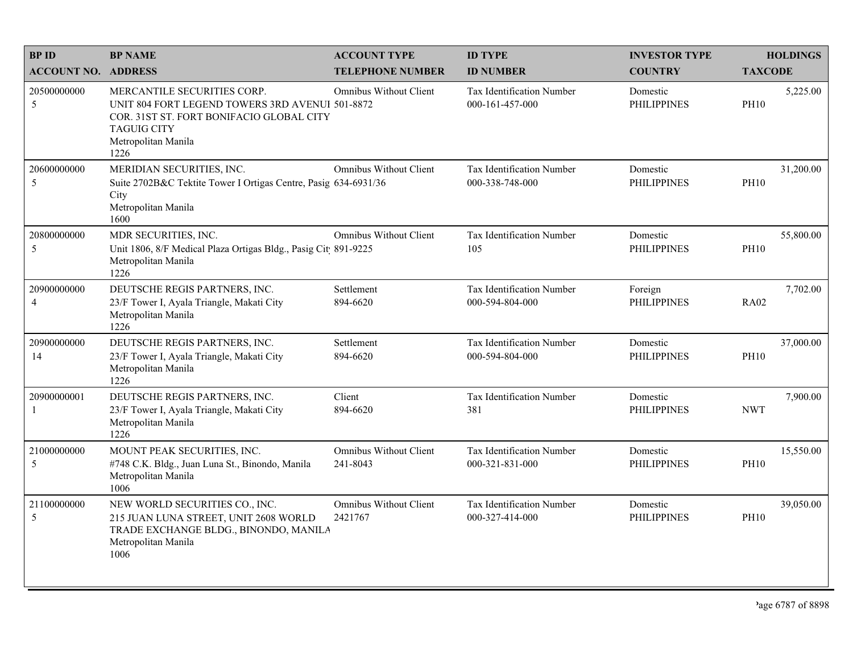| <b>BPID</b>                   | <b>BP NAME</b>                                                                                                                                                                  | <b>ACCOUNT TYPE</b>                      | <b>ID TYPE</b>                                       | <b>INVESTOR TYPE</b>           | <b>HOLDINGS</b>          |
|-------------------------------|---------------------------------------------------------------------------------------------------------------------------------------------------------------------------------|------------------------------------------|------------------------------------------------------|--------------------------------|--------------------------|
| <b>ACCOUNT NO. ADDRESS</b>    |                                                                                                                                                                                 | <b>TELEPHONE NUMBER</b>                  | <b>ID NUMBER</b>                                     | <b>COUNTRY</b>                 | <b>TAXCODE</b>           |
| 20500000000<br>5              | MERCANTILE SECURITIES CORP.<br>UNIT 804 FORT LEGEND TOWERS 3RD AVENUI 501-8872<br>COR. 31ST ST. FORT BONIFACIO GLOBAL CITY<br><b>TAGUIG CITY</b><br>Metropolitan Manila<br>1226 | <b>Omnibus Without Client</b>            | Tax Identification Number<br>000-161-457-000         | Domestic<br><b>PHILIPPINES</b> | 5,225.00<br><b>PH10</b>  |
| 20600000000<br>5              | MERIDIAN SECURITIES, INC.<br>Suite 2702B&C Tektite Tower I Ortigas Centre, Pasig 634-6931/36<br>City<br>Metropolitan Manila<br>1600                                             | <b>Omnibus Without Client</b>            | Tax Identification Number<br>000-338-748-000         | Domestic<br><b>PHILIPPINES</b> | 31,200.00<br><b>PH10</b> |
| 20800000000<br>5              | MDR SECURITIES, INC.<br>Unit 1806, 8/F Medical Plaza Ortigas Bldg., Pasig Cit 891-9225<br>Metropolitan Manila<br>1226                                                           | <b>Omnibus Without Client</b>            | Tax Identification Number<br>105                     | Domestic<br><b>PHILIPPINES</b> | 55,800.00<br><b>PH10</b> |
| 20900000000<br>$\overline{4}$ | DEUTSCHE REGIS PARTNERS, INC.<br>23/F Tower I, Ayala Triangle, Makati City<br>Metropolitan Manila<br>1226                                                                       | Settlement<br>894-6620                   | <b>Tax Identification Number</b><br>000-594-804-000  | Foreign<br><b>PHILIPPINES</b>  | 7,702.00<br><b>RA02</b>  |
| 20900000000<br>14             | DEUTSCHE REGIS PARTNERS, INC.<br>23/F Tower I, Ayala Triangle, Makati City<br>Metropolitan Manila<br>1226                                                                       | Settlement<br>894-6620                   | <b>Tax Identification Number</b><br>000-594-804-000  | Domestic<br><b>PHILIPPINES</b> | 37,000.00<br><b>PH10</b> |
| 20900000001<br>-1             | DEUTSCHE REGIS PARTNERS, INC.<br>23/F Tower I, Ayala Triangle, Makati City<br>Metropolitan Manila<br>1226                                                                       | Client<br>894-6620                       | Tax Identification Number<br>381                     | Domestic<br><b>PHILIPPINES</b> | 7,900.00<br><b>NWT</b>   |
| 21000000000<br>5              | MOUNT PEAK SECURITIES, INC.<br>#748 C.K. Bldg., Juan Luna St., Binondo, Manila<br>Metropolitan Manila<br>1006                                                                   | Omnibus Without Client<br>241-8043       | Tax Identification Number<br>$000 - 321 - 831 - 000$ | Domestic<br><b>PHILIPPINES</b> | 15,550.00<br><b>PH10</b> |
| 21100000000<br>5              | NEW WORLD SECURITIES CO., INC.<br>215 JUAN LUNA STREET, UNIT 2608 WORLD<br>TRADE EXCHANGE BLDG., BINONDO, MANILA<br>Metropolitan Manila<br>1006                                 | <b>Omnibus Without Client</b><br>2421767 | Tax Identification Number<br>000-327-414-000         | Domestic<br><b>PHILIPPINES</b> | 39,050.00<br><b>PH10</b> |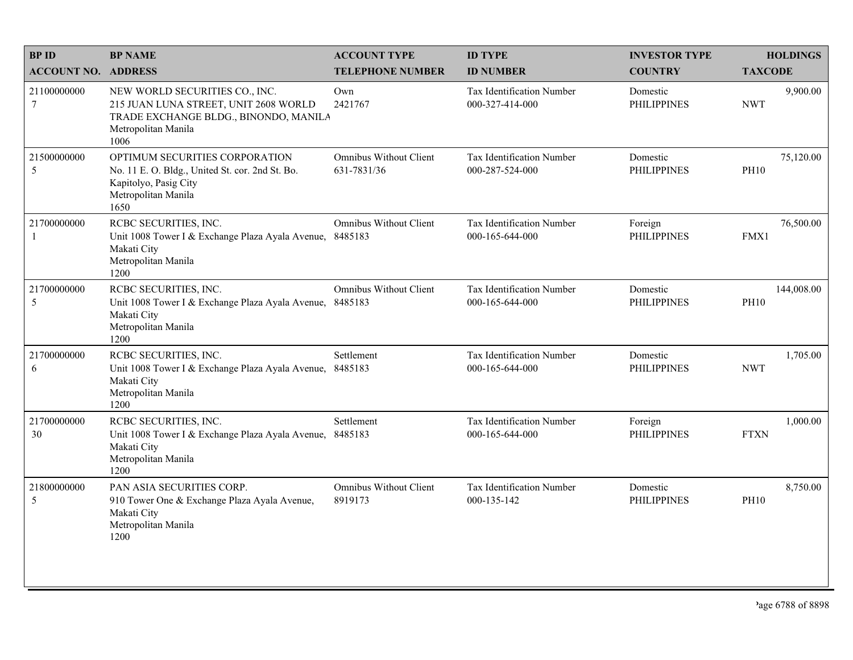| <b>BPID</b>                    | <b>BP NAME</b>                                                                                                                                  | <b>ACCOUNT TYPE</b>                          | <b>ID TYPE</b>                                      | <b>INVESTOR TYPE</b>           | <b>HOLDINGS</b>           |
|--------------------------------|-------------------------------------------------------------------------------------------------------------------------------------------------|----------------------------------------------|-----------------------------------------------------|--------------------------------|---------------------------|
| <b>ACCOUNT NO. ADDRESS</b>     |                                                                                                                                                 | <b>TELEPHONE NUMBER</b>                      | <b>ID NUMBER</b>                                    | <b>COUNTRY</b>                 | <b>TAXCODE</b>            |
| 21100000000<br>$7\phantom{.0}$ | NEW WORLD SECURITIES CO., INC.<br>215 JUAN LUNA STREET, UNIT 2608 WORLD<br>TRADE EXCHANGE BLDG., BINONDO, MANILA<br>Metropolitan Manila<br>1006 | Own<br>2421767                               | <b>Tax Identification Number</b><br>000-327-414-000 | Domestic<br><b>PHILIPPINES</b> | 9,900.00<br><b>NWT</b>    |
| 21500000000<br>5               | OPTIMUM SECURITIES CORPORATION<br>No. 11 E. O. Bldg., United St. cor. 2nd St. Bo.<br>Kapitolyo, Pasig City<br>Metropolitan Manila<br>1650       | <b>Omnibus Without Client</b><br>631-7831/36 | Tax Identification Number<br>000-287-524-000        | Domestic<br><b>PHILIPPINES</b> | 75,120.00<br><b>PH10</b>  |
| 21700000000<br>$\mathbf{1}$    | RCBC SECURITIES, INC.<br>Unit 1008 Tower I & Exchange Plaza Ayala Avenue, 8485183<br>Makati City<br>Metropolitan Manila<br>1200                 | <b>Omnibus Without Client</b>                | Tax Identification Number<br>000-165-644-000        | Foreign<br><b>PHILIPPINES</b>  | 76,500.00<br>FMX1         |
| 21700000000<br>5               | RCBC SECURITIES, INC.<br>Unit 1008 Tower I & Exchange Plaza Ayala Avenue, 8485183<br>Makati City<br>Metropolitan Manila<br>1200                 | Omnibus Without Client                       | Tax Identification Number<br>000-165-644-000        | Domestic<br><b>PHILIPPINES</b> | 144,008.00<br><b>PH10</b> |
| 21700000000<br>6               | RCBC SECURITIES, INC.<br>Unit 1008 Tower I & Exchange Plaza Ayala Avenue,<br>Makati City<br>Metropolitan Manila<br>1200                         | Settlement<br>8485183                        | Tax Identification Number<br>000-165-644-000        | Domestic<br><b>PHILIPPINES</b> | 1,705.00<br><b>NWT</b>    |
| 21700000000<br>30              | RCBC SECURITIES, INC.<br>Unit 1008 Tower I & Exchange Plaza Ayala Avenue,<br>Makati City<br>Metropolitan Manila<br>1200                         | Settlement<br>8485183                        | Tax Identification Number<br>000-165-644-000        | Foreign<br><b>PHILIPPINES</b>  | 1,000.00<br><b>FTXN</b>   |
| 21800000000<br>5               | PAN ASIA SECURITIES CORP.<br>910 Tower One & Exchange Plaza Ayala Avenue,<br>Makati City<br>Metropolitan Manila<br>1200                         | <b>Omnibus Without Client</b><br>8919173     | Tax Identification Number<br>000-135-142            | Domestic<br><b>PHILIPPINES</b> | 8,750.00<br><b>PH10</b>   |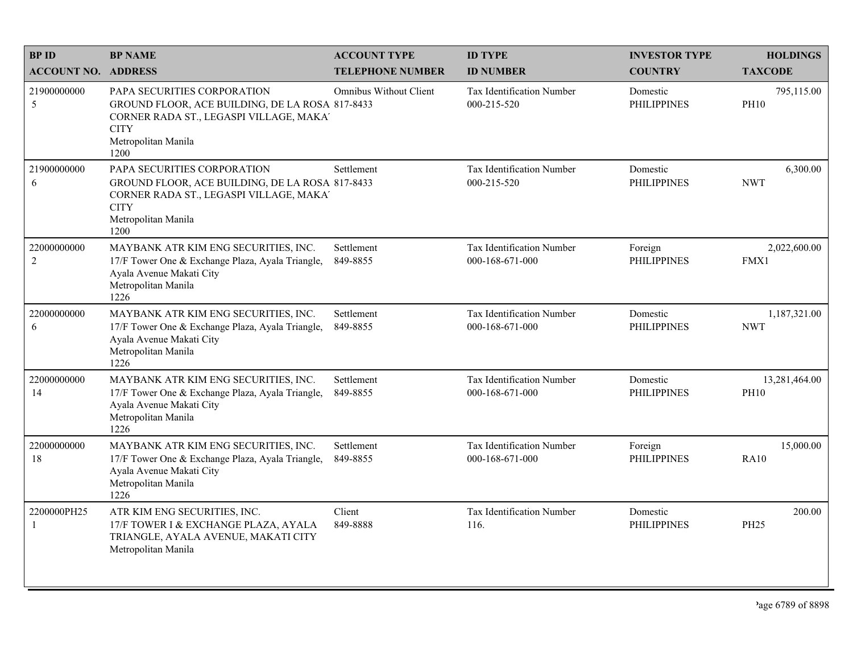| <b>BP ID</b><br><b>ACCOUNT NO. ADDRESS</b> | <b>BP NAME</b>                                                                                                                                                          | <b>ACCOUNT TYPE</b><br><b>TELEPHONE NUMBER</b> | <b>ID TYPE</b><br><b>ID NUMBER</b>           | <b>INVESTOR TYPE</b><br><b>COUNTRY</b> | <b>HOLDINGS</b><br><b>TAXCODE</b> |
|--------------------------------------------|-------------------------------------------------------------------------------------------------------------------------------------------------------------------------|------------------------------------------------|----------------------------------------------|----------------------------------------|-----------------------------------|
| 21900000000<br>5                           | PAPA SECURITIES CORPORATION<br>GROUND FLOOR, ACE BUILDING, DE LA ROSA 817-8433<br>CORNER RADA ST., LEGASPI VILLAGE, MAKA'<br><b>CITY</b><br>Metropolitan Manila<br>1200 | <b>Omnibus Without Client</b>                  | Tax Identification Number<br>000-215-520     | Domestic<br><b>PHILIPPINES</b>         | 795,115.00<br><b>PH10</b>         |
| 21900000000<br>6                           | PAPA SECURITIES CORPORATION<br>GROUND FLOOR, ACE BUILDING, DE LA ROSA 817-8433<br>CORNER RADA ST., LEGASPI VILLAGE, MAKA'<br><b>CITY</b><br>Metropolitan Manila<br>1200 | Settlement                                     | Tax Identification Number<br>000-215-520     | Domestic<br><b>PHILIPPINES</b>         | 6,300.00<br><b>NWT</b>            |
| 22000000000<br>$\overline{c}$              | MAYBANK ATR KIM ENG SECURITIES, INC.<br>17/F Tower One & Exchange Plaza, Ayala Triangle,<br>Ayala Avenue Makati City<br>Metropolitan Manila<br>1226                     | Settlement<br>849-8855                         | Tax Identification Number<br>000-168-671-000 | Foreign<br><b>PHILIPPINES</b>          | 2,022,600.00<br>FMX1              |
| 22000000000<br>6                           | MAYBANK ATR KIM ENG SECURITIES, INC.<br>17/F Tower One & Exchange Plaza, Ayala Triangle,<br>Ayala Avenue Makati City<br>Metropolitan Manila<br>1226                     | Settlement<br>849-8855                         | Tax Identification Number<br>000-168-671-000 | Domestic<br><b>PHILIPPINES</b>         | 1,187,321.00<br><b>NWT</b>        |
| 22000000000<br>14                          | MAYBANK ATR KIM ENG SECURITIES, INC.<br>17/F Tower One & Exchange Plaza, Ayala Triangle,<br>Ayala Avenue Makati City<br>Metropolitan Manila<br>1226                     | Settlement<br>849-8855                         | Tax Identification Number<br>000-168-671-000 | Domestic<br><b>PHILIPPINES</b>         | 13,281,464.00<br><b>PH10</b>      |
| 22000000000<br>18                          | MAYBANK ATR KIM ENG SECURITIES, INC.<br>17/F Tower One & Exchange Plaza, Ayala Triangle,<br>Ayala Avenue Makati City<br>Metropolitan Manila<br>1226                     | Settlement<br>849-8855                         | Tax Identification Number<br>000-168-671-000 | Foreign<br><b>PHILIPPINES</b>          | 15,000.00<br><b>RA10</b>          |
| 2200000PH25<br>1                           | ATR KIM ENG SECURITIES, INC.<br>17/F TOWER I & EXCHANGE PLAZA, AYALA<br>TRIANGLE, AYALA AVENUE, MAKATI CITY<br>Metropolitan Manila                                      | Client<br>849-8888                             | Tax Identification Number<br>116.            | Domestic<br><b>PHILIPPINES</b>         | 200.00<br><b>PH25</b>             |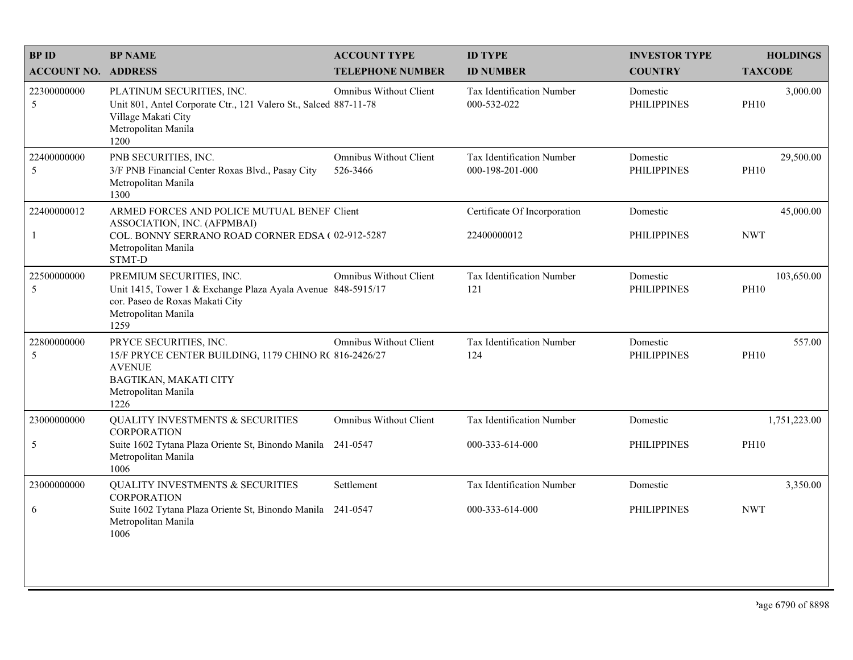| <b>BPID</b>                | <b>BP NAME</b>                                                                                                                                             | <b>ACCOUNT TYPE</b>                       | <b>ID TYPE</b>                                  | <b>INVESTOR TYPE</b>           | <b>HOLDINGS</b>           |
|----------------------------|------------------------------------------------------------------------------------------------------------------------------------------------------------|-------------------------------------------|-------------------------------------------------|--------------------------------|---------------------------|
| <b>ACCOUNT NO. ADDRESS</b> |                                                                                                                                                            | <b>TELEPHONE NUMBER</b>                   | <b>ID NUMBER</b>                                | <b>COUNTRY</b>                 | <b>TAXCODE</b>            |
| 22300000000<br>5           | PLATINUM SECURITIES, INC.<br>Unit 801, Antel Corporate Ctr., 121 Valero St., Salced 887-11-78<br>Village Makati City<br>Metropolitan Manila<br>1200        | Omnibus Without Client                    | <b>Tax Identification Number</b><br>000-532-022 | Domestic<br><b>PHILIPPINES</b> | 3,000.00<br><b>PH10</b>   |
| 22400000000<br>5           | PNB SECURITIES, INC.<br>3/F PNB Financial Center Roxas Blvd., Pasay City<br>Metropolitan Manila<br>1300                                                    | <b>Omnibus Without Client</b><br>526-3466 | Tax Identification Number<br>000-198-201-000    | Domestic<br><b>PHILIPPINES</b> | 29,500.00<br><b>PH10</b>  |
| 22400000012                | ARMED FORCES AND POLICE MUTUAL BENEF Client<br>ASSOCIATION, INC. (AFPMBAI)                                                                                 |                                           | Certificate Of Incorporation                    | Domestic                       | 45,000.00                 |
| $\mathbf{1}$               | COL. BONNY SERRANO ROAD CORNER EDSA (02-912-5287<br>Metropolitan Manila<br>STMT-D                                                                          |                                           | 22400000012                                     | <b>PHILIPPINES</b>             | <b>NWT</b>                |
| 22500000000<br>5           | PREMIUM SECURITIES, INC.<br>Unit 1415, Tower 1 & Exchange Plaza Ayala Avenue 848-5915/17<br>cor. Paseo de Roxas Makati City<br>Metropolitan Manila<br>1259 | <b>Omnibus Without Client</b>             | Tax Identification Number<br>121                | Domestic<br><b>PHILIPPINES</b> | 103,650.00<br><b>PH10</b> |
| 22800000000<br>5           | PRYCE SECURITIES, INC.<br>15/F PRYCE CENTER BUILDING, 1179 CHINO R( 816-2426/27<br><b>AVENUE</b><br>BAGTIKAN, MAKATI CITY<br>Metropolitan Manila<br>1226   | Omnibus Without Client                    | Tax Identification Number<br>124                | Domestic<br><b>PHILIPPINES</b> | 557.00<br><b>PH10</b>     |
| 23000000000                | <b>QUALITY INVESTMENTS &amp; SECURITIES</b><br><b>CORPORATION</b>                                                                                          | <b>Omnibus Without Client</b>             | Tax Identification Number                       | Domestic                       | 1,751,223.00              |
| $\mathfrak{S}$             | Suite 1602 Tytana Plaza Oriente St, Binondo Manila 241-0547<br>Metropolitan Manila<br>1006                                                                 |                                           | 000-333-614-000                                 | <b>PHILIPPINES</b>             | <b>PH10</b>               |
| 23000000000                | <b>QUALITY INVESTMENTS &amp; SECURITIES</b><br><b>CORPORATION</b>                                                                                          | Settlement                                | Tax Identification Number                       | Domestic                       | 3,350.00                  |
| 6                          | Suite 1602 Tytana Plaza Oriente St, Binondo Manila 241-0547<br>Metropolitan Manila<br>1006                                                                 |                                           | 000-333-614-000                                 | <b>PHILIPPINES</b>             | <b>NWT</b>                |
|                            |                                                                                                                                                            |                                           |                                                 |                                |                           |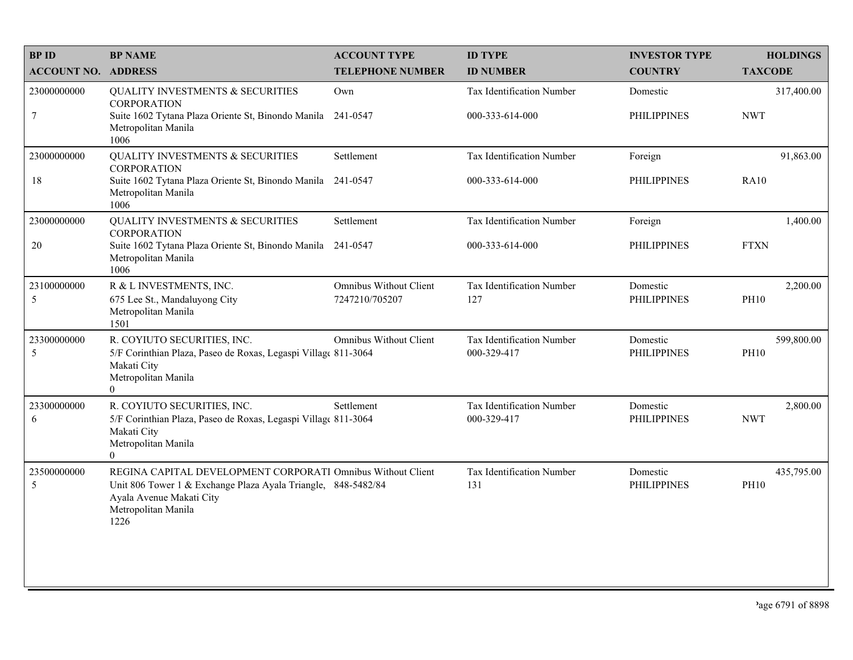| <b>BP ID</b>               | <b>BP NAME</b>                                                                                                                                                                          | <b>ACCOUNT TYPE</b>                      | <b>ID TYPE</b>                           | <b>INVESTOR TYPE</b>           | <b>HOLDINGS</b>           |
|----------------------------|-----------------------------------------------------------------------------------------------------------------------------------------------------------------------------------------|------------------------------------------|------------------------------------------|--------------------------------|---------------------------|
| <b>ACCOUNT NO. ADDRESS</b> |                                                                                                                                                                                         | <b>TELEPHONE NUMBER</b>                  | <b>ID NUMBER</b>                         | <b>COUNTRY</b>                 | <b>TAXCODE</b>            |
| 23000000000                | <b>QUALITY INVESTMENTS &amp; SECURITIES</b><br><b>CORPORATION</b>                                                                                                                       | Own                                      | Tax Identification Number                | Domestic                       | 317,400.00                |
| $\tau$                     | Suite 1602 Tytana Plaza Oriente St, Binondo Manila 241-0547<br>Metropolitan Manila<br>1006                                                                                              |                                          | 000-333-614-000                          | <b>PHILIPPINES</b>             | <b>NWT</b>                |
| 23000000000                | <b>QUALITY INVESTMENTS &amp; SECURITIES</b><br><b>CORPORATION</b>                                                                                                                       | Settlement                               | Tax Identification Number                | Foreign                        | 91,863.00                 |
| 18                         | Suite 1602 Tytana Plaza Oriente St, Binondo Manila 241-0547<br>Metropolitan Manila<br>1006                                                                                              |                                          | 000-333-614-000                          | <b>PHILIPPINES</b>             | <b>RA10</b>               |
| 23000000000                | <b>QUALITY INVESTMENTS &amp; SECURITIES</b><br><b>CORPORATION</b>                                                                                                                       | Settlement                               | Tax Identification Number                | Foreign                        | 1,400.00                  |
| 20                         | Suite 1602 Tytana Plaza Oriente St, Binondo Manila 241-0547<br>Metropolitan Manila<br>1006                                                                                              |                                          | 000-333-614-000                          | <b>PHILIPPINES</b>             | <b>FTXN</b>               |
| 23100000000<br>5           | R & L INVESTMENTS, INC.<br>675 Lee St., Mandaluyong City<br>Metropolitan Manila<br>1501                                                                                                 | Omnibus Without Client<br>7247210/705207 | Tax Identification Number<br>127         | Domestic<br><b>PHILIPPINES</b> | 2,200.00<br><b>PH10</b>   |
| 23300000000<br>5           | R. COYIUTO SECURITIES, INC.<br>5/F Corinthian Plaza, Paseo de Roxas, Legaspi Village 811-3064<br>Makati City<br>Metropolitan Manila<br>$\overline{0}$                                   | <b>Omnibus Without Client</b>            | Tax Identification Number<br>000-329-417 | Domestic<br><b>PHILIPPINES</b> | 599,800.00<br><b>PH10</b> |
| 23300000000<br>6           | R. COYIUTO SECURITIES, INC.<br>5/F Corinthian Plaza, Paseo de Roxas, Legaspi Village 811-3064<br>Makati City<br>Metropolitan Manila<br>$\Omega$                                         | Settlement                               | Tax Identification Number<br>000-329-417 | Domestic<br><b>PHILIPPINES</b> | 2,800.00<br><b>NWT</b>    |
| 23500000000<br>5           | REGINA CAPITAL DEVELOPMENT CORPORATI Omnibus Without Client<br>Unit 806 Tower 1 & Exchange Plaza Ayala Triangle, 848-5482/84<br>Ayala Avenue Makati City<br>Metropolitan Manila<br>1226 |                                          | Tax Identification Number<br>131         | Domestic<br><b>PHILIPPINES</b> | 435,795.00<br><b>PH10</b> |
|                            |                                                                                                                                                                                         |                                          |                                          |                                |                           |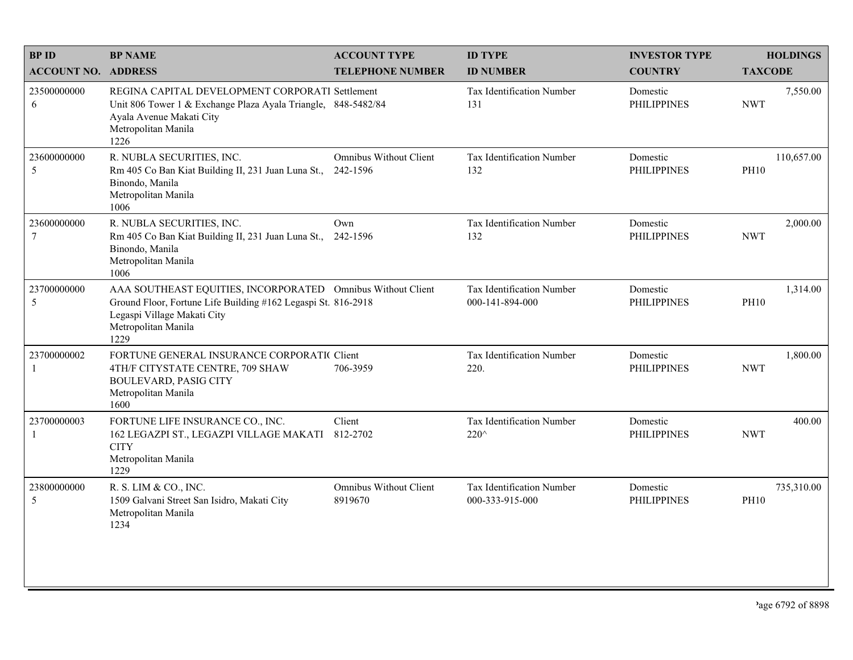| <b>BPID</b>                   | <b>BP NAME</b>                                                                                                                                                                             | <b>ACCOUNT TYPE</b>                      | <b>ID TYPE</b>                               | <b>INVESTOR TYPE</b>           | <b>HOLDINGS</b>           |
|-------------------------------|--------------------------------------------------------------------------------------------------------------------------------------------------------------------------------------------|------------------------------------------|----------------------------------------------|--------------------------------|---------------------------|
| <b>ACCOUNT NO. ADDRESS</b>    |                                                                                                                                                                                            | <b>TELEPHONE NUMBER</b>                  | <b>ID NUMBER</b>                             | <b>COUNTRY</b>                 | <b>TAXCODE</b>            |
| 23500000000<br>6              | REGINA CAPITAL DEVELOPMENT CORPORATI Settlement<br>Unit 806 Tower 1 & Exchange Plaza Ayala Triangle, 848-5482/84<br>Ayala Avenue Makati City<br>Metropolitan Manila<br>1226                |                                          | <b>Tax Identification Number</b><br>131      | Domestic<br><b>PHILIPPINES</b> | 7,550.00<br><b>NWT</b>    |
| 23600000000<br>5              | R. NUBLA SECURITIES, INC.<br>Rm 405 Co Ban Kiat Building II, 231 Juan Luna St.,<br>Binondo, Manila<br>Metropolitan Manila<br>1006                                                          | Omnibus Without Client<br>242-1596       | Tax Identification Number<br>132             | Domestic<br><b>PHILIPPINES</b> | 110,657.00<br><b>PH10</b> |
| 23600000000<br>$\overline{7}$ | R. NUBLA SECURITIES, INC.<br>Rm 405 Co Ban Kiat Building II, 231 Juan Luna St.,<br>Binondo, Manila<br>Metropolitan Manila<br>1006                                                          | Own<br>242-1596                          | Tax Identification Number<br>132             | Domestic<br><b>PHILIPPINES</b> | 2,000.00<br><b>NWT</b>    |
| 23700000000<br>5              | AAA SOUTHEAST EQUITIES, INCORPORATED Omnibus Without Client<br>Ground Floor, Fortune Life Building #162 Legaspi St. 816-2918<br>Legaspi Village Makati City<br>Metropolitan Manila<br>1229 |                                          | Tax Identification Number<br>000-141-894-000 | Domestic<br><b>PHILIPPINES</b> | 1,314.00<br><b>PH10</b>   |
| 23700000002<br>$\overline{1}$ | FORTUNE GENERAL INSURANCE CORPORATIC Client<br>4TH/F CITYSTATE CENTRE, 709 SHAW<br><b>BOULEVARD, PASIG CITY</b><br>Metropolitan Manila<br>1600                                             | 706-3959                                 | Tax Identification Number<br>220.            | Domestic<br><b>PHILIPPINES</b> | 1,800.00<br><b>NWT</b>    |
| 23700000003<br>-1             | FORTUNE LIFE INSURANCE CO., INC.<br>162 LEGAZPI ST., LEGAZPI VILLAGE MAKATI<br><b>CITY</b><br>Metropolitan Manila<br>1229                                                                  | Client<br>812-2702                       | Tax Identification Number<br>220^            | Domestic<br><b>PHILIPPINES</b> | 400.00<br><b>NWT</b>      |
| 23800000000<br>5              | R. S. LIM & CO., INC.<br>1509 Galvani Street San Isidro, Makati City<br>Metropolitan Manila<br>1234                                                                                        | <b>Omnibus Without Client</b><br>8919670 | Tax Identification Number<br>000-333-915-000 | Domestic<br><b>PHILIPPINES</b> | 735,310.00<br><b>PH10</b> |
|                               |                                                                                                                                                                                            |                                          |                                              |                                |                           |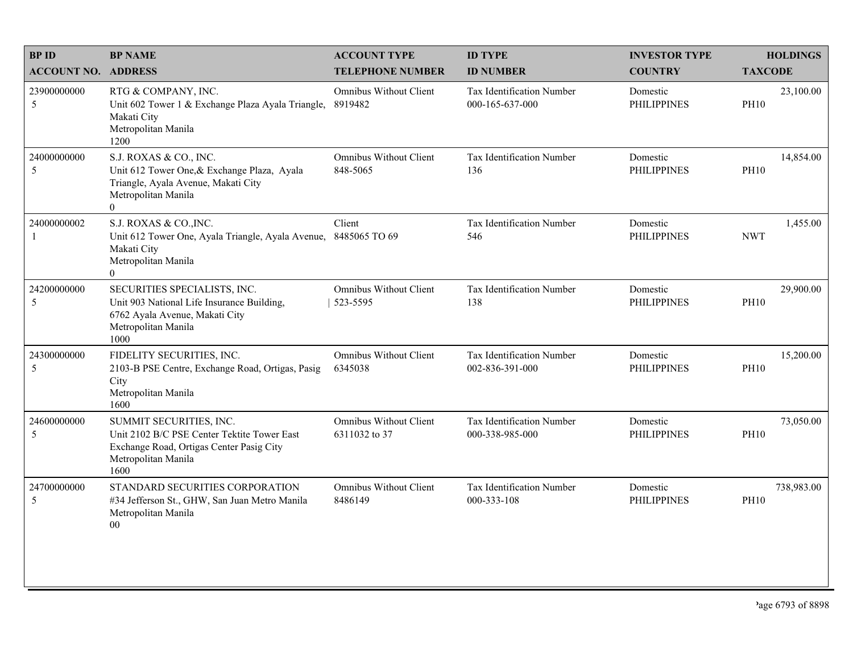| <b>BP NAME</b>                                                                                                                                        | <b>ACCOUNT TYPE</b>                            | <b>ID TYPE</b>                                      | <b>INVESTOR TYPE</b>           | <b>HOLDINGS</b>           |
|-------------------------------------------------------------------------------------------------------------------------------------------------------|------------------------------------------------|-----------------------------------------------------|--------------------------------|---------------------------|
| <b>ACCOUNT NO. ADDRESS</b>                                                                                                                            | <b>TELEPHONE NUMBER</b>                        | <b>ID NUMBER</b>                                    | <b>COUNTRY</b>                 | <b>TAXCODE</b>            |
| RTG & COMPANY, INC.<br>Unit 602 Tower 1 & Exchange Plaza Ayala Triangle,<br>Makati City<br>Metropolitan Manila<br>1200                                | Omnibus Without Client<br>8919482              | <b>Tax Identification Number</b><br>000-165-637-000 | Domestic<br><b>PHILIPPINES</b> | 23,100.00<br><b>PH10</b>  |
| S.J. ROXAS & CO., INC.<br>Unit 612 Tower One, & Exchange Plaza, Ayala<br>Triangle, Ayala Avenue, Makati City<br>Metropolitan Manila<br>$\overline{0}$ | <b>Omnibus Without Client</b><br>848-5065      | Tax Identification Number<br>136                    | Domestic<br><b>PHILIPPINES</b> | 14,854.00<br><b>PH10</b>  |
| S.J. ROXAS & CO., INC.<br>Unit 612 Tower One, Ayala Triangle, Ayala Avenue,<br>Makati City<br>Metropolitan Manila<br>$\theta$                         | Client<br>8485065 TO 69                        | Tax Identification Number<br>546                    | Domestic<br><b>PHILIPPINES</b> | 1,455.00<br><b>NWT</b>    |
| SECURITIES SPECIALISTS, INC.<br>Unit 903 National Life Insurance Building,<br>6762 Ayala Avenue, Makati City<br>Metropolitan Manila<br>1000           | <b>Omnibus Without Client</b><br>523-5595      | Tax Identification Number<br>138                    | Domestic<br><b>PHILIPPINES</b> | 29,900.00<br><b>PH10</b>  |
| FIDELITY SECURITIES, INC.<br>2103-B PSE Centre, Exchange Road, Ortigas, Pasig<br>City<br>Metropolitan Manila<br>1600                                  | Omnibus Without Client<br>6345038              | Tax Identification Number<br>002-836-391-000        | Domestic<br><b>PHILIPPINES</b> | 15,200.00<br><b>PH10</b>  |
| SUMMIT SECURITIES, INC.<br>Unit 2102 B/C PSE Center Tektite Tower East<br>Exchange Road, Ortigas Center Pasig City<br>Metropolitan Manila<br>1600     | <b>Omnibus Without Client</b><br>6311032 to 37 | Tax Identification Number<br>000-338-985-000        | Domestic<br><b>PHILIPPINES</b> | 73,050.00<br><b>PH10</b>  |
| STANDARD SECURITIES CORPORATION<br>#34 Jefferson St., GHW, San Juan Metro Manila<br>Metropolitan Manila<br>00                                         | Omnibus Without Client<br>8486149              | Tax Identification Number<br>000-333-108            | Domestic<br><b>PHILIPPINES</b> | 738,983.00<br><b>PH10</b> |
|                                                                                                                                                       |                                                |                                                     |                                |                           |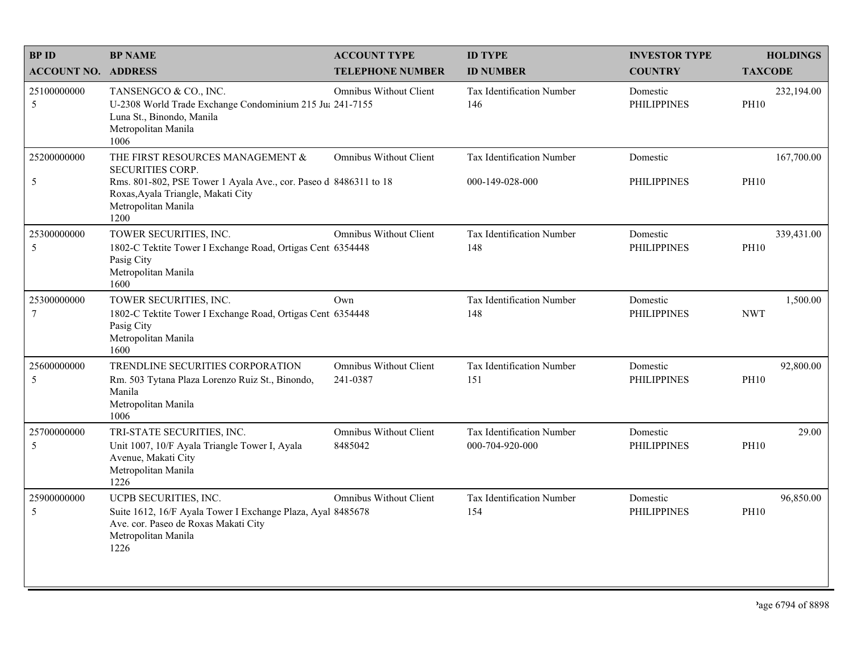| <b>BPID</b>                    | <b>BP NAME</b>                                                                                                                                                                                | <b>ACCOUNT TYPE</b>                | <b>ID TYPE</b>                               | <b>INVESTOR TYPE</b>           | <b>HOLDINGS</b>           |
|--------------------------------|-----------------------------------------------------------------------------------------------------------------------------------------------------------------------------------------------|------------------------------------|----------------------------------------------|--------------------------------|---------------------------|
| <b>ACCOUNT NO. ADDRESS</b>     |                                                                                                                                                                                               | <b>TELEPHONE NUMBER</b>            | <b>ID NUMBER</b>                             | <b>COUNTRY</b>                 | <b>TAXCODE</b>            |
| 25100000000<br>5               | TANSENGCO & CO., INC.<br>U-2308 World Trade Exchange Condominium 215 Ju: 241-7155<br>Luna St., Binondo, Manila<br>Metropolitan Manila<br>1006                                                 | Omnibus Without Client             | <b>Tax Identification Number</b><br>146      | Domestic<br><b>PHILIPPINES</b> | 232,194.00<br><b>PH10</b> |
| 25200000000<br>5               | THE FIRST RESOURCES MANAGEMENT &<br>SECURITIES CORP.<br>Rms. 801-802, PSE Tower 1 Ayala Ave., cor. Paseo d 8486311 to 18<br>Roxas, Ayala Triangle, Makati City<br>Metropolitan Manila<br>1200 | <b>Omnibus Without Client</b>      | Tax Identification Number<br>000-149-028-000 | Domestic<br><b>PHILIPPINES</b> | 167,700.00<br><b>PH10</b> |
| 25300000000<br>5               | TOWER SECURITIES, INC.<br>1802-C Tektite Tower I Exchange Road, Ortigas Cent 6354448<br>Pasig City<br>Metropolitan Manila<br>1600                                                             | <b>Omnibus Without Client</b>      | Tax Identification Number<br>148             | Domestic<br><b>PHILIPPINES</b> | 339,431.00<br><b>PH10</b> |
| 25300000000<br>$7\phantom{.0}$ | TOWER SECURITIES, INC.<br>1802-C Tektite Tower I Exchange Road, Ortigas Cent 6354448<br>Pasig City<br>Metropolitan Manila<br>1600                                                             | Own                                | Tax Identification Number<br>148             | Domestic<br><b>PHILIPPINES</b> | 1,500.00<br><b>NWT</b>    |
| 25600000000<br>5               | TRENDLINE SECURITIES CORPORATION<br>Rm. 503 Tytana Plaza Lorenzo Ruiz St., Binondo,<br>Manila<br>Metropolitan Manila<br>1006                                                                  | Omnibus Without Client<br>241-0387 | Tax Identification Number<br>151             | Domestic<br><b>PHILIPPINES</b> | 92,800.00<br><b>PH10</b>  |
| 25700000000<br>5               | TRI-STATE SECURITIES, INC.<br>Unit 1007, 10/F Ayala Triangle Tower I, Ayala<br>Avenue, Makati City<br>Metropolitan Manila<br>1226                                                             | Omnibus Without Client<br>8485042  | Tax Identification Number<br>000-704-920-000 | Domestic<br><b>PHILIPPINES</b> | 29.00<br><b>PH10</b>      |
| 25900000000<br>5               | UCPB SECURITIES, INC.<br>Suite 1612, 16/F Ayala Tower I Exchange Plaza, Ayal 8485678<br>Ave. cor. Paseo de Roxas Makati City<br>Metropolitan Manila<br>1226                                   | <b>Omnibus Without Client</b>      | Tax Identification Number<br>154             | Domestic<br><b>PHILIPPINES</b> | 96,850.00<br><b>PH10</b>  |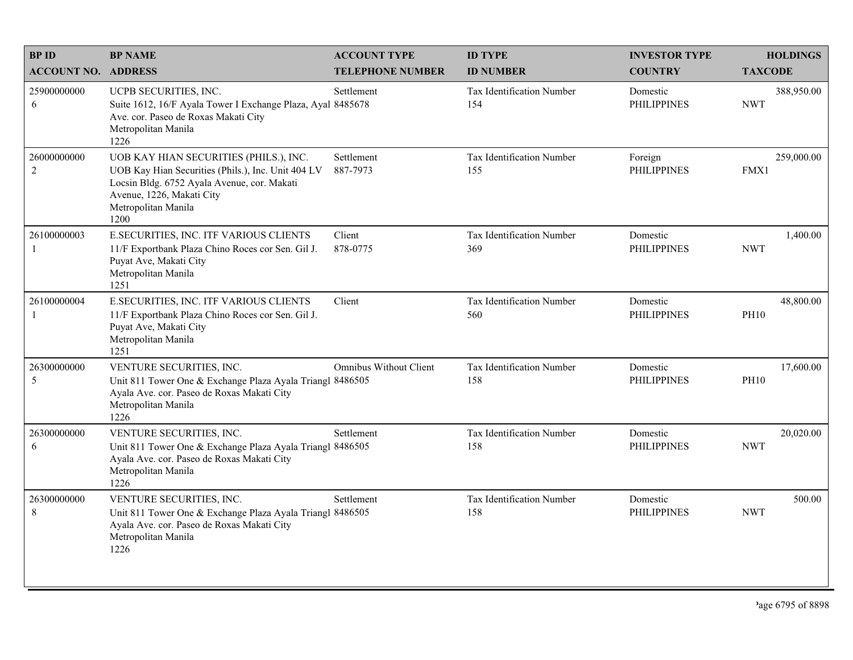| <b>BPID</b>                | <b>BP NAME</b>                                                                                                                                                                                          | <b>ACCOUNT TYPE</b>           | <b>ID TYPE</b>                   | <b>INVESTOR TYPE</b>           | <b>HOLDINGS</b>          |
|----------------------------|---------------------------------------------------------------------------------------------------------------------------------------------------------------------------------------------------------|-------------------------------|----------------------------------|--------------------------------|--------------------------|
| <b>ACCOUNT NO. ADDRESS</b> |                                                                                                                                                                                                         | <b>TELEPHONE NUMBER</b>       | <b>ID NUMBER</b>                 | <b>COUNTRY</b>                 | <b>TAXCODE</b>           |
| 25900000000<br>6           | UCPB SECURITIES, INC.<br>Suite 1612, 16/F Ayala Tower I Exchange Plaza, Ayal 8485678<br>Ave. cor. Paseo de Roxas Makati City<br>Metropolitan Manila<br>1226                                             | Settlement                    | Tax Identification Number<br>154 | Domestic<br><b>PHILIPPINES</b> | 388,950.00<br><b>NWT</b> |
| 26000000000<br>2           | UOB KAY HIAN SECURITIES (PHILS.), INC.<br>UOB Kay Hian Securities (Phils.), Inc. Unit 404 LV<br>Locsin Bldg. 6752 Ayala Avenue, cor. Makati<br>Avenue, 1226, Makati City<br>Metropolitan Manila<br>1200 | Settlement<br>887-7973        | Tax Identification Number<br>155 | Foreign<br><b>PHILIPPINES</b>  | 259,000.00<br>FMX1       |
| 26100000003<br>-1          | E.SECURITIES, INC. ITF VARIOUS CLIENTS<br>11/F Exportbank Plaza Chino Roces cor Sen. Gil J.<br>Puyat Ave, Makati City<br>Metropolitan Manila<br>1251                                                    | Client<br>878-0775            | Tax Identification Number<br>369 | Domestic<br><b>PHILIPPINES</b> | 1,400.00<br><b>NWT</b>   |
| 26100000004<br>-1          | E.SECURITIES, INC. ITF VARIOUS CLIENTS<br>11/F Exportbank Plaza Chino Roces cor Sen. Gil J.<br>Puyat Ave, Makati City<br>Metropolitan Manila<br>1251                                                    | Client                        | Tax Identification Number<br>560 | Domestic<br><b>PHILIPPINES</b> | 48,800.00<br><b>PH10</b> |
| 26300000000<br>5           | VENTURE SECURITIES, INC.<br>Unit 811 Tower One & Exchange Plaza Ayala Triangl 8486505<br>Ayala Ave. cor. Paseo de Roxas Makati City<br>Metropolitan Manila<br>1226                                      | <b>Omnibus Without Client</b> | Tax Identification Number<br>158 | Domestic<br><b>PHILIPPINES</b> | 17,600.00<br><b>PH10</b> |
| 26300000000<br>6           | VENTURE SECURITIES, INC.<br>Unit 811 Tower One & Exchange Plaza Ayala Triangl 8486505<br>Ayala Ave. cor. Paseo de Roxas Makati City<br>Metropolitan Manila<br>1226                                      | Settlement                    | Tax Identification Number<br>158 | Domestic<br><b>PHILIPPINES</b> | 20,020.00<br><b>NWT</b>  |
| 26300000000<br>8           | VENTURE SECURITIES, INC.<br>Unit 811 Tower One & Exchange Plaza Ayala Triangl 8486505<br>Ayala Ave. cor. Paseo de Roxas Makati City<br>Metropolitan Manila<br>1226                                      | Settlement                    | Tax Identification Number<br>158 | Domestic<br><b>PHILIPPINES</b> | 500.00<br><b>NWT</b>     |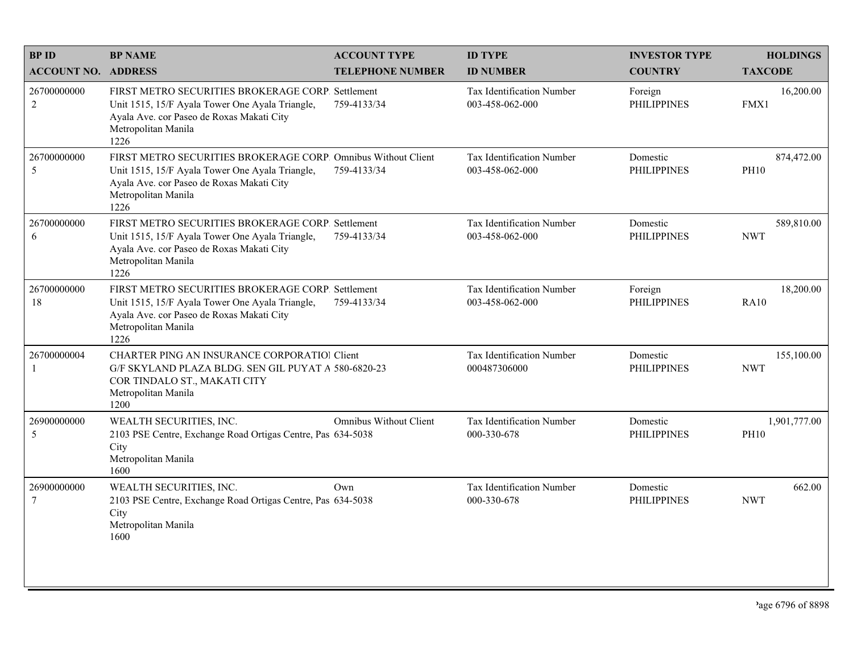| <b>BPID</b>                    | <b>BP NAME</b>                                                                                                                                                                               | <b>ACCOUNT TYPE</b>     | <b>ID TYPE</b>                                      | <b>INVESTOR TYPE</b>           | <b>HOLDINGS</b>             |
|--------------------------------|----------------------------------------------------------------------------------------------------------------------------------------------------------------------------------------------|-------------------------|-----------------------------------------------------|--------------------------------|-----------------------------|
| <b>ACCOUNT NO. ADDRESS</b>     |                                                                                                                                                                                              | <b>TELEPHONE NUMBER</b> | <b>ID NUMBER</b>                                    | <b>COUNTRY</b>                 | <b>TAXCODE</b>              |
| 26700000000<br>$\sqrt{2}$      | FIRST METRO SECURITIES BROKERAGE CORP. Settlement<br>Unit 1515, 15/F Ayala Tower One Ayala Triangle,<br>Ayala Ave. cor Paseo de Roxas Makati City<br>Metropolitan Manila<br>1226             | 759-4133/34             | <b>Tax Identification Number</b><br>003-458-062-000 | Foreign<br><b>PHILIPPINES</b>  | 16,200.00<br>FMX1           |
| 26700000000<br>5               | FIRST METRO SECURITIES BROKERAGE CORP. Omnibus Without Client<br>Unit 1515, 15/F Ayala Tower One Ayala Triangle,<br>Ayala Ave. cor Paseo de Roxas Makati City<br>Metropolitan Manila<br>1226 | 759-4133/34             | Tax Identification Number<br>003-458-062-000        | Domestic<br><b>PHILIPPINES</b> | 874,472.00<br><b>PH10</b>   |
| 26700000000<br>6               | FIRST METRO SECURITIES BROKERAGE CORP. Settlement<br>Unit 1515, 15/F Ayala Tower One Ayala Triangle,<br>Ayala Ave. cor Paseo de Roxas Makati City<br>Metropolitan Manila<br>1226             | 759-4133/34             | Tax Identification Number<br>003-458-062-000        | Domestic<br><b>PHILIPPINES</b> | 589,810.00<br><b>NWT</b>    |
| 26700000000<br>18              | FIRST METRO SECURITIES BROKERAGE CORP. Settlement<br>Unit 1515, 15/F Ayala Tower One Ayala Triangle,<br>Ayala Ave. cor Paseo de Roxas Makati City<br>Metropolitan Manila<br>1226             | 759-4133/34             | Tax Identification Number<br>003-458-062-000        | Foreign<br><b>PHILIPPINES</b>  | 18,200.00<br><b>RA10</b>    |
| 26700000004<br>-1              | <b>CHARTER PING AN INSURANCE CORPORATIOI Client</b><br>G/F SKYLAND PLAZA BLDG. SEN GIL PUYAT A 580-6820-23<br>COR TINDALO ST., MAKATI CITY<br>Metropolitan Manila<br>1200                    |                         | Tax Identification Number<br>000487306000           | Domestic<br><b>PHILIPPINES</b> | 155,100.00<br><b>NWT</b>    |
| 26900000000<br>5               | WEALTH SECURITIES, INC.<br>2103 PSE Centre, Exchange Road Ortigas Centre, Pas 634-5038<br>City<br>Metropolitan Manila<br>1600                                                                | Omnibus Without Client  | Tax Identification Number<br>000-330-678            | Domestic<br><b>PHILIPPINES</b> | 1,901,777.00<br><b>PH10</b> |
| 26900000000<br>$7\phantom{.0}$ | WEALTH SECURITIES, INC.<br>2103 PSE Centre, Exchange Road Ortigas Centre, Pas 634-5038<br>City<br>Metropolitan Manila<br>1600                                                                | Own                     | Tax Identification Number<br>000-330-678            | Domestic<br><b>PHILIPPINES</b> | 662.00<br><b>NWT</b>        |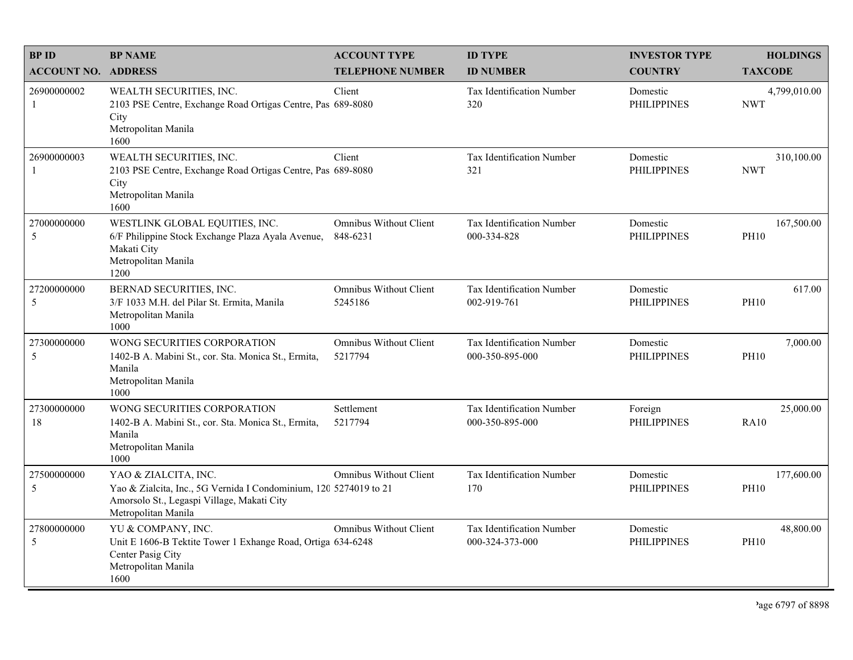| <b>BPID</b>                | <b>BP NAME</b>                                                                                                                                                 | <b>ACCOUNT TYPE</b>                       | <b>ID TYPE</b>                                  | <b>INVESTOR TYPE</b>           | <b>HOLDINGS</b>            |
|----------------------------|----------------------------------------------------------------------------------------------------------------------------------------------------------------|-------------------------------------------|-------------------------------------------------|--------------------------------|----------------------------|
| <b>ACCOUNT NO. ADDRESS</b> |                                                                                                                                                                | <b>TELEPHONE NUMBER</b>                   | <b>ID NUMBER</b>                                | <b>COUNTRY</b>                 | <b>TAXCODE</b>             |
| 26900000002<br>-1          | WEALTH SECURITIES, INC.<br>2103 PSE Centre, Exchange Road Ortigas Centre, Pas 689-8080<br>City<br>Metropolitan Manila<br>1600                                  | Client                                    | <b>Tax Identification Number</b><br>320         | Domestic<br><b>PHILIPPINES</b> | 4,799,010.00<br><b>NWT</b> |
| 26900000003<br>-1          | WEALTH SECURITIES, INC.<br>2103 PSE Centre, Exchange Road Ortigas Centre, Pas 689-8080<br>City<br>Metropolitan Manila<br>1600                                  | Client                                    | Tax Identification Number<br>321                | Domestic<br><b>PHILIPPINES</b> | 310,100.00<br><b>NWT</b>   |
| 27000000000<br>5           | WESTLINK GLOBAL EQUITIES, INC.<br>6/F Philippine Stock Exchange Plaza Ayala Avenue,<br>Makati City<br>Metropolitan Manila<br>1200                              | <b>Omnibus Without Client</b><br>848-6231 | <b>Tax Identification Number</b><br>000-334-828 | Domestic<br><b>PHILIPPINES</b> | 167,500.00<br><b>PH10</b>  |
| 27200000000<br>5           | BERNAD SECURITIES, INC.<br>3/F 1033 M.H. del Pilar St. Ermita, Manila<br>Metropolitan Manila<br>1000                                                           | Omnibus Without Client<br>5245186         | Tax Identification Number<br>002-919-761        | Domestic<br><b>PHILIPPINES</b> | 617.00<br><b>PH10</b>      |
| 27300000000<br>5           | WONG SECURITIES CORPORATION<br>1402-B A. Mabini St., cor. Sta. Monica St., Ermita,<br>Manila<br>Metropolitan Manila<br>1000                                    | <b>Omnibus Without Client</b><br>5217794  | Tax Identification Number<br>000-350-895-000    | Domestic<br><b>PHILIPPINES</b> | 7,000.00<br><b>PH10</b>    |
| 27300000000<br>18          | WONG SECURITIES CORPORATION<br>1402-B A. Mabini St., cor. Sta. Monica St., Ermita,<br>Manila<br>Metropolitan Manila<br>1000                                    | Settlement<br>5217794                     | Tax Identification Number<br>000-350-895-000    | Foreign<br><b>PHILIPPINES</b>  | 25,000.00<br><b>RA10</b>   |
| 27500000000<br>5           | YAO & ZIALCITA, INC.<br>Yao & Zialcita, Inc., 5G Vernida I Condominium, 120 5274019 to 21<br>Amorsolo St., Legaspi Village, Makati City<br>Metropolitan Manila | <b>Omnibus Without Client</b>             | Tax Identification Number<br>170                | Domestic<br><b>PHILIPPINES</b> | 177,600.00<br><b>PH10</b>  |
| 27800000000<br>5           | YU & COMPANY, INC.<br>Unit E 1606-B Tektite Tower 1 Exhange Road, Ortiga 634-6248<br>Center Pasig City<br>Metropolitan Manila<br>1600                          | <b>Omnibus Without Client</b>             | Tax Identification Number<br>000-324-373-000    | Domestic<br><b>PHILIPPINES</b> | 48,800.00<br><b>PH10</b>   |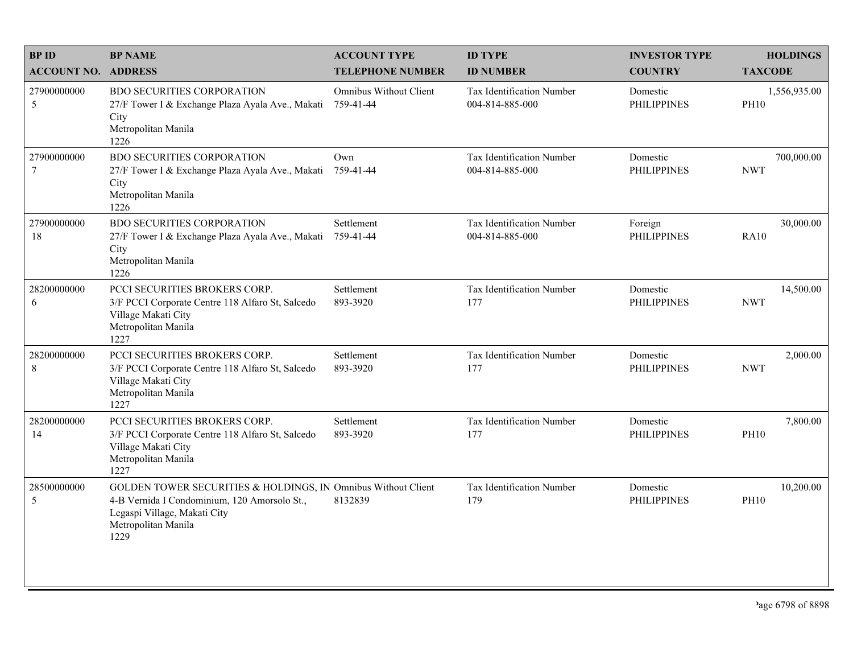| <b>BPID</b>                   | <b>BP NAME</b>                                                                                                                                                               | <b>ACCOUNT TYPE</b>                 | <b>ID TYPE</b>                                      | <b>INVESTOR TYPE</b>           | <b>HOLDINGS</b>             |
|-------------------------------|------------------------------------------------------------------------------------------------------------------------------------------------------------------------------|-------------------------------------|-----------------------------------------------------|--------------------------------|-----------------------------|
| <b>ACCOUNT NO. ADDRESS</b>    |                                                                                                                                                                              | <b>TELEPHONE NUMBER</b>             | <b>ID NUMBER</b>                                    | <b>COUNTRY</b>                 | <b>TAXCODE</b>              |
| 27900000000<br>5              | <b>BDO SECURITIES CORPORATION</b><br>27/F Tower I & Exchange Plaza Ayala Ave., Makati<br>City<br>Metropolitan Manila<br>1226                                                 | Omnibus Without Client<br>759-41-44 | <b>Tax Identification Number</b><br>004-814-885-000 | Domestic<br><b>PHILIPPINES</b> | 1,556,935.00<br><b>PH10</b> |
| 27900000000<br>$\overline{7}$ | <b>BDO SECURITIES CORPORATION</b><br>27/F Tower I & Exchange Plaza Ayala Ave., Makati<br>City<br>Metropolitan Manila<br>1226                                                 | Own<br>759-41-44                    | <b>Tax Identification Number</b><br>004-814-885-000 | Domestic<br><b>PHILIPPINES</b> | 700,000.00<br><b>NWT</b>    |
| 27900000000<br>18             | <b>BDO SECURITIES CORPORATION</b><br>27/F Tower I & Exchange Plaza Ayala Ave., Makati<br>City<br>Metropolitan Manila<br>1226                                                 | Settlement<br>759-41-44             | Tax Identification Number<br>004-814-885-000        | Foreign<br><b>PHILIPPINES</b>  | 30,000.00<br><b>RA10</b>    |
| 28200000000<br>6              | PCCI SECURITIES BROKERS CORP.<br>3/F PCCI Corporate Centre 118 Alfaro St, Salcedo<br>Village Makati City<br>Metropolitan Manila<br>1227                                      | Settlement<br>893-3920              | Tax Identification Number<br>177                    | Domestic<br><b>PHILIPPINES</b> | 14,500.00<br><b>NWT</b>     |
| 28200000000<br>$\,$ 8 $\,$    | PCCI SECURITIES BROKERS CORP.<br>3/F PCCI Corporate Centre 118 Alfaro St, Salcedo<br>Village Makati City<br>Metropolitan Manila<br>1227                                      | Settlement<br>893-3920              | Tax Identification Number<br>177                    | Domestic<br><b>PHILIPPINES</b> | 2,000.00<br><b>NWT</b>      |
| 28200000000<br>14             | PCCI SECURITIES BROKERS CORP.<br>3/F PCCI Corporate Centre 118 Alfaro St, Salcedo<br>Village Makati City<br>Metropolitan Manila<br>1227                                      | Settlement<br>893-3920              | Tax Identification Number<br>177                    | Domestic<br><b>PHILIPPINES</b> | 7,800.00<br><b>PH10</b>     |
| 28500000000<br>5              | GOLDEN TOWER SECURITIES & HOLDINGS, IN Omnibus Without Client<br>4-B Vernida I Condominium, 120 Amorsolo St.,<br>Legaspi Village, Makati City<br>Metropolitan Manila<br>1229 | 8132839                             | Tax Identification Number<br>179                    | Domestic<br><b>PHILIPPINES</b> | 10,200.00<br><b>PH10</b>    |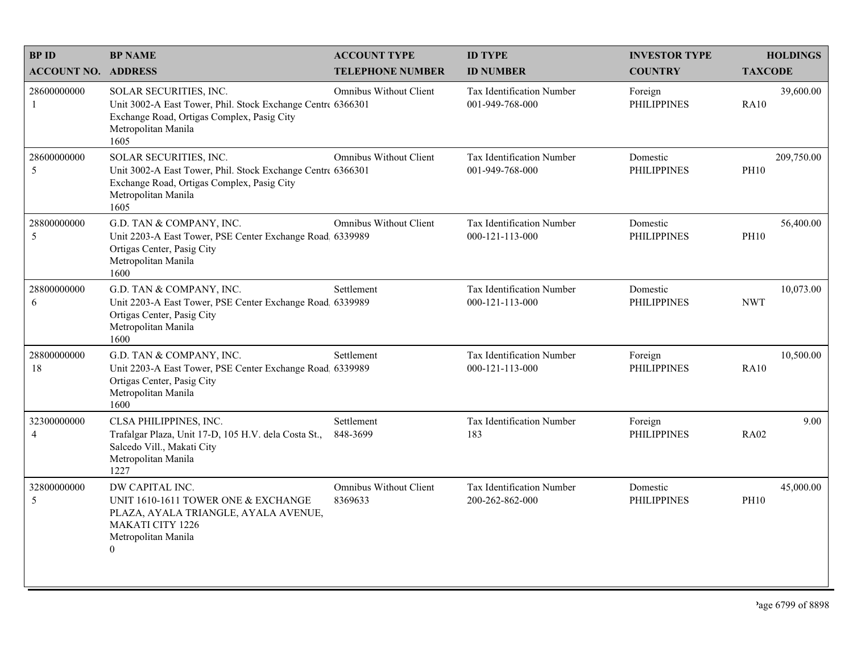| <b>BPID</b>                   | <b>BP NAME</b>                                                                                                                                                     | <b>ACCOUNT TYPE</b>                      | <b>ID TYPE</b>                               | <b>INVESTOR TYPE</b>           | <b>HOLDINGS</b>           |
|-------------------------------|--------------------------------------------------------------------------------------------------------------------------------------------------------------------|------------------------------------------|----------------------------------------------|--------------------------------|---------------------------|
| <b>ACCOUNT NO. ADDRESS</b>    |                                                                                                                                                                    | <b>TELEPHONE NUMBER</b>                  | <b>ID NUMBER</b>                             | <b>COUNTRY</b>                 | <b>TAXCODE</b>            |
| 28600000000<br>-1             | SOLAR SECURITIES, INC.<br>Unit 3002-A East Tower, Phil. Stock Exchange Centre 6366301<br>Exchange Road, Ortigas Complex, Pasig City<br>Metropolitan Manila<br>1605 | Omnibus Without Client                   | Tax Identification Number<br>001-949-768-000 | Foreign<br><b>PHILIPPINES</b>  | 39,600.00<br><b>RA10</b>  |
| 28600000000<br>5              | SOLAR SECURITIES, INC.<br>Unit 3002-A East Tower, Phil. Stock Exchange Centre 6366301<br>Exchange Road, Ortigas Complex, Pasig City<br>Metropolitan Manila<br>1605 | Omnibus Without Client                   | Tax Identification Number<br>001-949-768-000 | Domestic<br><b>PHILIPPINES</b> | 209,750.00<br><b>PH10</b> |
| 28800000000<br>5              | G.D. TAN & COMPANY, INC.<br>Unit 2203-A East Tower, PSE Center Exchange Road 6339989<br>Ortigas Center, Pasig City<br>Metropolitan Manila<br>1600                  | <b>Omnibus Without Client</b>            | Tax Identification Number<br>000-121-113-000 | Domestic<br><b>PHILIPPINES</b> | 56,400.00<br><b>PH10</b>  |
| 28800000000<br>6              | G.D. TAN & COMPANY, INC.<br>Unit 2203-A East Tower, PSE Center Exchange Road 6339989<br>Ortigas Center, Pasig City<br>Metropolitan Manila<br>1600                  | Settlement                               | Tax Identification Number<br>000-121-113-000 | Domestic<br><b>PHILIPPINES</b> | 10,073.00<br><b>NWT</b>   |
| 28800000000<br>18             | G.D. TAN & COMPANY, INC.<br>Unit 2203-A East Tower, PSE Center Exchange Road, 6339989<br>Ortigas Center, Pasig City<br>Metropolitan Manila<br>1600                 | Settlement                               | Tax Identification Number<br>000-121-113-000 | Foreign<br><b>PHILIPPINES</b>  | 10,500.00<br><b>RA10</b>  |
| 32300000000<br>$\overline{4}$ | CLSA PHILIPPINES, INC.<br>Trafalgar Plaza, Unit 17-D, 105 H.V. dela Costa St.,<br>Salcedo Vill., Makati City<br>Metropolitan Manila<br>1227                        | Settlement<br>848-3699                   | Tax Identification Number<br>183             | Foreign<br><b>PHILIPPINES</b>  | 9.00<br><b>RA02</b>       |
| 32800000000<br>5              | DW CAPITAL INC.<br>UNIT 1610-1611 TOWER ONE & EXCHANGE<br>PLAZA, AYALA TRIANGLE, AYALA AVENUE,<br><b>MAKATI CITY 1226</b><br>Metropolitan Manila<br>$\theta$       | <b>Omnibus Without Client</b><br>8369633 | Tax Identification Number<br>200-262-862-000 | Domestic<br><b>PHILIPPINES</b> | 45,000.00<br><b>PH10</b>  |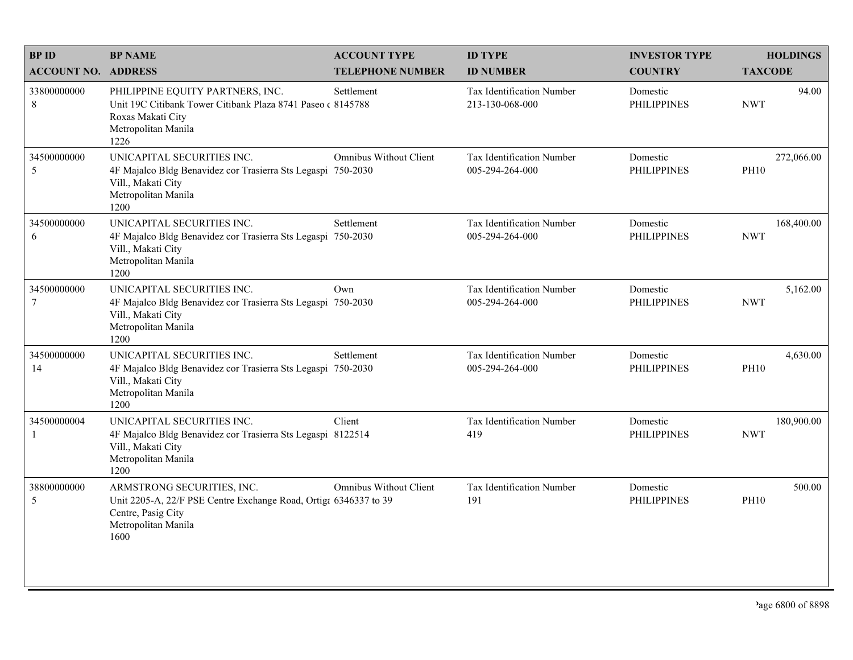| <b>BPID</b>                   | <b>BP NAME</b>                                                                                                                                      | <b>ACCOUNT TYPE</b>     | <b>ID TYPE</b>                                      | <b>INVESTOR TYPE</b>           | <b>HOLDINGS</b>           |
|-------------------------------|-----------------------------------------------------------------------------------------------------------------------------------------------------|-------------------------|-----------------------------------------------------|--------------------------------|---------------------------|
| <b>ACCOUNT NO. ADDRESS</b>    |                                                                                                                                                     | <b>TELEPHONE NUMBER</b> | <b>ID NUMBER</b>                                    | <b>COUNTRY</b>                 | <b>TAXCODE</b>            |
| 33800000000<br>8              | PHILIPPINE EQUITY PARTNERS, INC.<br>Unit 19C Citibank Tower Citibank Plaza 8741 Paseo (8145788)<br>Roxas Makati City<br>Metropolitan Manila<br>1226 | Settlement              | <b>Tax Identification Number</b><br>213-130-068-000 | Domestic<br><b>PHILIPPINES</b> | 94.00<br><b>NWT</b>       |
| 34500000000<br>5              | UNICAPITAL SECURITIES INC.<br>4F Majalco Bldg Benavidez cor Trasierra Sts Legaspi 750-2030<br>Vill., Makati City<br>Metropolitan Manila<br>1200     | Omnibus Without Client  | Tax Identification Number<br>005-294-264-000        | Domestic<br><b>PHILIPPINES</b> | 272,066.00<br><b>PH10</b> |
| 34500000000<br>6              | UNICAPITAL SECURITIES INC.<br>4F Majalco Bldg Benavidez cor Trasierra Sts Legaspi 750-2030<br>Vill., Makati City<br>Metropolitan Manila<br>1200     | Settlement              | Tax Identification Number<br>005-294-264-000        | Domestic<br><b>PHILIPPINES</b> | 168,400.00<br><b>NWT</b>  |
| 34500000000<br>$\overline{7}$ | UNICAPITAL SECURITIES INC.<br>4F Majalco Bldg Benavidez cor Trasierra Sts Legaspi 750-2030<br>Vill., Makati City<br>Metropolitan Manila<br>1200     | Own                     | Tax Identification Number<br>005-294-264-000        | Domestic<br><b>PHILIPPINES</b> | 5,162.00<br><b>NWT</b>    |
| 34500000000<br>14             | UNICAPITAL SECURITIES INC.<br>4F Majalco Bldg Benavidez cor Trasierra Sts Legaspi 750-2030<br>Vill., Makati City<br>Metropolitan Manila<br>1200     | Settlement              | Tax Identification Number<br>005-294-264-000        | Domestic<br><b>PHILIPPINES</b> | 4,630.00<br><b>PH10</b>   |
| 34500000004<br>-1             | UNICAPITAL SECURITIES INC.<br>4F Majalco Bldg Benavidez cor Trasierra Sts Legaspi 8122514<br>Vill., Makati City<br>Metropolitan Manila<br>1200      | Client                  | Tax Identification Number<br>419                    | Domestic<br><b>PHILIPPINES</b> | 180,900.00<br><b>NWT</b>  |
| 38800000000<br>5              | ARMSTRONG SECURITIES, INC.<br>Unit 2205-A, 22/F PSE Centre Exchange Road, Ortiga 6346337 to 39<br>Centre, Pasig City<br>Metropolitan Manila<br>1600 | Omnibus Without Client  | Tax Identification Number<br>191                    | Domestic<br><b>PHILIPPINES</b> | 500.00<br><b>PH10</b>     |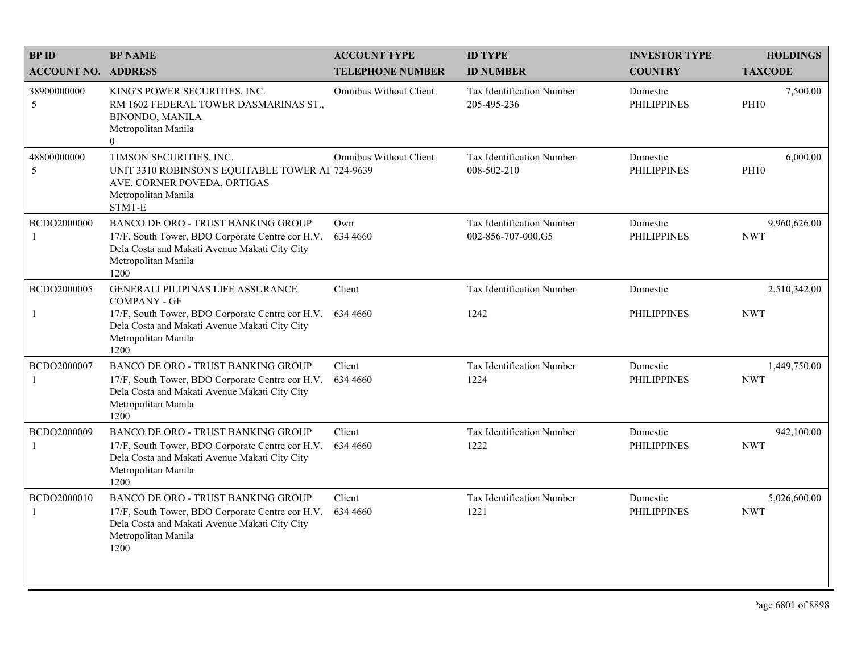| <b>BPID</b>                 | <b>BP NAME</b>                                                                                                                                                                | <b>ACCOUNT TYPE</b>           | <b>ID TYPE</b>                                  | <b>INVESTOR TYPE</b>           | <b>HOLDINGS</b>            |
|-----------------------------|-------------------------------------------------------------------------------------------------------------------------------------------------------------------------------|-------------------------------|-------------------------------------------------|--------------------------------|----------------------------|
| <b>ACCOUNT NO. ADDRESS</b>  |                                                                                                                                                                               | <b>TELEPHONE NUMBER</b>       | <b>ID NUMBER</b>                                | <b>COUNTRY</b>                 | <b>TAXCODE</b>             |
| 38900000000<br>5            | KING'S POWER SECURITIES, INC.<br>RM 1602 FEDERAL TOWER DASMARINAS ST.,<br><b>BINONDO, MANILA</b><br>Metropolitan Manila<br>$\overline{0}$                                     | <b>Omnibus Without Client</b> | <b>Tax Identification Number</b><br>205-495-236 | Domestic<br><b>PHILIPPINES</b> | 7,500.00<br><b>PH10</b>    |
| 48800000000<br>5            | TIMSON SECURITIES, INC.<br>UNIT 3310 ROBINSON'S EQUITABLE TOWER AI 724-9639<br>AVE. CORNER POVEDA, ORTIGAS<br>Metropolitan Manila<br>STMT-E                                   | Omnibus Without Client        | Tax Identification Number<br>008-502-210        | Domestic<br><b>PHILIPPINES</b> | 6,000.00<br><b>PH10</b>    |
| BCDO2000000<br>-1           | <b>BANCO DE ORO - TRUST BANKING GROUP</b><br>17/F, South Tower, BDO Corporate Centre cor H.V.<br>Dela Costa and Makati Avenue Makati City City<br>Metropolitan Manila<br>1200 | Own<br>634 4660               | Tax Identification Number<br>002-856-707-000.G5 | Domestic<br><b>PHILIPPINES</b> | 9,960,626.00<br><b>NWT</b> |
| BCDO2000005                 | <b>GENERALI PILIPINAS LIFE ASSURANCE</b><br><b>COMPANY - GF</b>                                                                                                               | Client                        | Tax Identification Number                       | Domestic                       | 2,510,342.00               |
| $\mathbf{1}$                | 17/F, South Tower, BDO Corporate Centre cor H.V.<br>Dela Costa and Makati Avenue Makati City City<br>Metropolitan Manila<br>1200                                              | 634 4660                      | 1242                                            | <b>PHILIPPINES</b>             | <b>NWT</b>                 |
| BCDO2000007<br>$\mathbf{1}$ | <b>BANCO DE ORO - TRUST BANKING GROUP</b><br>17/F, South Tower, BDO Corporate Centre cor H.V.<br>Dela Costa and Makati Avenue Makati City City<br>Metropolitan Manila<br>1200 | Client<br>634 4660            | Tax Identification Number<br>1224               | Domestic<br><b>PHILIPPINES</b> | 1,449,750.00<br><b>NWT</b> |
| BCDO2000009<br>-1           | BANCO DE ORO - TRUST BANKING GROUP<br>17/F, South Tower, BDO Corporate Centre cor H.V.<br>Dela Costa and Makati Avenue Makati City City<br>Metropolitan Manila<br>1200        | Client<br>634 4660            | Tax Identification Number<br>1222               | Domestic<br><b>PHILIPPINES</b> | 942,100.00<br><b>NWT</b>   |
| BCDO2000010<br>$\mathbf{1}$ | <b>BANCO DE ORO - TRUST BANKING GROUP</b><br>17/F, South Tower, BDO Corporate Centre cor H.V.<br>Dela Costa and Makati Avenue Makati City City<br>Metropolitan Manila<br>1200 | Client<br>634 4660            | Tax Identification Number<br>1221               | Domestic<br><b>PHILIPPINES</b> | 5,026,600.00<br><b>NWT</b> |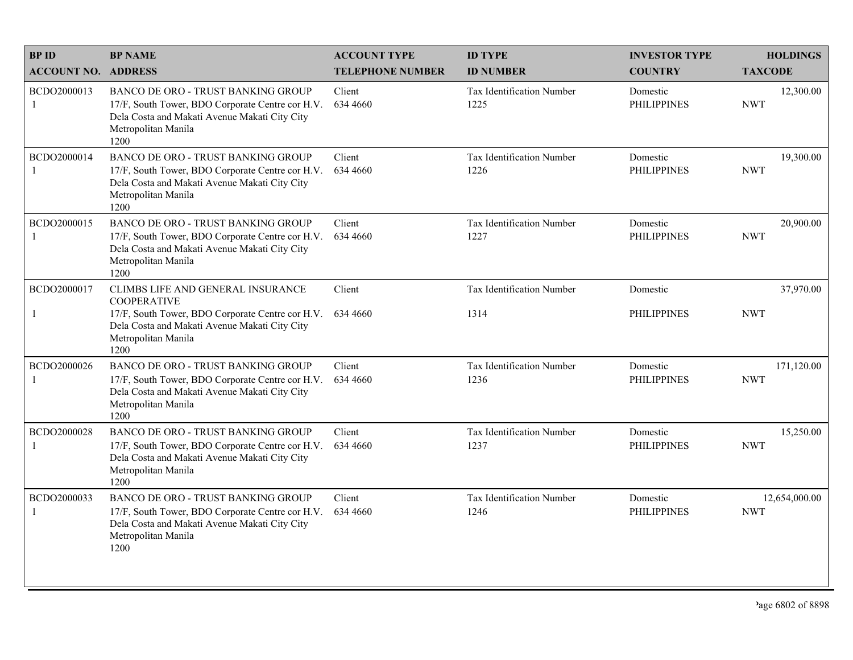| <b>BPID</b>                   | <b>BP NAME</b>                                                                                                                                                                | <b>ACCOUNT TYPE</b>     | <b>ID TYPE</b>                           | <b>INVESTOR TYPE</b>           | <b>HOLDINGS</b>             |
|-------------------------------|-------------------------------------------------------------------------------------------------------------------------------------------------------------------------------|-------------------------|------------------------------------------|--------------------------------|-----------------------------|
| <b>ACCOUNT NO. ADDRESS</b>    |                                                                                                                                                                               | <b>TELEPHONE NUMBER</b> | <b>ID NUMBER</b>                         | <b>COUNTRY</b>                 | <b>TAXCODE</b>              |
| BCDO2000013<br>-1             | <b>BANCO DE ORO - TRUST BANKING GROUP</b><br>17/F, South Tower, BDO Corporate Centre cor H.V.<br>Dela Costa and Makati Avenue Makati City City<br>Metropolitan Manila<br>1200 | Client<br>634 4660      | <b>Tax Identification Number</b><br>1225 | Domestic<br><b>PHILIPPINES</b> | 12,300.00<br><b>NWT</b>     |
| BCDO2000014                   | <b>BANCO DE ORO - TRUST BANKING GROUP</b><br>17/F, South Tower, BDO Corporate Centre cor H.V.<br>Dela Costa and Makati Avenue Makati City City<br>Metropolitan Manila<br>1200 | Client<br>634 4660      | Tax Identification Number<br>1226        | Domestic<br><b>PHILIPPINES</b> | 19,300.00<br><b>NWT</b>     |
| BCDO2000015<br>-1             | BANCO DE ORO - TRUST BANKING GROUP<br>17/F, South Tower, BDO Corporate Centre cor H.V.<br>Dela Costa and Makati Avenue Makati City City<br>Metropolitan Manila<br>1200        | Client<br>634 4660      | Tax Identification Number<br>1227        | Domestic<br><b>PHILIPPINES</b> | 20,900.00<br><b>NWT</b>     |
| BCDO2000017                   | CLIMBS LIFE AND GENERAL INSURANCE<br><b>COOPERATIVE</b>                                                                                                                       | Client                  | Tax Identification Number                | Domestic                       | 37,970.00                   |
| 1                             | 17/F, South Tower, BDO Corporate Centre cor H.V.<br>Dela Costa and Makati Avenue Makati City City<br>Metropolitan Manila<br>1200                                              | 634 4660                | 1314                                     | <b>PHILIPPINES</b>             | <b>NWT</b>                  |
| BCDO2000026<br>$\overline{1}$ | BANCO DE ORO - TRUST BANKING GROUP<br>17/F, South Tower, BDO Corporate Centre cor H.V.<br>Dela Costa and Makati Avenue Makati City City<br>Metropolitan Manila<br>1200        | Client<br>634 4660      | Tax Identification Number<br>1236        | Domestic<br><b>PHILIPPINES</b> | 171,120.00<br><b>NWT</b>    |
| BCDO2000028<br>-1             | BANCO DE ORO - TRUST BANKING GROUP<br>17/F, South Tower, BDO Corporate Centre cor H.V.<br>Dela Costa and Makati Avenue Makati City City<br>Metropolitan Manila<br>1200        | Client<br>634 4660      | Tax Identification Number<br>1237        | Domestic<br><b>PHILIPPINES</b> | 15,250.00<br><b>NWT</b>     |
| BCDO2000033<br>$\mathbf{1}$   | BANCO DE ORO - TRUST BANKING GROUP<br>17/F, South Tower, BDO Corporate Centre cor H.V.<br>Dela Costa and Makati Avenue Makati City City<br>Metropolitan Manila<br>1200        | Client<br>634 4660      | Tax Identification Number<br>1246        | Domestic<br><b>PHILIPPINES</b> | 12,654,000.00<br><b>NWT</b> |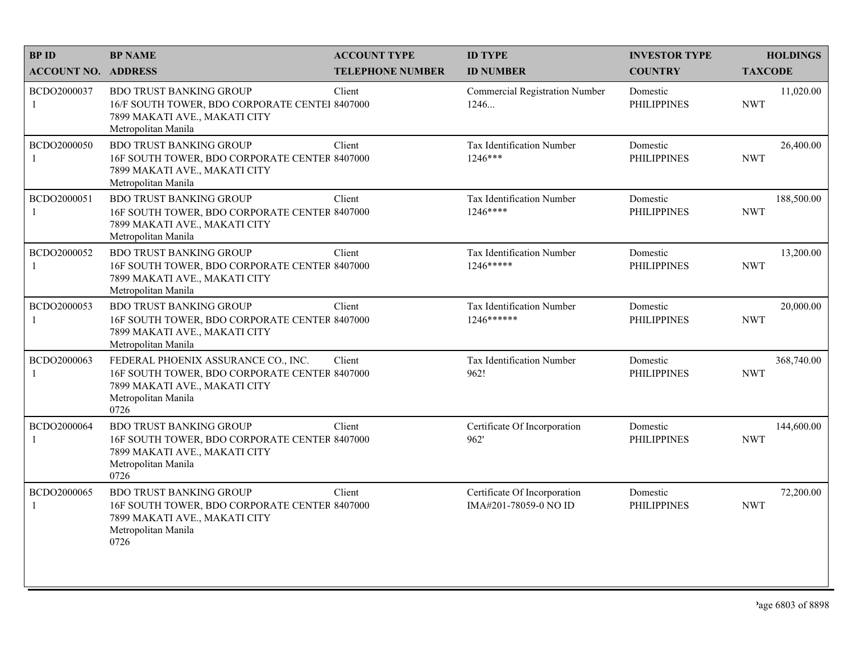| <b>BPID</b>                 | <b>BP NAME</b>                                                                                                                                       | <b>ACCOUNT TYPE</b>     | <b>ID TYPE</b>                                        | <b>INVESTOR TYPE</b>           | <b>HOLDINGS</b>          |
|-----------------------------|------------------------------------------------------------------------------------------------------------------------------------------------------|-------------------------|-------------------------------------------------------|--------------------------------|--------------------------|
| <b>ACCOUNT NO. ADDRESS</b>  |                                                                                                                                                      | <b>TELEPHONE NUMBER</b> | <b>ID NUMBER</b>                                      | <b>COUNTRY</b>                 | <b>TAXCODE</b>           |
| BCDO2000037<br>1            | <b>BDO TRUST BANKING GROUP</b><br>16/F SOUTH TOWER, BDO CORPORATE CENTEI 8407000<br>7899 MAKATI AVE., MAKATI CITY<br>Metropolitan Manila             | Client                  | <b>Commercial Registration Number</b><br>1246         | Domestic<br><b>PHILIPPINES</b> | 11,020.00<br><b>NWT</b>  |
| BCDO2000050<br>1            | <b>BDO TRUST BANKING GROUP</b><br>16F SOUTH TOWER, BDO CORPORATE CENTER 8407000<br>7899 MAKATI AVE., MAKATI CITY<br>Metropolitan Manila              | Client                  | Tax Identification Number<br>1246***                  | Domestic<br><b>PHILIPPINES</b> | 26,400.00<br><b>NWT</b>  |
| BCDO2000051<br>1            | <b>BDO TRUST BANKING GROUP</b><br>16F SOUTH TOWER, BDO CORPORATE CENTER 8407000<br>7899 MAKATI AVE., MAKATI CITY<br>Metropolitan Manila              | Client                  | Tax Identification Number<br>$1246***$                | Domestic<br><b>PHILIPPINES</b> | 188,500.00<br><b>NWT</b> |
| BCDO2000052<br>$\mathbf{1}$ | <b>BDO TRUST BANKING GROUP</b><br>16F SOUTH TOWER, BDO CORPORATE CENTER 8407000<br>7899 MAKATI AVE., MAKATI CITY<br>Metropolitan Manila              | Client                  | Tax Identification Number<br>1246*****                | Domestic<br><b>PHILIPPINES</b> | 13,200.00<br><b>NWT</b>  |
| BCDO2000053<br>1            | <b>BDO TRUST BANKING GROUP</b><br>16F SOUTH TOWER, BDO CORPORATE CENTER 8407000<br>7899 MAKATI AVE., MAKATI CITY<br>Metropolitan Manila              | Client                  | Tax Identification Number<br>1246******               | Domestic<br><b>PHILIPPINES</b> | 20,000.00<br><b>NWT</b>  |
| BCDO2000063<br>$\mathbf{1}$ | FEDERAL PHOENIX ASSURANCE CO., INC.<br>16F SOUTH TOWER, BDO CORPORATE CENTER 8407000<br>7899 MAKATI AVE., MAKATI CITY<br>Metropolitan Manila<br>0726 | Client                  | Tax Identification Number<br>962!                     | Domestic<br><b>PHILIPPINES</b> | 368,740.00<br><b>NWT</b> |
| BCDO2000064                 | <b>BDO TRUST BANKING GROUP</b><br>16F SOUTH TOWER, BDO CORPORATE CENTER 8407000<br>7899 MAKATI AVE., MAKATI CITY<br>Metropolitan Manila<br>0726      | Client                  | Certificate Of Incorporation<br>962'                  | Domestic<br><b>PHILIPPINES</b> | 144,600.00<br><b>NWT</b> |
| BCDO2000065<br>1            | <b>BDO TRUST BANKING GROUP</b><br>16F SOUTH TOWER, BDO CORPORATE CENTER 8407000<br>7899 MAKATI AVE., MAKATI CITY<br>Metropolitan Manila<br>0726      | Client                  | Certificate Of Incorporation<br>IMA#201-78059-0 NO ID | Domestic<br><b>PHILIPPINES</b> | 72,200.00<br><b>NWT</b>  |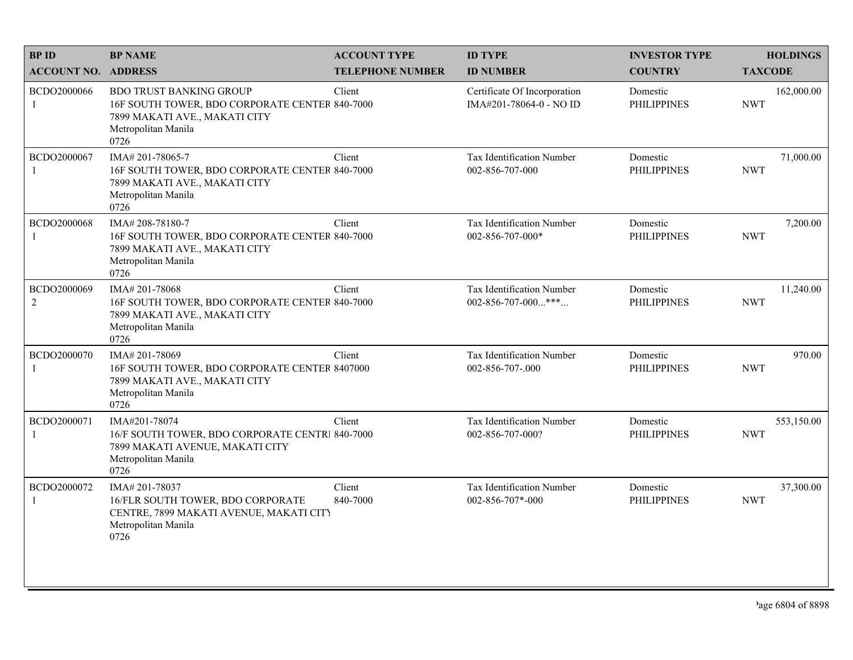| <b>BPID</b>                   | <b>BP NAME</b>                                                                                                                                   | <b>ACCOUNT TYPE</b>     | <b>ID TYPE</b>                                          | <b>INVESTOR TYPE</b>           | <b>HOLDINGS</b>          |
|-------------------------------|--------------------------------------------------------------------------------------------------------------------------------------------------|-------------------------|---------------------------------------------------------|--------------------------------|--------------------------|
| <b>ACCOUNT NO. ADDRESS</b>    |                                                                                                                                                  | <b>TELEPHONE NUMBER</b> | <b>ID NUMBER</b>                                        | <b>COUNTRY</b>                 | <b>TAXCODE</b>           |
| BCDO2000066<br>1              | <b>BDO TRUST BANKING GROUP</b><br>16F SOUTH TOWER, BDO CORPORATE CENTER 840-7000<br>7899 MAKATI AVE., MAKATI CITY<br>Metropolitan Manila<br>0726 | Client                  | Certificate Of Incorporation<br>IMA#201-78064-0 - NO ID | Domestic<br><b>PHILIPPINES</b> | 162,000.00<br><b>NWT</b> |
| BCDO2000067                   | IMA#201-78065-7<br>16F SOUTH TOWER, BDO CORPORATE CENTER 840-7000<br>7899 MAKATI AVE., MAKATI CITY<br>Metropolitan Manila<br>0726                | Client                  | Tax Identification Number<br>002-856-707-000            | Domestic<br><b>PHILIPPINES</b> | 71,000.00<br><b>NWT</b>  |
| BCDO2000068<br>-1             | IMA#208-78180-7<br>16F SOUTH TOWER, BDO CORPORATE CENTER 840-7000<br>7899 MAKATI AVE., MAKATI CITY<br>Metropolitan Manila<br>0726                | Client                  | Tax Identification Number<br>002-856-707-000*           | Domestic<br><b>PHILIPPINES</b> | 7,200.00<br><b>NWT</b>   |
| BCDO2000069<br>$\overline{2}$ | IMA# 201-78068<br>16F SOUTH TOWER, BDO CORPORATE CENTER 840-7000<br>7899 MAKATI AVE., MAKATI CITY<br>Metropolitan Manila<br>0726                 | Client                  | Tax Identification Number<br>002-856-707-000***         | Domestic<br><b>PHILIPPINES</b> | 11,240.00<br><b>NWT</b>  |
| BCDO2000070<br>1              | IMA# 201-78069<br>16F SOUTH TOWER, BDO CORPORATE CENTER 8407000<br>7899 MAKATI AVE., MAKATI CITY<br>Metropolitan Manila<br>0726                  | Client                  | Tax Identification Number<br>002-856-707-.000           | Domestic<br><b>PHILIPPINES</b> | 970.00<br><b>NWT</b>     |
| BCDO2000071<br>$\mathbf{1}$   | IMA#201-78074<br>16/F SOUTH TOWER, BDO CORPORATE CENTR 840-7000<br>7899 MAKATI AVENUE, MAKATI CITY<br>Metropolitan Manila<br>0726                | Client                  | Tax Identification Number<br>002-856-707-000?           | Domestic<br><b>PHILIPPINES</b> | 553,150.00<br><b>NWT</b> |
| BCDO2000072<br>$\mathbf{1}$   | IMA#201-78037<br>16/FLR SOUTH TOWER, BDO CORPORATE<br>CENTRE, 7899 MAKATI AVENUE, MAKATI CITY<br>Metropolitan Manila<br>0726                     | Client<br>840-7000      | Tax Identification Number<br>002-856-707*-000           | Domestic<br><b>PHILIPPINES</b> | 37,300.00<br><b>NWT</b>  |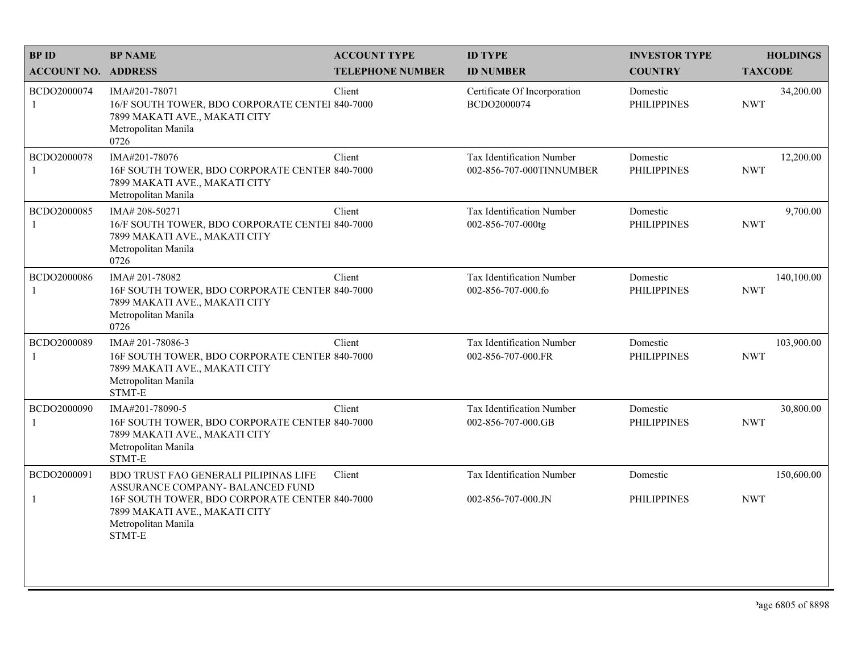| <b>BPID</b>                 | <b>BP NAME</b>                                                                                                                                      | <b>ACCOUNT TYPE</b>     | <b>ID TYPE</b>                                        | <b>INVESTOR TYPE</b>           | <b>HOLDINGS</b>          |
|-----------------------------|-----------------------------------------------------------------------------------------------------------------------------------------------------|-------------------------|-------------------------------------------------------|--------------------------------|--------------------------|
| <b>ACCOUNT NO. ADDRESS</b>  |                                                                                                                                                     | <b>TELEPHONE NUMBER</b> | <b>ID NUMBER</b>                                      | <b>COUNTRY</b>                 | <b>TAXCODE</b>           |
| BCDO2000074<br>1            | IMA#201-78071<br>16/F SOUTH TOWER, BDO CORPORATE CENTEI 840-7000<br>7899 MAKATI AVE., MAKATI CITY<br>Metropolitan Manila<br>0726                    | Client                  | Certificate Of Incorporation<br>BCDO2000074           | Domestic<br><b>PHILIPPINES</b> | 34,200.00<br><b>NWT</b>  |
| BCDO2000078<br>$\mathbf{1}$ | IMA#201-78076<br>16F SOUTH TOWER, BDO CORPORATE CENTER 840-7000<br>7899 MAKATI AVE., MAKATI CITY<br>Metropolitan Manila                             | Client                  | Tax Identification Number<br>002-856-707-000TINNUMBER | Domestic<br><b>PHILIPPINES</b> | 12,200.00<br><b>NWT</b>  |
| BCDO2000085<br>$\mathbf{1}$ | IMA# 208-50271<br>16/F SOUTH TOWER, BDO CORPORATE CENTEI 840-7000<br>7899 MAKATI AVE., MAKATI CITY<br>Metropolitan Manila<br>0726                   | Client                  | Tax Identification Number<br>002-856-707-000tg        | Domestic<br><b>PHILIPPINES</b> | 9,700.00<br><b>NWT</b>   |
| BCDO2000086                 | IMA#201-78082<br>16F SOUTH TOWER, BDO CORPORATE CENTER 840-7000<br>7899 MAKATI AVE., MAKATI CITY<br>Metropolitan Manila<br>0726                     | Client                  | Tax Identification Number<br>002-856-707-000.fo       | Domestic<br><b>PHILIPPINES</b> | 140,100.00<br><b>NWT</b> |
| BCDO2000089                 | IMA# 201-78086-3<br>16F SOUTH TOWER, BDO CORPORATE CENTER 840-7000<br>7899 MAKATI AVE., MAKATI CITY<br>Metropolitan Manila<br>STMT-E                | Client                  | Tax Identification Number<br>002-856-707-000.FR       | Domestic<br><b>PHILIPPINES</b> | 103,900.00<br><b>NWT</b> |
| BCDO2000090<br>1            | IMA#201-78090-5<br>16F SOUTH TOWER, BDO CORPORATE CENTER 840-7000<br>7899 MAKATI AVE., MAKATI CITY<br>Metropolitan Manila<br>STMT-E                 | Client                  | Tax Identification Number<br>002-856-707-000.GB       | Domestic<br><b>PHILIPPINES</b> | 30,800.00<br><b>NWT</b>  |
| BCDO2000091                 | BDO TRUST FAO GENERALI PILIPINAS LIFE                                                                                                               | Client                  | Tax Identification Number                             | Domestic                       | 150,600.00               |
| 1                           | ASSURANCE COMPANY-BALANCED FUND<br>16F SOUTH TOWER, BDO CORPORATE CENTER 840-7000<br>7899 MAKATI AVE., MAKATI CITY<br>Metropolitan Manila<br>STMT-E |                         | 002-856-707-000.JN                                    | <b>PHILIPPINES</b>             | <b>NWT</b>               |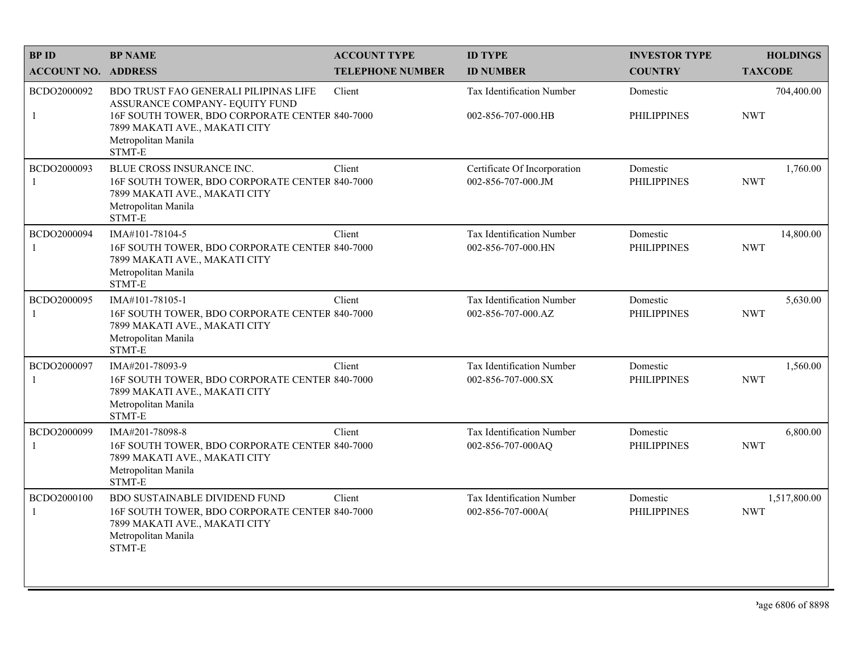| <b>BPID</b>                   | <b>BP NAME</b>                                                                                                                                                                                     | <b>ACCOUNT TYPE</b>     | <b>ID TYPE</b>                                         | <b>INVESTOR TYPE</b>           | <b>HOLDINGS</b>            |
|-------------------------------|----------------------------------------------------------------------------------------------------------------------------------------------------------------------------------------------------|-------------------------|--------------------------------------------------------|--------------------------------|----------------------------|
| <b>ACCOUNT NO. ADDRESS</b>    |                                                                                                                                                                                                    | <b>TELEPHONE NUMBER</b> | <b>ID NUMBER</b>                                       | <b>COUNTRY</b>                 | <b>TAXCODE</b>             |
| BCDO2000092<br>-1             | <b>BDO TRUST FAO GENERALI PILIPINAS LIFE</b><br>ASSURANCE COMPANY- EQUITY FUND<br>16F SOUTH TOWER, BDO CORPORATE CENTER 840-7000<br>7899 MAKATI AVE., MAKATI CITY<br>Metropolitan Manila<br>STMT-E | Client                  | <b>Tax Identification Number</b><br>002-856-707-000.HB | Domestic<br><b>PHILIPPINES</b> | 704,400.00<br><b>NWT</b>   |
| BCDO2000093<br>-1             | BLUE CROSS INSURANCE INC.<br>16F SOUTH TOWER, BDO CORPORATE CENTER 840-7000<br>7899 MAKATI AVE., MAKATI CITY<br>Metropolitan Manila<br>STMT-E                                                      | Client                  | Certificate Of Incorporation<br>002-856-707-000.JM     | Domestic<br><b>PHILIPPINES</b> | 1,760.00<br><b>NWT</b>     |
| BCDO2000094<br>-1             | IMA#101-78104-5<br>16F SOUTH TOWER, BDO CORPORATE CENTER 840-7000<br>7899 MAKATI AVE., MAKATI CITY<br>Metropolitan Manila<br>STMT-E                                                                | Client                  | Tax Identification Number<br>002-856-707-000.HN        | Domestic<br><b>PHILIPPINES</b> | 14,800.00<br><b>NWT</b>    |
| BCDO2000095<br>$\overline{1}$ | IMA#101-78105-1<br>16F SOUTH TOWER, BDO CORPORATE CENTER 840-7000<br>7899 MAKATI AVE., MAKATI CITY<br>Metropolitan Manila<br>STMT-E                                                                | Client                  | Tax Identification Number<br>002-856-707-000.AZ        | Domestic<br><b>PHILIPPINES</b> | 5,630.00<br><b>NWT</b>     |
| BCDO2000097<br>$\mathbf{1}$   | IMA#201-78093-9<br>16F SOUTH TOWER, BDO CORPORATE CENTER 840-7000<br>7899 MAKATI AVE., MAKATI CITY<br>Metropolitan Manila<br>STMT-E                                                                | Client                  | Tax Identification Number<br>002-856-707-000.SX        | Domestic<br><b>PHILIPPINES</b> | 1,560.00<br><b>NWT</b>     |
| BCDO2000099<br>-1             | IMA#201-78098-8<br>16F SOUTH TOWER, BDO CORPORATE CENTER 840-7000<br>7899 MAKATI AVE., MAKATI CITY<br>Metropolitan Manila<br>STMT-E                                                                | Client                  | Tax Identification Number<br>002-856-707-000AQ         | Domestic<br><b>PHILIPPINES</b> | 6,800.00<br><b>NWT</b>     |
| BCDO2000100<br>-1             | <b>BDO SUSTAINABLE DIVIDEND FUND</b><br>16F SOUTH TOWER, BDO CORPORATE CENTER 840-7000<br>7899 MAKATI AVE., MAKATI CITY<br>Metropolitan Manila<br>STMT-E                                           | Client                  | Tax Identification Number<br>002-856-707-000A(         | Domestic<br><b>PHILIPPINES</b> | 1,517,800.00<br><b>NWT</b> |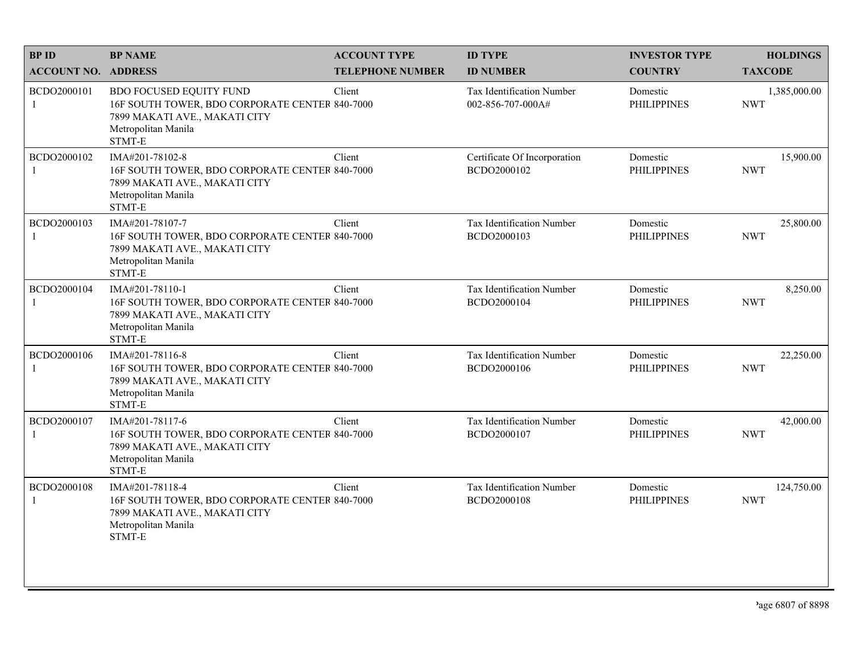| <b>BPID</b>                | <b>BP NAME</b>                                                                                                                                     | <b>ACCOUNT TYPE</b>     | <b>ID TYPE</b>                                 | <b>INVESTOR TYPE</b>           | <b>HOLDINGS</b>            |
|----------------------------|----------------------------------------------------------------------------------------------------------------------------------------------------|-------------------------|------------------------------------------------|--------------------------------|----------------------------|
| <b>ACCOUNT NO. ADDRESS</b> |                                                                                                                                                    | <b>TELEPHONE NUMBER</b> | <b>ID NUMBER</b>                               | <b>COUNTRY</b>                 | <b>TAXCODE</b>             |
| BCDO2000101<br>1           | <b>BDO FOCUSED EQUITY FUND</b><br>16F SOUTH TOWER, BDO CORPORATE CENTER 840-7000<br>7899 MAKATI AVE., MAKATI CITY<br>Metropolitan Manila<br>STMT-E | Client                  | Tax Identification Number<br>002-856-707-000A# | Domestic<br><b>PHILIPPINES</b> | 1,385,000.00<br><b>NWT</b> |
| BCDO2000102                | IMA#201-78102-8<br>16F SOUTH TOWER, BDO CORPORATE CENTER 840-7000<br>7899 MAKATI AVE., MAKATI CITY<br>Metropolitan Manila<br>STMT-E                | Client                  | Certificate Of Incorporation<br>BCDO2000102    | Domestic<br><b>PHILIPPINES</b> | 15,900.00<br><b>NWT</b>    |
| BCDO2000103                | IMA#201-78107-7<br>16F SOUTH TOWER, BDO CORPORATE CENTER 840-7000<br>7899 MAKATI AVE., MAKATI CITY<br>Metropolitan Manila<br>STMT-E                | Client                  | Tax Identification Number<br>BCDO2000103       | Domestic<br><b>PHILIPPINES</b> | 25,800.00<br><b>NWT</b>    |
| BCDO2000104                | IMA#201-78110-1<br>16F SOUTH TOWER, BDO CORPORATE CENTER 840-7000<br>7899 MAKATI AVE., MAKATI CITY<br>Metropolitan Manila<br>STMT-E                | Client                  | Tax Identification Number<br>BCDO2000104       | Domestic<br><b>PHILIPPINES</b> | 8,250.00<br><b>NWT</b>     |
| BCDO2000106                | IMA#201-78116-8<br>16F SOUTH TOWER, BDO CORPORATE CENTER 840-7000<br>7899 MAKATI AVE., MAKATI CITY<br>Metropolitan Manila<br>STMT-E                | Client                  | Tax Identification Number<br>BCDO2000106       | Domestic<br><b>PHILIPPINES</b> | 22,250.00<br><b>NWT</b>    |
| BCDO2000107<br>1           | IMA#201-78117-6<br>16F SOUTH TOWER, BDO CORPORATE CENTER 840-7000<br>7899 MAKATI AVE., MAKATI CITY<br>Metropolitan Manila<br>STMT-E                | Client                  | Tax Identification Number<br>BCDO2000107       | Domestic<br><b>PHILIPPINES</b> | 42,000.00<br><b>NWT</b>    |
| BCDO2000108<br>1           | IMA#201-78118-4<br>16F SOUTH TOWER, BDO CORPORATE CENTER 840-7000<br>7899 MAKATI AVE., MAKATI CITY<br>Metropolitan Manila<br>STMT-E                | Client                  | Tax Identification Number<br>BCDO2000108       | Domestic<br><b>PHILIPPINES</b> | 124,750.00<br><b>NWT</b>   |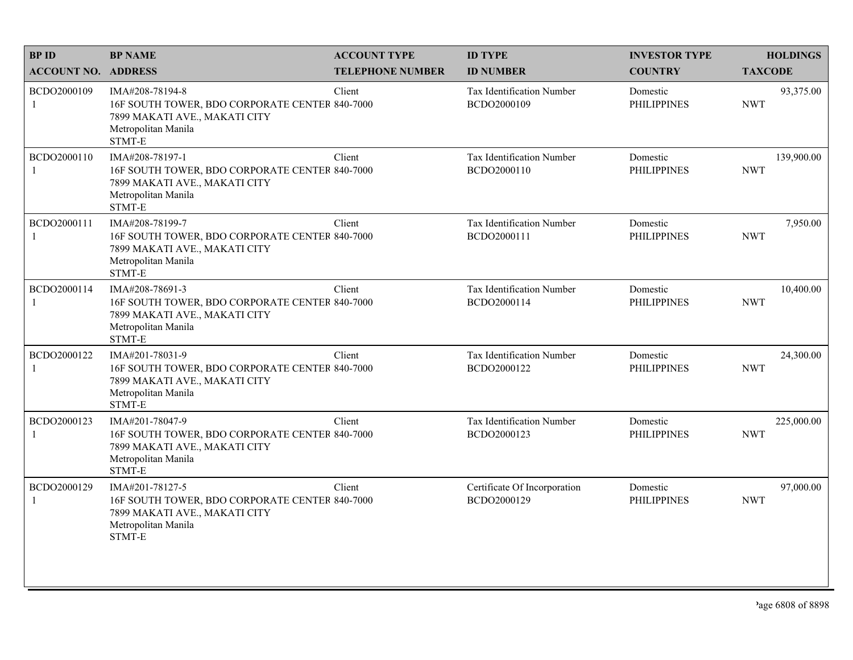| <b>BPID</b>                 | <b>BP NAME</b>                                                                                                                      | <b>ACCOUNT TYPE</b>     | <b>ID TYPE</b>                              | <b>INVESTOR TYPE</b>           | <b>HOLDINGS</b>          |
|-----------------------------|-------------------------------------------------------------------------------------------------------------------------------------|-------------------------|---------------------------------------------|--------------------------------|--------------------------|
| <b>ACCOUNT NO. ADDRESS</b>  |                                                                                                                                     | <b>TELEPHONE NUMBER</b> | <b>ID NUMBER</b>                            | <b>COUNTRY</b>                 | <b>TAXCODE</b>           |
| BCDO2000109<br>$\mathbf{1}$ | IMA#208-78194-8<br>16F SOUTH TOWER, BDO CORPORATE CENTER 840-7000<br>7899 MAKATI AVE., MAKATI CITY<br>Metropolitan Manila<br>STMT-E | Client                  | Tax Identification Number<br>BCDO2000109    | Domestic<br><b>PHILIPPINES</b> | 93,375.00<br><b>NWT</b>  |
| BCDO2000110<br>$\mathbf{1}$ | IMA#208-78197-1<br>16F SOUTH TOWER, BDO CORPORATE CENTER 840-7000<br>7899 MAKATI AVE., MAKATI CITY<br>Metropolitan Manila<br>STMT-E | Client                  | Tax Identification Number<br>BCDO2000110    | Domestic<br><b>PHILIPPINES</b> | 139,900.00<br><b>NWT</b> |
| BCDO2000111<br>1            | IMA#208-78199-7<br>16F SOUTH TOWER, BDO CORPORATE CENTER 840-7000<br>7899 MAKATI AVE., MAKATI CITY<br>Metropolitan Manila<br>STMT-E | Client                  | Tax Identification Number<br>BCDO2000111    | Domestic<br><b>PHILIPPINES</b> | 7,950.00<br><b>NWT</b>   |
| BCDO2000114<br>1            | IMA#208-78691-3<br>16F SOUTH TOWER, BDO CORPORATE CENTER 840-7000<br>7899 MAKATI AVE., MAKATI CITY<br>Metropolitan Manila<br>STMT-E | Client                  | Tax Identification Number<br>BCDO2000114    | Domestic<br><b>PHILIPPINES</b> | 10,400.00<br><b>NWT</b>  |
| BCDO2000122<br>1            | IMA#201-78031-9<br>16F SOUTH TOWER, BDO CORPORATE CENTER 840-7000<br>7899 MAKATI AVE., MAKATI CITY<br>Metropolitan Manila<br>STMT-E | Client                  | Tax Identification Number<br>BCDO2000122    | Domestic<br><b>PHILIPPINES</b> | 24,300.00<br><b>NWT</b>  |
| BCDO2000123<br>$\mathbf{1}$ | IMA#201-78047-9<br>16F SOUTH TOWER, BDO CORPORATE CENTER 840-7000<br>7899 MAKATI AVE., MAKATI CITY<br>Metropolitan Manila<br>STMT-E | Client                  | Tax Identification Number<br>BCDO2000123    | Domestic<br><b>PHILIPPINES</b> | 225,000.00<br><b>NWT</b> |
| BCDO2000129<br>1            | IMA#201-78127-5<br>16F SOUTH TOWER, BDO CORPORATE CENTER 840-7000<br>7899 MAKATI AVE., MAKATI CITY<br>Metropolitan Manila<br>STMT-E | Client                  | Certificate Of Incorporation<br>BCDO2000129 | Domestic<br><b>PHILIPPINES</b> | 97,000.00<br><b>NWT</b>  |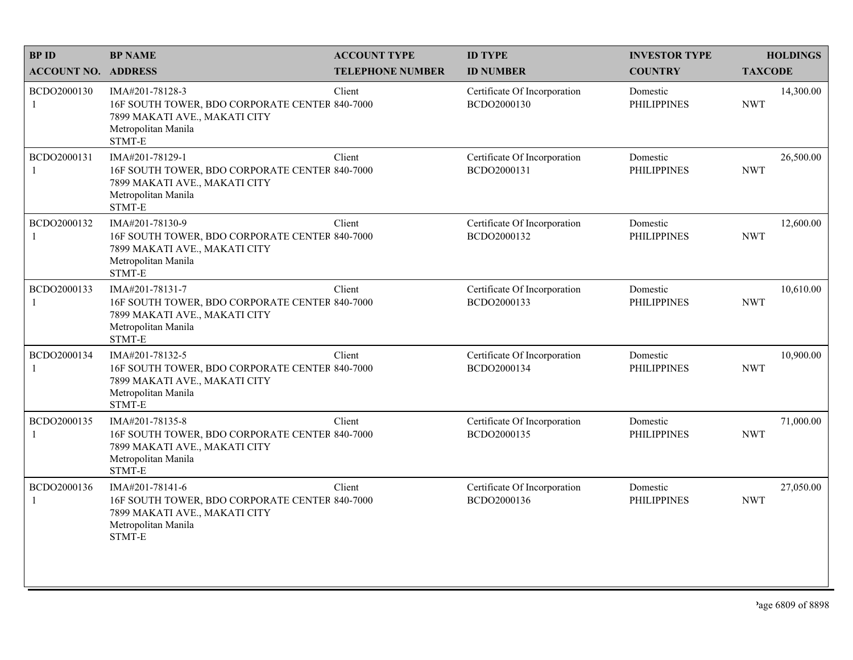| <b>BPID</b>                 | <b>BP NAME</b>                                                                                                                      | <b>ACCOUNT TYPE</b>     | <b>ID TYPE</b>                              | <b>INVESTOR TYPE</b>           | <b>HOLDINGS</b>         |
|-----------------------------|-------------------------------------------------------------------------------------------------------------------------------------|-------------------------|---------------------------------------------|--------------------------------|-------------------------|
| <b>ACCOUNT NO. ADDRESS</b>  |                                                                                                                                     | <b>TELEPHONE NUMBER</b> | <b>ID NUMBER</b>                            | <b>COUNTRY</b>                 | <b>TAXCODE</b>          |
| BCDO2000130<br>$\mathbf{1}$ | IMA#201-78128-3<br>16F SOUTH TOWER, BDO CORPORATE CENTER 840-7000<br>7899 MAKATI AVE., MAKATI CITY<br>Metropolitan Manila<br>STMT-E | Client                  | Certificate Of Incorporation<br>BCDO2000130 | Domestic<br><b>PHILIPPINES</b> | 14,300.00<br><b>NWT</b> |
| BCDO2000131<br>$\mathbf{1}$ | IMA#201-78129-1<br>16F SOUTH TOWER, BDO CORPORATE CENTER 840-7000<br>7899 MAKATI AVE., MAKATI CITY<br>Metropolitan Manila<br>STMT-E | Client                  | Certificate Of Incorporation<br>BCDO2000131 | Domestic<br><b>PHILIPPINES</b> | 26,500.00<br><b>NWT</b> |
| BCDO2000132<br>1            | IMA#201-78130-9<br>16F SOUTH TOWER, BDO CORPORATE CENTER 840-7000<br>7899 MAKATI AVE., MAKATI CITY<br>Metropolitan Manila<br>STMT-E | Client                  | Certificate Of Incorporation<br>BCDO2000132 | Domestic<br><b>PHILIPPINES</b> | 12,600.00<br><b>NWT</b> |
| BCDO2000133<br>1            | IMA#201-78131-7<br>16F SOUTH TOWER, BDO CORPORATE CENTER 840-7000<br>7899 MAKATI AVE., MAKATI CITY<br>Metropolitan Manila<br>STMT-E | Client                  | Certificate Of Incorporation<br>BCDO2000133 | Domestic<br><b>PHILIPPINES</b> | 10,610.00<br><b>NWT</b> |
| BCDO2000134<br>-1           | IMA#201-78132-5<br>16F SOUTH TOWER, BDO CORPORATE CENTER 840-7000<br>7899 MAKATI AVE., MAKATI CITY<br>Metropolitan Manila<br>STMT-E | Client                  | Certificate Of Incorporation<br>BCDO2000134 | Domestic<br><b>PHILIPPINES</b> | 10,900.00<br><b>NWT</b> |
| BCDO2000135<br>$\mathbf{1}$ | IMA#201-78135-8<br>16F SOUTH TOWER, BDO CORPORATE CENTER 840-7000<br>7899 MAKATI AVE., MAKATI CITY<br>Metropolitan Manila<br>STMT-E | Client                  | Certificate Of Incorporation<br>BCDO2000135 | Domestic<br><b>PHILIPPINES</b> | 71,000.00<br><b>NWT</b> |
| BCDO2000136<br>1            | IMA#201-78141-6<br>16F SOUTH TOWER, BDO CORPORATE CENTER 840-7000<br>7899 MAKATI AVE., MAKATI CITY<br>Metropolitan Manila<br>STMT-E | Client                  | Certificate Of Incorporation<br>BCDO2000136 | Domestic<br><b>PHILIPPINES</b> | 27,050.00<br><b>NWT</b> |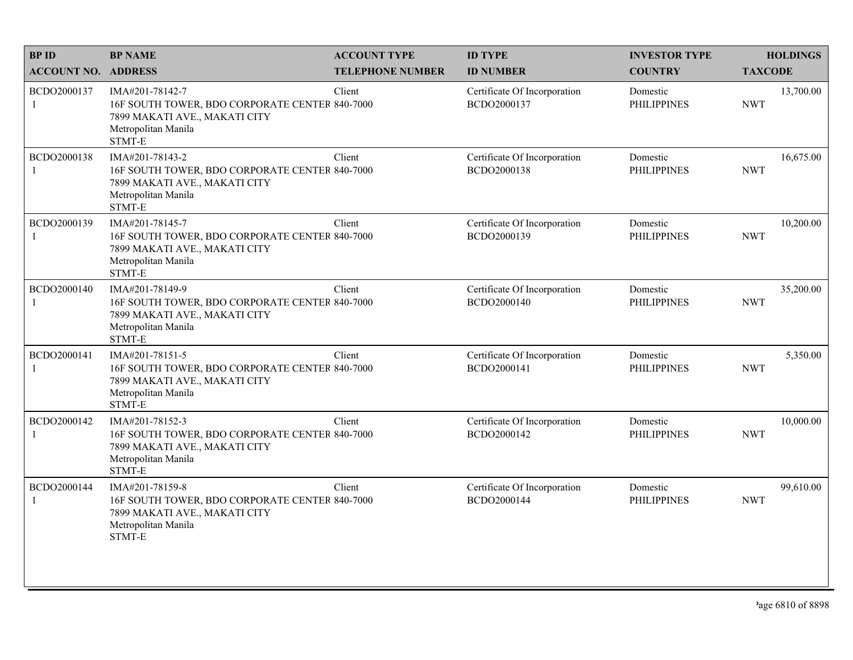| <b>BPID</b>                 | <b>BP NAME</b>                                                                                                                      | <b>ACCOUNT TYPE</b>     | <b>ID TYPE</b>                              | <b>INVESTOR TYPE</b>           | <b>HOLDINGS</b>         |
|-----------------------------|-------------------------------------------------------------------------------------------------------------------------------------|-------------------------|---------------------------------------------|--------------------------------|-------------------------|
| <b>ACCOUNT NO. ADDRESS</b>  |                                                                                                                                     | <b>TELEPHONE NUMBER</b> | <b>ID NUMBER</b>                            | <b>COUNTRY</b>                 | <b>TAXCODE</b>          |
| BCDO2000137<br>$\mathbf{1}$ | IMA#201-78142-7<br>16F SOUTH TOWER, BDO CORPORATE CENTER 840-7000<br>7899 MAKATI AVE., MAKATI CITY<br>Metropolitan Manila<br>STMT-E | Client                  | Certificate Of Incorporation<br>BCDO2000137 | Domestic<br><b>PHILIPPINES</b> | 13,700.00<br><b>NWT</b> |
| BCDO2000138<br>$\mathbf{1}$ | IMA#201-78143-2<br>16F SOUTH TOWER, BDO CORPORATE CENTER 840-7000<br>7899 MAKATI AVE., MAKATI CITY<br>Metropolitan Manila<br>STMT-E | Client                  | Certificate Of Incorporation<br>BCDO2000138 | Domestic<br><b>PHILIPPINES</b> | 16,675.00<br><b>NWT</b> |
| BCDO2000139<br>1            | IMA#201-78145-7<br>16F SOUTH TOWER, BDO CORPORATE CENTER 840-7000<br>7899 MAKATI AVE., MAKATI CITY<br>Metropolitan Manila<br>STMT-E | Client                  | Certificate Of Incorporation<br>BCDO2000139 | Domestic<br><b>PHILIPPINES</b> | 10,200.00<br><b>NWT</b> |
| BCDO2000140<br>1            | IMA#201-78149-9<br>16F SOUTH TOWER, BDO CORPORATE CENTER 840-7000<br>7899 MAKATI AVE., MAKATI CITY<br>Metropolitan Manila<br>STMT-E | Client                  | Certificate Of Incorporation<br>BCDO2000140 | Domestic<br><b>PHILIPPINES</b> | 35,200.00<br><b>NWT</b> |
| BCDO2000141<br>-1           | IMA#201-78151-5<br>16F SOUTH TOWER, BDO CORPORATE CENTER 840-7000<br>7899 MAKATI AVE., MAKATI CITY<br>Metropolitan Manila<br>STMT-E | Client                  | Certificate Of Incorporation<br>BCDO2000141 | Domestic<br><b>PHILIPPINES</b> | 5,350.00<br><b>NWT</b>  |
| BCDO2000142<br>$\mathbf{1}$ | IMA#201-78152-3<br>16F SOUTH TOWER, BDO CORPORATE CENTER 840-7000<br>7899 MAKATI AVE., MAKATI CITY<br>Metropolitan Manila<br>STMT-E | Client                  | Certificate Of Incorporation<br>BCDO2000142 | Domestic<br><b>PHILIPPINES</b> | 10,000.00<br><b>NWT</b> |
| BCDO2000144<br>1            | IMA#201-78159-8<br>16F SOUTH TOWER, BDO CORPORATE CENTER 840-7000<br>7899 MAKATI AVE., MAKATI CITY<br>Metropolitan Manila<br>STMT-E | Client                  | Certificate Of Incorporation<br>BCDO2000144 | Domestic<br><b>PHILIPPINES</b> | 99,610.00<br><b>NWT</b> |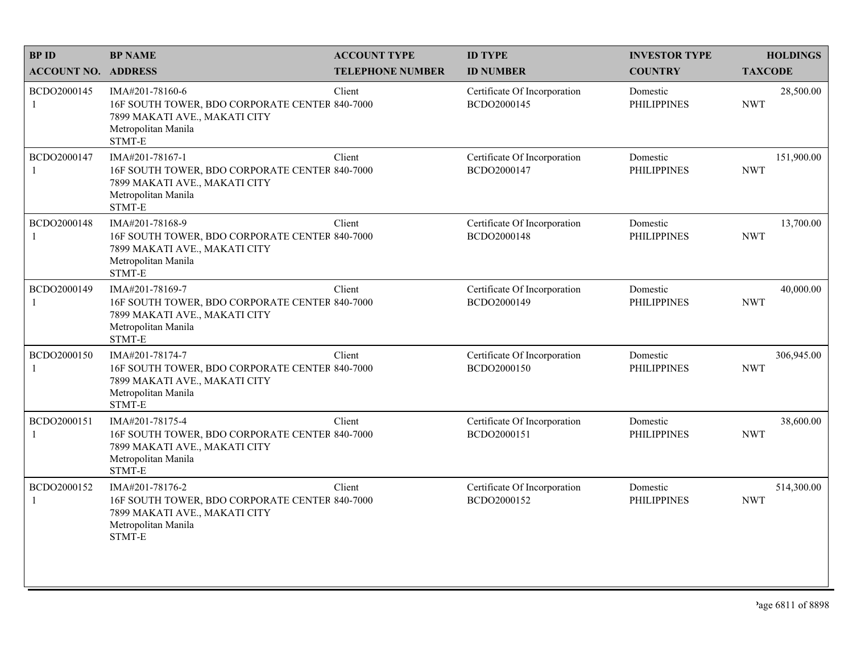| <b>BPID</b>                 | <b>BP NAME</b>                                                                                                                      | <b>ACCOUNT TYPE</b>     | <b>ID TYPE</b>                              | <b>INVESTOR TYPE</b>           | <b>HOLDINGS</b>          |
|-----------------------------|-------------------------------------------------------------------------------------------------------------------------------------|-------------------------|---------------------------------------------|--------------------------------|--------------------------|
| <b>ACCOUNT NO. ADDRESS</b>  |                                                                                                                                     | <b>TELEPHONE NUMBER</b> | <b>ID NUMBER</b>                            | <b>COUNTRY</b>                 | <b>TAXCODE</b>           |
| BCDO2000145<br>$\mathbf{1}$ | IMA#201-78160-6<br>16F SOUTH TOWER, BDO CORPORATE CENTER 840-7000<br>7899 MAKATI AVE., MAKATI CITY<br>Metropolitan Manila<br>STMT-E | Client                  | Certificate Of Incorporation<br>BCDO2000145 | Domestic<br><b>PHILIPPINES</b> | 28,500.00<br><b>NWT</b>  |
| BCDO2000147<br>$\mathbf{1}$ | IMA#201-78167-1<br>16F SOUTH TOWER, BDO CORPORATE CENTER 840-7000<br>7899 MAKATI AVE., MAKATI CITY<br>Metropolitan Manila<br>STMT-E | Client                  | Certificate Of Incorporation<br>BCDO2000147 | Domestic<br><b>PHILIPPINES</b> | 151,900.00<br><b>NWT</b> |
| BCDO2000148<br>1            | IMA#201-78168-9<br>16F SOUTH TOWER, BDO CORPORATE CENTER 840-7000<br>7899 MAKATI AVE., MAKATI CITY<br>Metropolitan Manila<br>STMT-E | Client                  | Certificate Of Incorporation<br>BCDO2000148 | Domestic<br><b>PHILIPPINES</b> | 13,700.00<br><b>NWT</b>  |
| BCDO2000149<br>1            | IMA#201-78169-7<br>16F SOUTH TOWER, BDO CORPORATE CENTER 840-7000<br>7899 MAKATI AVE., MAKATI CITY<br>Metropolitan Manila<br>STMT-E | Client                  | Certificate Of Incorporation<br>BCDO2000149 | Domestic<br><b>PHILIPPINES</b> | 40,000.00<br><b>NWT</b>  |
| BCDO2000150<br>-1           | IMA#201-78174-7<br>16F SOUTH TOWER, BDO CORPORATE CENTER 840-7000<br>7899 MAKATI AVE., MAKATI CITY<br>Metropolitan Manila<br>STMT-E | Client                  | Certificate Of Incorporation<br>BCDO2000150 | Domestic<br><b>PHILIPPINES</b> | 306,945.00<br><b>NWT</b> |
| BCDO2000151<br>$\mathbf{1}$ | IMA#201-78175-4<br>16F SOUTH TOWER, BDO CORPORATE CENTER 840-7000<br>7899 MAKATI AVE., MAKATI CITY<br>Metropolitan Manila<br>STMT-E | Client                  | Certificate Of Incorporation<br>BCDO2000151 | Domestic<br><b>PHILIPPINES</b> | 38,600.00<br><b>NWT</b>  |
| BCDO2000152<br>1            | IMA#201-78176-2<br>16F SOUTH TOWER, BDO CORPORATE CENTER 840-7000<br>7899 MAKATI AVE., MAKATI CITY<br>Metropolitan Manila<br>STMT-E | Client                  | Certificate Of Incorporation<br>BCDO2000152 | Domestic<br><b>PHILIPPINES</b> | 514,300.00<br><b>NWT</b> |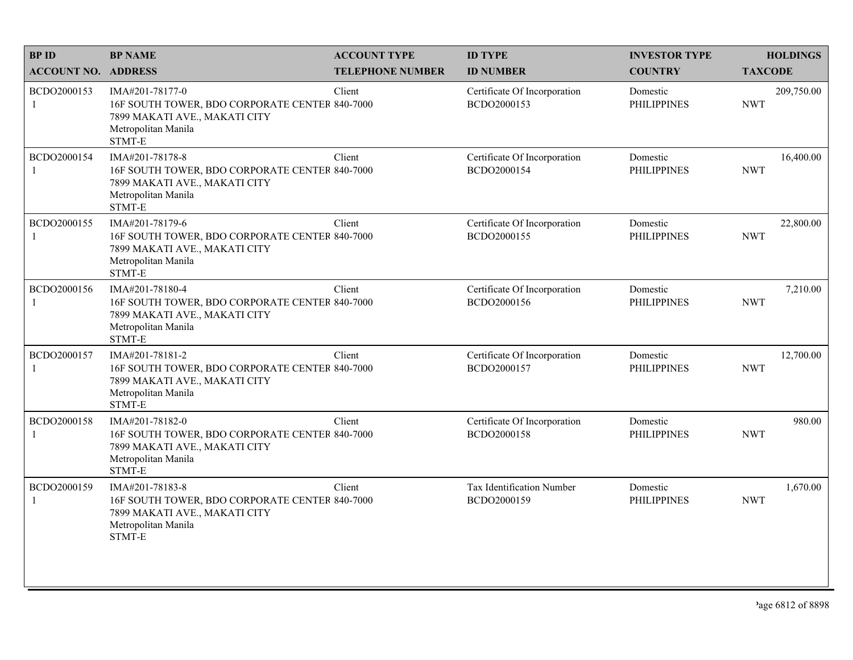| <b>BPID</b>                 | <b>BP NAME</b>                                                                                                                      | <b>ACCOUNT TYPE</b>     | <b>ID TYPE</b>                              | <b>INVESTOR TYPE</b>           | <b>HOLDINGS</b>          |
|-----------------------------|-------------------------------------------------------------------------------------------------------------------------------------|-------------------------|---------------------------------------------|--------------------------------|--------------------------|
| <b>ACCOUNT NO. ADDRESS</b>  |                                                                                                                                     | <b>TELEPHONE NUMBER</b> | <b>ID NUMBER</b>                            | <b>COUNTRY</b>                 | <b>TAXCODE</b>           |
| BCDO2000153<br>$\mathbf{1}$ | IMA#201-78177-0<br>16F SOUTH TOWER, BDO CORPORATE CENTER 840-7000<br>7899 MAKATI AVE., MAKATI CITY<br>Metropolitan Manila<br>STMT-E | Client                  | Certificate Of Incorporation<br>BCDO2000153 | Domestic<br><b>PHILIPPINES</b> | 209,750.00<br><b>NWT</b> |
| BCDO2000154<br>$\mathbf{1}$ | IMA#201-78178-8<br>16F SOUTH TOWER, BDO CORPORATE CENTER 840-7000<br>7899 MAKATI AVE., MAKATI CITY<br>Metropolitan Manila<br>STMT-E | Client                  | Certificate Of Incorporation<br>BCDO2000154 | Domestic<br><b>PHILIPPINES</b> | 16,400.00<br><b>NWT</b>  |
| BCDO2000155<br>1            | IMA#201-78179-6<br>16F SOUTH TOWER, BDO CORPORATE CENTER 840-7000<br>7899 MAKATI AVE., MAKATI CITY<br>Metropolitan Manila<br>STMT-E | Client                  | Certificate Of Incorporation<br>BCDO2000155 | Domestic<br><b>PHILIPPINES</b> | 22,800.00<br><b>NWT</b>  |
| BCDO2000156<br>1            | IMA#201-78180-4<br>16F SOUTH TOWER, BDO CORPORATE CENTER 840-7000<br>7899 MAKATI AVE., MAKATI CITY<br>Metropolitan Manila<br>STMT-E | Client                  | Certificate Of Incorporation<br>BCDO2000156 | Domestic<br><b>PHILIPPINES</b> | 7,210.00<br><b>NWT</b>   |
| BCDO2000157<br>-1           | IMA#201-78181-2<br>16F SOUTH TOWER, BDO CORPORATE CENTER 840-7000<br>7899 MAKATI AVE., MAKATI CITY<br>Metropolitan Manila<br>STMT-E | Client                  | Certificate Of Incorporation<br>BCDO2000157 | Domestic<br><b>PHILIPPINES</b> | 12,700.00<br><b>NWT</b>  |
| BCDO2000158<br>$\mathbf{1}$ | IMA#201-78182-0<br>16F SOUTH TOWER, BDO CORPORATE CENTER 840-7000<br>7899 MAKATI AVE., MAKATI CITY<br>Metropolitan Manila<br>STMT-E | Client                  | Certificate Of Incorporation<br>BCDO2000158 | Domestic<br><b>PHILIPPINES</b> | 980.00<br><b>NWT</b>     |
| BCDO2000159<br>1            | IMA#201-78183-8<br>16F SOUTH TOWER, BDO CORPORATE CENTER 840-7000<br>7899 MAKATI AVE., MAKATI CITY<br>Metropolitan Manila<br>STMT-E | Client                  | Tax Identification Number<br>BCDO2000159    | Domestic<br><b>PHILIPPINES</b> | 1,670.00<br><b>NWT</b>   |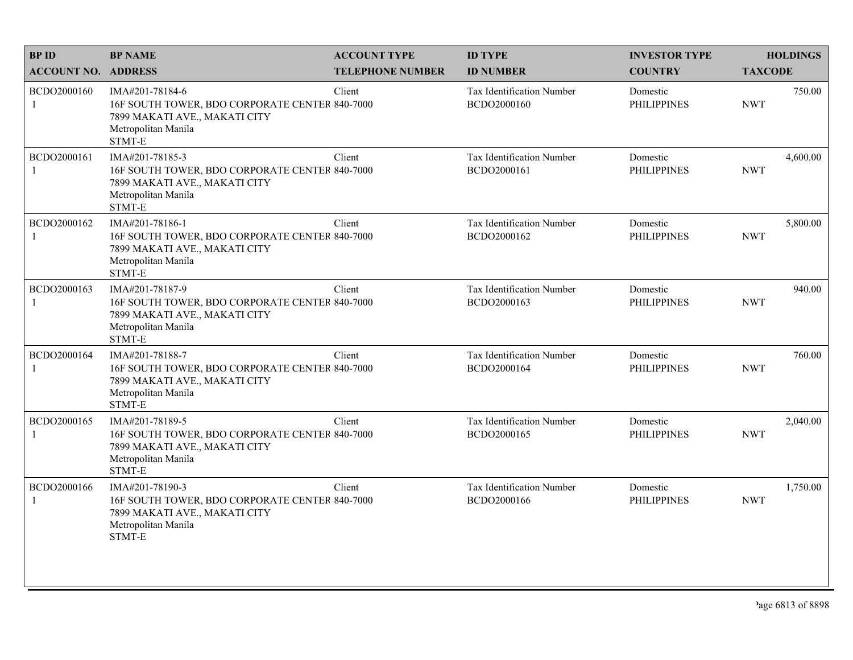| <b>BPID</b>                 | <b>BP NAME</b>                                                                                                                      | <b>ACCOUNT TYPE</b>     | <b>ID TYPE</b>                           | <b>INVESTOR TYPE</b>           | <b>HOLDINGS</b>        |
|-----------------------------|-------------------------------------------------------------------------------------------------------------------------------------|-------------------------|------------------------------------------|--------------------------------|------------------------|
| <b>ACCOUNT NO. ADDRESS</b>  |                                                                                                                                     | <b>TELEPHONE NUMBER</b> | <b>ID NUMBER</b>                         | <b>COUNTRY</b>                 | <b>TAXCODE</b>         |
| BCDO2000160<br>$\mathbf{1}$ | IMA#201-78184-6<br>16F SOUTH TOWER, BDO CORPORATE CENTER 840-7000<br>7899 MAKATI AVE., MAKATI CITY<br>Metropolitan Manila<br>STMT-E | Client                  | Tax Identification Number<br>BCDO2000160 | Domestic<br><b>PHILIPPINES</b> | 750.00<br><b>NWT</b>   |
| BCDO2000161<br>1            | IMA#201-78185-3<br>16F SOUTH TOWER, BDO CORPORATE CENTER 840-7000<br>7899 MAKATI AVE., MAKATI CITY<br>Metropolitan Manila<br>STMT-E | Client                  | Tax Identification Number<br>BCDO2000161 | Domestic<br><b>PHILIPPINES</b> | 4,600.00<br><b>NWT</b> |
| BCDO2000162<br>1            | IMA#201-78186-1<br>16F SOUTH TOWER, BDO CORPORATE CENTER 840-7000<br>7899 MAKATI AVE., MAKATI CITY<br>Metropolitan Manila<br>STMT-E | Client                  | Tax Identification Number<br>BCDO2000162 | Domestic<br><b>PHILIPPINES</b> | 5,800.00<br><b>NWT</b> |
| BCDO2000163<br>1            | IMA#201-78187-9<br>16F SOUTH TOWER, BDO CORPORATE CENTER 840-7000<br>7899 MAKATI AVE., MAKATI CITY<br>Metropolitan Manila<br>STMT-E | Client                  | Tax Identification Number<br>BCDO2000163 | Domestic<br><b>PHILIPPINES</b> | 940.00<br><b>NWT</b>   |
| BCDO2000164<br>1            | IMA#201-78188-7<br>16F SOUTH TOWER, BDO CORPORATE CENTER 840-7000<br>7899 MAKATI AVE., MAKATI CITY<br>Metropolitan Manila<br>STMT-E | Client                  | Tax Identification Number<br>BCDO2000164 | Domestic<br><b>PHILIPPINES</b> | 760.00<br><b>NWT</b>   |
| BCDO2000165<br>$\mathbf{1}$ | IMA#201-78189-5<br>16F SOUTH TOWER, BDO CORPORATE CENTER 840-7000<br>7899 MAKATI AVE., MAKATI CITY<br>Metropolitan Manila<br>STMT-E | Client                  | Tax Identification Number<br>BCDO2000165 | Domestic<br><b>PHILIPPINES</b> | 2,040.00<br><b>NWT</b> |
| BCDO2000166<br>1            | IMA#201-78190-3<br>16F SOUTH TOWER, BDO CORPORATE CENTER 840-7000<br>7899 MAKATI AVE., MAKATI CITY<br>Metropolitan Manila<br>STMT-E | Client                  | Tax Identification Number<br>BCDO2000166 | Domestic<br><b>PHILIPPINES</b> | 1,750.00<br><b>NWT</b> |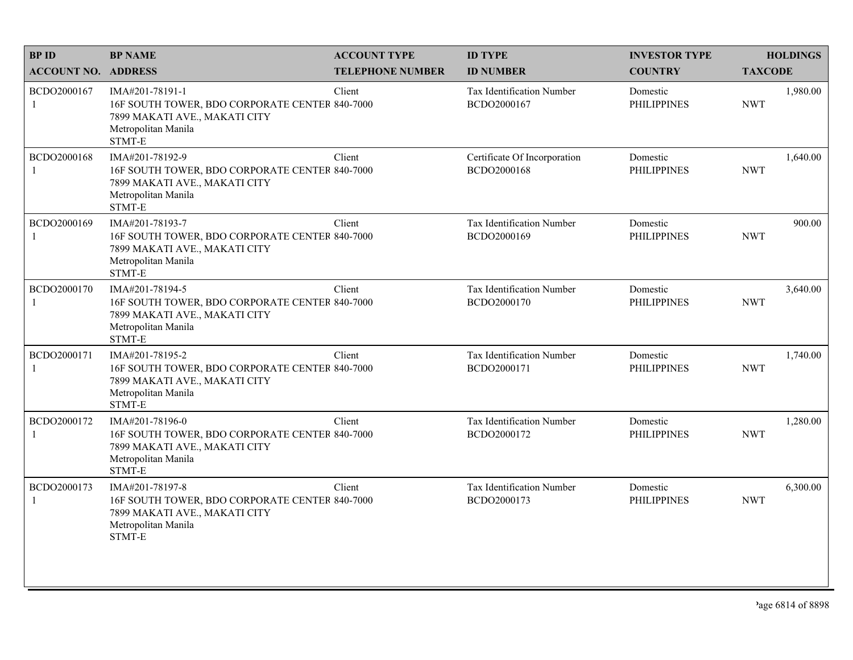| <b>BPID</b>                 | <b>BP NAME</b>                                                                                                                      | <b>ACCOUNT TYPE</b>     | <b>ID TYPE</b>                              | <b>INVESTOR TYPE</b>           | <b>HOLDINGS</b>        |
|-----------------------------|-------------------------------------------------------------------------------------------------------------------------------------|-------------------------|---------------------------------------------|--------------------------------|------------------------|
| <b>ACCOUNT NO. ADDRESS</b>  |                                                                                                                                     | <b>TELEPHONE NUMBER</b> | <b>ID NUMBER</b>                            | <b>COUNTRY</b>                 | <b>TAXCODE</b>         |
| BCDO2000167<br>$\mathbf{1}$ | IMA#201-78191-1<br>16F SOUTH TOWER, BDO CORPORATE CENTER 840-7000<br>7899 MAKATI AVE., MAKATI CITY<br>Metropolitan Manila<br>STMT-E | Client                  | Tax Identification Number<br>BCDO2000167    | Domestic<br><b>PHILIPPINES</b> | 1,980.00<br><b>NWT</b> |
| BCDO2000168<br>$\mathbf{1}$ | IMA#201-78192-9<br>16F SOUTH TOWER, BDO CORPORATE CENTER 840-7000<br>7899 MAKATI AVE., MAKATI CITY<br>Metropolitan Manila<br>STMT-E | Client                  | Certificate Of Incorporation<br>BCDO2000168 | Domestic<br><b>PHILIPPINES</b> | 1,640.00<br><b>NWT</b> |
| BCDO2000169<br>1            | IMA#201-78193-7<br>16F SOUTH TOWER, BDO CORPORATE CENTER 840-7000<br>7899 MAKATI AVE., MAKATI CITY<br>Metropolitan Manila<br>STMT-E | Client                  | Tax Identification Number<br>BCDO2000169    | Domestic<br><b>PHILIPPINES</b> | 900.00<br><b>NWT</b>   |
| BCDO2000170<br>1            | IMA#201-78194-5<br>16F SOUTH TOWER, BDO CORPORATE CENTER 840-7000<br>7899 MAKATI AVE., MAKATI CITY<br>Metropolitan Manila<br>STMT-E | Client                  | Tax Identification Number<br>BCDO2000170    | Domestic<br><b>PHILIPPINES</b> | 3,640.00<br><b>NWT</b> |
| BCDO2000171<br>1            | IMA#201-78195-2<br>16F SOUTH TOWER, BDO CORPORATE CENTER 840-7000<br>7899 MAKATI AVE., MAKATI CITY<br>Metropolitan Manila<br>STMT-E | Client                  | Tax Identification Number<br>BCDO2000171    | Domestic<br><b>PHILIPPINES</b> | 1,740.00<br><b>NWT</b> |
| BCDO2000172<br>$\mathbf{1}$ | IMA#201-78196-0<br>16F SOUTH TOWER, BDO CORPORATE CENTER 840-7000<br>7899 MAKATI AVE., MAKATI CITY<br>Metropolitan Manila<br>STMT-E | Client                  | Tax Identification Number<br>BCDO2000172    | Domestic<br><b>PHILIPPINES</b> | 1,280.00<br><b>NWT</b> |
| BCDO2000173<br>1            | IMA#201-78197-8<br>16F SOUTH TOWER, BDO CORPORATE CENTER 840-7000<br>7899 MAKATI AVE., MAKATI CITY<br>Metropolitan Manila<br>STMT-E | Client                  | Tax Identification Number<br>BCDO2000173    | Domestic<br><b>PHILIPPINES</b> | 6,300.00<br><b>NWT</b> |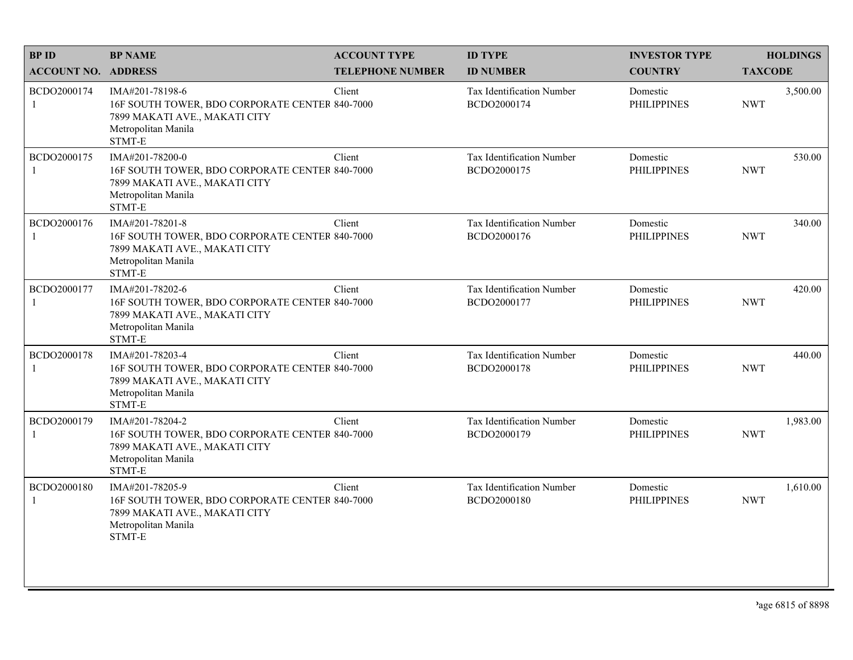| <b>BPID</b>                | <b>BP NAME</b>                                                                                                                      | <b>ACCOUNT TYPE</b>     | <b>ID TYPE</b>                           | <b>INVESTOR TYPE</b>           | <b>HOLDINGS</b>        |
|----------------------------|-------------------------------------------------------------------------------------------------------------------------------------|-------------------------|------------------------------------------|--------------------------------|------------------------|
| <b>ACCOUNT NO. ADDRESS</b> |                                                                                                                                     | <b>TELEPHONE NUMBER</b> | <b>ID NUMBER</b>                         | <b>COUNTRY</b>                 | <b>TAXCODE</b>         |
| BCDO2000174<br>1           | IMA#201-78198-6<br>16F SOUTH TOWER, BDO CORPORATE CENTER 840-7000<br>7899 MAKATI AVE., MAKATI CITY<br>Metropolitan Manila<br>STMT-E | Client                  | Tax Identification Number<br>BCDO2000174 | Domestic<br><b>PHILIPPINES</b> | 3,500.00<br><b>NWT</b> |
| BCDO2000175                | IMA#201-78200-0<br>16F SOUTH TOWER, BDO CORPORATE CENTER 840-7000<br>7899 MAKATI AVE., MAKATI CITY<br>Metropolitan Manila<br>STMT-E | Client                  | Tax Identification Number<br>BCDO2000175 | Domestic<br><b>PHILIPPINES</b> | 530.00<br><b>NWT</b>   |
| BCDO2000176                | IMA#201-78201-8<br>16F SOUTH TOWER, BDO CORPORATE CENTER 840-7000<br>7899 MAKATI AVE., MAKATI CITY<br>Metropolitan Manila<br>STMT-E | Client                  | Tax Identification Number<br>BCDO2000176 | Domestic<br><b>PHILIPPINES</b> | 340.00<br><b>NWT</b>   |
| BCDO2000177                | IMA#201-78202-6<br>16F SOUTH TOWER, BDO CORPORATE CENTER 840-7000<br>7899 MAKATI AVE., MAKATI CITY<br>Metropolitan Manila<br>STMT-E | Client                  | Tax Identification Number<br>BCDO2000177 | Domestic<br><b>PHILIPPINES</b> | 420.00<br><b>NWT</b>   |
| BCDO2000178                | IMA#201-78203-4<br>16F SOUTH TOWER, BDO CORPORATE CENTER 840-7000<br>7899 MAKATI AVE., MAKATI CITY<br>Metropolitan Manila<br>STMT-E | Client                  | Tax Identification Number<br>BCDO2000178 | Domestic<br><b>PHILIPPINES</b> | 440.00<br><b>NWT</b>   |
| BCDO2000179<br>1           | IMA#201-78204-2<br>16F SOUTH TOWER, BDO CORPORATE CENTER 840-7000<br>7899 MAKATI AVE., MAKATI CITY<br>Metropolitan Manila<br>STMT-E | Client                  | Tax Identification Number<br>BCDO2000179 | Domestic<br><b>PHILIPPINES</b> | 1,983.00<br><b>NWT</b> |
| BCDO2000180<br>1           | IMA#201-78205-9<br>16F SOUTH TOWER, BDO CORPORATE CENTER 840-7000<br>7899 MAKATI AVE., MAKATI CITY<br>Metropolitan Manila<br>STMT-E | Client                  | Tax Identification Number<br>BCDO2000180 | Domestic<br><b>PHILIPPINES</b> | 1,610.00<br><b>NWT</b> |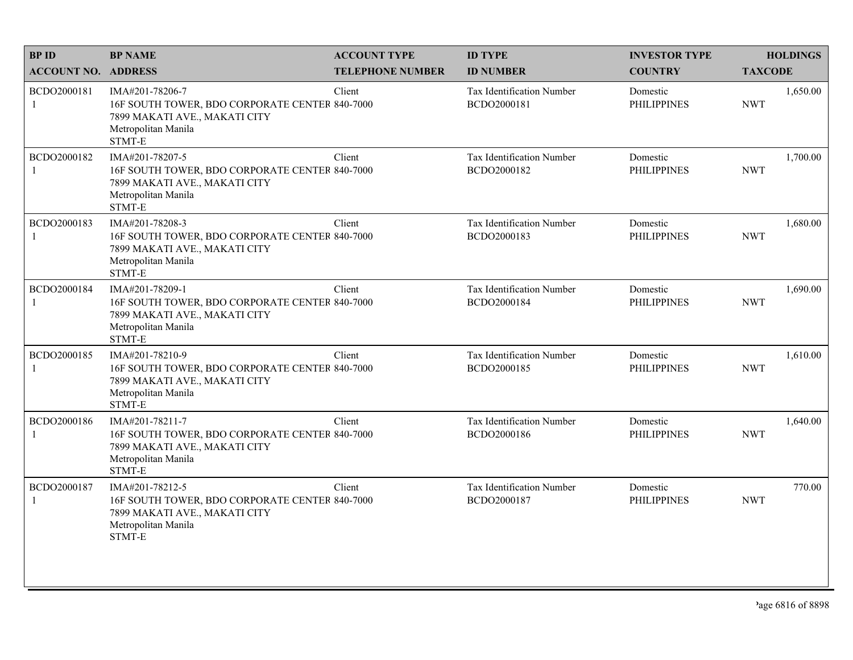| <b>BPID</b>                 | <b>BP NAME</b>                                                                                                                      | <b>ACCOUNT TYPE</b>     | <b>ID TYPE</b>                           | <b>INVESTOR TYPE</b>           | <b>HOLDINGS</b>        |
|-----------------------------|-------------------------------------------------------------------------------------------------------------------------------------|-------------------------|------------------------------------------|--------------------------------|------------------------|
| <b>ACCOUNT NO. ADDRESS</b>  |                                                                                                                                     | <b>TELEPHONE NUMBER</b> | <b>ID NUMBER</b>                         | <b>COUNTRY</b>                 | <b>TAXCODE</b>         |
| BCDO2000181<br>$\mathbf{1}$ | IMA#201-78206-7<br>16F SOUTH TOWER, BDO CORPORATE CENTER 840-7000<br>7899 MAKATI AVE., MAKATI CITY<br>Metropolitan Manila<br>STMT-E | Client                  | Tax Identification Number<br>BCDO2000181 | Domestic<br><b>PHILIPPINES</b> | 1,650.00<br><b>NWT</b> |
| BCDO2000182                 | IMA#201-78207-5<br>16F SOUTH TOWER, BDO CORPORATE CENTER 840-7000<br>7899 MAKATI AVE., MAKATI CITY<br>Metropolitan Manila<br>STMT-E | Client                  | Tax Identification Number<br>BCDO2000182 | Domestic<br><b>PHILIPPINES</b> | 1,700.00<br><b>NWT</b> |
| BCDO2000183<br>1            | IMA#201-78208-3<br>16F SOUTH TOWER, BDO CORPORATE CENTER 840-7000<br>7899 MAKATI AVE., MAKATI CITY<br>Metropolitan Manila<br>STMT-E | Client                  | Tax Identification Number<br>BCDO2000183 | Domestic<br><b>PHILIPPINES</b> | 1,680.00<br><b>NWT</b> |
| BCDO2000184<br>1            | IMA#201-78209-1<br>16F SOUTH TOWER, BDO CORPORATE CENTER 840-7000<br>7899 MAKATI AVE., MAKATI CITY<br>Metropolitan Manila<br>STMT-E | Client                  | Tax Identification Number<br>BCDO2000184 | Domestic<br><b>PHILIPPINES</b> | 1,690.00<br><b>NWT</b> |
| BCDO2000185<br>1            | IMA#201-78210-9<br>16F SOUTH TOWER, BDO CORPORATE CENTER 840-7000<br>7899 MAKATI AVE., MAKATI CITY<br>Metropolitan Manila<br>STMT-E | Client                  | Tax Identification Number<br>BCDO2000185 | Domestic<br><b>PHILIPPINES</b> | 1,610.00<br><b>NWT</b> |
| BCDO2000186<br>1            | IMA#201-78211-7<br>16F SOUTH TOWER, BDO CORPORATE CENTER 840-7000<br>7899 MAKATI AVE., MAKATI CITY<br>Metropolitan Manila<br>STMT-E | Client                  | Tax Identification Number<br>BCDO2000186 | Domestic<br><b>PHILIPPINES</b> | 1,640.00<br><b>NWT</b> |
| BCDO2000187<br>1            | IMA#201-78212-5<br>16F SOUTH TOWER, BDO CORPORATE CENTER 840-7000<br>7899 MAKATI AVE., MAKATI CITY<br>Metropolitan Manila<br>STMT-E | Client                  | Tax Identification Number<br>BCDO2000187 | Domestic<br><b>PHILIPPINES</b> | 770.00<br><b>NWT</b>   |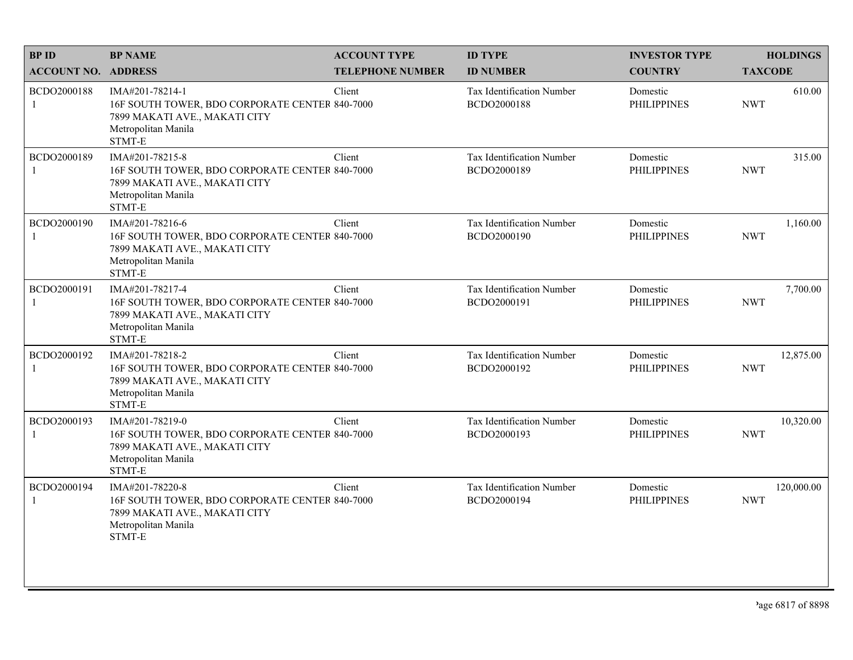| <b>BPID</b>                 | <b>BP NAME</b>                                                                                                                      | <b>ACCOUNT TYPE</b>     | <b>ID TYPE</b>                                  | <b>INVESTOR TYPE</b>           | <b>HOLDINGS</b>          |
|-----------------------------|-------------------------------------------------------------------------------------------------------------------------------------|-------------------------|-------------------------------------------------|--------------------------------|--------------------------|
| <b>ACCOUNT NO. ADDRESS</b>  |                                                                                                                                     | <b>TELEPHONE NUMBER</b> | <b>ID NUMBER</b>                                | <b>COUNTRY</b>                 | <b>TAXCODE</b>           |
| BCDO2000188<br>1            | IMA#201-78214-1<br>16F SOUTH TOWER, BDO CORPORATE CENTER 840-7000<br>7899 MAKATI AVE., MAKATI CITY<br>Metropolitan Manila<br>STMT-E | Client                  | <b>Tax Identification Number</b><br>BCDO2000188 | Domestic<br><b>PHILIPPINES</b> | 610.00<br><b>NWT</b>     |
| BCDO2000189<br>$\mathbf{1}$ | IMA#201-78215-8<br>16F SOUTH TOWER, BDO CORPORATE CENTER 840-7000<br>7899 MAKATI AVE., MAKATI CITY<br>Metropolitan Manila<br>STMT-E | Client                  | Tax Identification Number<br>BCDO2000189        | Domestic<br><b>PHILIPPINES</b> | 315.00<br><b>NWT</b>     |
| BCDO2000190                 | IMA#201-78216-6<br>16F SOUTH TOWER, BDO CORPORATE CENTER 840-7000<br>7899 MAKATI AVE., MAKATI CITY<br>Metropolitan Manila<br>STMT-E | Client                  | Tax Identification Number<br>BCDO2000190        | Domestic<br><b>PHILIPPINES</b> | 1,160.00<br><b>NWT</b>   |
| BCDO2000191                 | IMA#201-78217-4<br>16F SOUTH TOWER, BDO CORPORATE CENTER 840-7000<br>7899 MAKATI AVE., MAKATI CITY<br>Metropolitan Manila<br>STMT-E | Client                  | Tax Identification Number<br>BCDO2000191        | Domestic<br><b>PHILIPPINES</b> | 7,700.00<br><b>NWT</b>   |
| BCDO2000192                 | IMA#201-78218-2<br>16F SOUTH TOWER, BDO CORPORATE CENTER 840-7000<br>7899 MAKATI AVE., MAKATI CITY<br>Metropolitan Manila<br>STMT-E | Client                  | Tax Identification Number<br>BCDO2000192        | Domestic<br><b>PHILIPPINES</b> | 12,875.00<br><b>NWT</b>  |
| BCDO2000193<br>1            | IMA#201-78219-0<br>16F SOUTH TOWER, BDO CORPORATE CENTER 840-7000<br>7899 MAKATI AVE., MAKATI CITY<br>Metropolitan Manila<br>STMT-E | Client                  | Tax Identification Number<br>BCDO2000193        | Domestic<br><b>PHILIPPINES</b> | 10,320.00<br><b>NWT</b>  |
| BCDO2000194<br>1            | IMA#201-78220-8<br>16F SOUTH TOWER, BDO CORPORATE CENTER 840-7000<br>7899 MAKATI AVE., MAKATI CITY<br>Metropolitan Manila<br>STMT-E | Client                  | Tax Identification Number<br>BCDO2000194        | Domestic<br><b>PHILIPPINES</b> | 120,000.00<br><b>NWT</b> |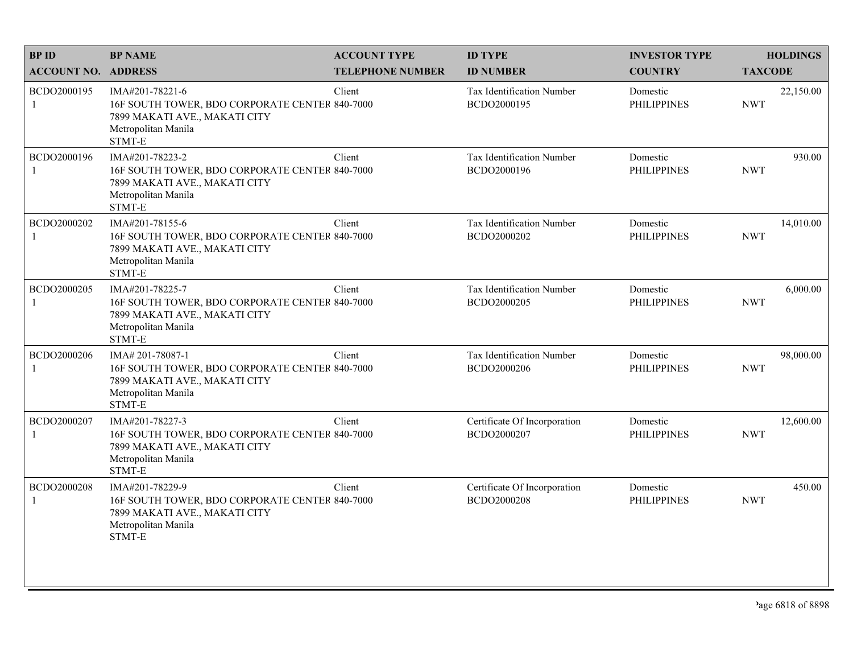| <b>BPID</b>                 | <b>BP NAME</b>                                                                                                                       | <b>ACCOUNT TYPE</b>     | <b>ID TYPE</b>                              | <b>INVESTOR TYPE</b>           | <b>HOLDINGS</b>         |
|-----------------------------|--------------------------------------------------------------------------------------------------------------------------------------|-------------------------|---------------------------------------------|--------------------------------|-------------------------|
| <b>ACCOUNT NO. ADDRESS</b>  |                                                                                                                                      | <b>TELEPHONE NUMBER</b> | <b>ID NUMBER</b>                            | <b>COUNTRY</b>                 | <b>TAXCODE</b>          |
| BCDO2000195<br>$\mathbf{1}$ | IMA#201-78221-6<br>16F SOUTH TOWER, BDO CORPORATE CENTER 840-7000<br>7899 MAKATI AVE., MAKATI CITY<br>Metropolitan Manila<br>STMT-E  | Client                  | Tax Identification Number<br>BCDO2000195    | Domestic<br><b>PHILIPPINES</b> | 22,150.00<br><b>NWT</b> |
| BCDO2000196                 | IMA#201-78223-2<br>16F SOUTH TOWER, BDO CORPORATE CENTER 840-7000<br>7899 MAKATI AVE., MAKATI CITY<br>Metropolitan Manila<br>STMT-E  | Client                  | Tax Identification Number<br>BCDO2000196    | Domestic<br><b>PHILIPPINES</b> | 930.00<br><b>NWT</b>    |
| BCDO2000202<br>1            | IMA#201-78155-6<br>16F SOUTH TOWER, BDO CORPORATE CENTER 840-7000<br>7899 MAKATI AVE., MAKATI CITY<br>Metropolitan Manila<br>STMT-E  | Client                  | Tax Identification Number<br>BCDO2000202    | Domestic<br><b>PHILIPPINES</b> | 14,010.00<br><b>NWT</b> |
| BCDO2000205<br>1            | IMA#201-78225-7<br>16F SOUTH TOWER, BDO CORPORATE CENTER 840-7000<br>7899 MAKATI AVE., MAKATI CITY<br>Metropolitan Manila<br>STMT-E  | Client                  | Tax Identification Number<br>BCDO2000205    | Domestic<br><b>PHILIPPINES</b> | 6,000.00<br><b>NWT</b>  |
| BCDO2000206<br>1            | IMA# 201-78087-1<br>16F SOUTH TOWER, BDO CORPORATE CENTER 840-7000<br>7899 MAKATI AVE., MAKATI CITY<br>Metropolitan Manila<br>STMT-E | Client                  | Tax Identification Number<br>BCDO2000206    | Domestic<br><b>PHILIPPINES</b> | 98,000.00<br><b>NWT</b> |
| BCDO2000207<br>1            | IMA#201-78227-3<br>16F SOUTH TOWER, BDO CORPORATE CENTER 840-7000<br>7899 MAKATI AVE., MAKATI CITY<br>Metropolitan Manila<br>STMT-E  | Client                  | Certificate Of Incorporation<br>BCDO2000207 | Domestic<br><b>PHILIPPINES</b> | 12,600.00<br><b>NWT</b> |
| BCDO2000208<br>1            | IMA#201-78229-9<br>16F SOUTH TOWER, BDO CORPORATE CENTER 840-7000<br>7899 MAKATI AVE., MAKATI CITY<br>Metropolitan Manila<br>STMT-E  | Client                  | Certificate Of Incorporation<br>BCDO2000208 | Domestic<br><b>PHILIPPINES</b> | 450.00<br><b>NWT</b>    |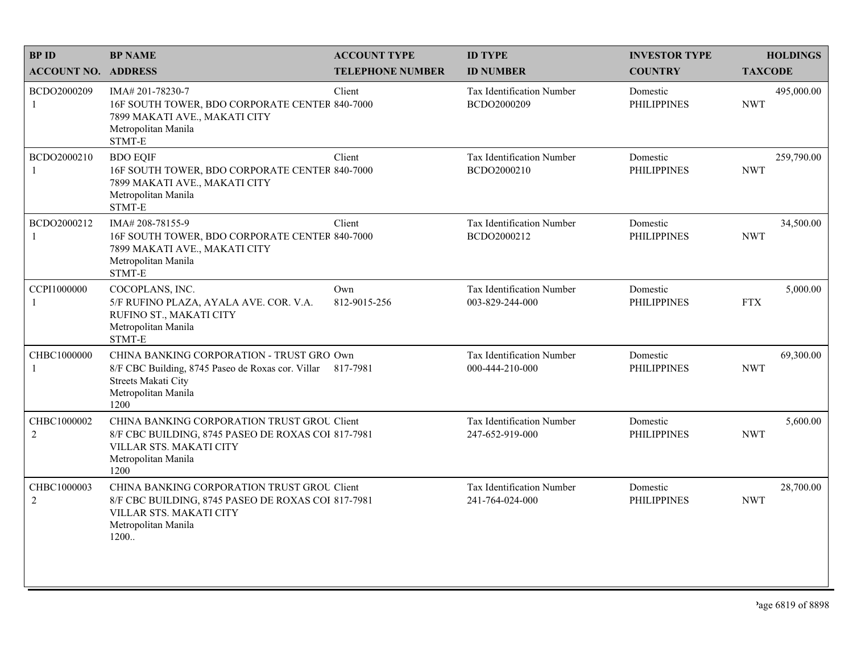| <b>BPID</b>                   | <b>BP NAME</b>                                                                                                                                                | <b>ACCOUNT TYPE</b>     | <b>ID TYPE</b>                               | <b>INVESTOR TYPE</b>           | <b>HOLDINGS</b>          |
|-------------------------------|---------------------------------------------------------------------------------------------------------------------------------------------------------------|-------------------------|----------------------------------------------|--------------------------------|--------------------------|
| <b>ACCOUNT NO. ADDRESS</b>    |                                                                                                                                                               | <b>TELEPHONE NUMBER</b> | <b>ID NUMBER</b>                             | <b>COUNTRY</b>                 | <b>TAXCODE</b>           |
| BCDO2000209<br>1              | IMA# 201-78230-7<br>16F SOUTH TOWER, BDO CORPORATE CENTER 840-7000<br>7899 MAKATI AVE., MAKATI CITY<br>Metropolitan Manila<br>STMT-E                          | Client                  | Tax Identification Number<br>BCDO2000209     | Domestic<br><b>PHILIPPINES</b> | 495,000.00<br><b>NWT</b> |
| BCDO2000210                   | <b>BDO EQIF</b><br>16F SOUTH TOWER, BDO CORPORATE CENTER 840-7000<br>7899 MAKATI AVE., MAKATI CITY<br>Metropolitan Manila<br>STMT-E                           | Client                  | Tax Identification Number<br>BCDO2000210     | Domestic<br><b>PHILIPPINES</b> | 259,790.00<br><b>NWT</b> |
| BCDO2000212<br>-1             | IMA# 208-78155-9<br>16F SOUTH TOWER, BDO CORPORATE CENTER 840-7000<br>7899 MAKATI AVE., MAKATI CITY<br>Metropolitan Manila<br>STMT-E                          | Client                  | Tax Identification Number<br>BCDO2000212     | Domestic<br><b>PHILIPPINES</b> | 34,500.00<br><b>NWT</b>  |
| CCPI1000000<br>1              | COCOPLANS, INC.<br>5/F RUFINO PLAZA, AYALA AVE. COR. V.A.<br>RUFINO ST., MAKATI CITY<br>Metropolitan Manila<br>STMT-E                                         | Own<br>812-9015-256     | Tax Identification Number<br>003-829-244-000 | Domestic<br><b>PHILIPPINES</b> | 5,000.00<br><b>FTX</b>   |
| CHBC1000000<br>1              | CHINA BANKING CORPORATION - TRUST GRO Own<br>8/F CBC Building, 8745 Paseo de Roxas cor. Villar 817-7981<br>Streets Makati City<br>Metropolitan Manila<br>1200 |                         | Tax Identification Number<br>000-444-210-000 | Domestic<br><b>PHILIPPINES</b> | 69,300.00<br><b>NWT</b>  |
| CHBC1000002<br>$\overline{2}$ | CHINA BANKING CORPORATION TRUST GROU Client<br>8/F CBC BUILDING, 8745 PASEO DE ROXAS COI 817-7981<br>VILLAR STS. MAKATI CITY<br>Metropolitan Manila<br>1200   |                         | Tax Identification Number<br>247-652-919-000 | Domestic<br><b>PHILIPPINES</b> | 5,600.00<br><b>NWT</b>   |
| CHBC1000003<br>$\overline{2}$ | CHINA BANKING CORPORATION TRUST GROU Client<br>8/F CBC BUILDING, 8745 PASEO DE ROXAS COI 817-7981<br>VILLAR STS. MAKATI CITY<br>Metropolitan Manila<br>1200   |                         | Tax Identification Number<br>241-764-024-000 | Domestic<br><b>PHILIPPINES</b> | 28,700.00<br><b>NWT</b>  |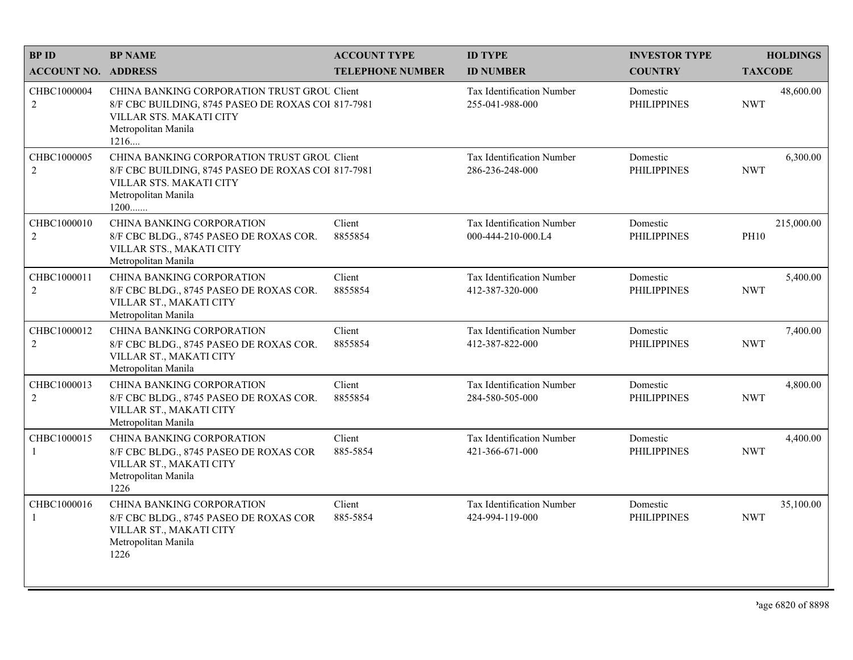| <b>BPID</b>                   | <b>BP NAME</b>                                                                                                                                                | <b>ACCOUNT TYPE</b>     | <b>ID TYPE</b>                                  | <b>INVESTOR TYPE</b>           | <b>HOLDINGS</b>           |
|-------------------------------|---------------------------------------------------------------------------------------------------------------------------------------------------------------|-------------------------|-------------------------------------------------|--------------------------------|---------------------------|
| <b>ACCOUNT NO. ADDRESS</b>    |                                                                                                                                                               | <b>TELEPHONE NUMBER</b> | <b>ID NUMBER</b>                                | <b>COUNTRY</b>                 | <b>TAXCODE</b>            |
| CHBC1000004<br>$\sqrt{2}$     | CHINA BANKING CORPORATION TRUST GROU Client<br>8/F CBC BUILDING, 8745 PASEO DE ROXAS COI 817-7981<br>VILLAR STS. MAKATI CITY<br>Metropolitan Manila<br>1216   |                         | Tax Identification Number<br>255-041-988-000    | Domestic<br><b>PHILIPPINES</b> | 48,600.00<br><b>NWT</b>   |
| CHBC1000005<br>2              | CHINA BANKING CORPORATION TRUST GROU Client<br>8/F CBC BUILDING, 8745 PASEO DE ROXAS COI 817-7981<br>VILLAR STS. MAKATI CITY<br>Metropolitan Manila<br>$1200$ |                         | Tax Identification Number<br>286-236-248-000    | Domestic<br><b>PHILIPPINES</b> | 6,300.00<br><b>NWT</b>    |
| CHBC1000010<br>2              | CHINA BANKING CORPORATION<br>8/F CBC BLDG., 8745 PASEO DE ROXAS COR.<br>VILLAR STS., MAKATI CITY<br>Metropolitan Manila                                       | Client<br>8855854       | Tax Identification Number<br>000-444-210-000.L4 | Domestic<br><b>PHILIPPINES</b> | 215,000.00<br><b>PH10</b> |
| CHBC1000011<br>2              | <b>CHINA BANKING CORPORATION</b><br>8/F CBC BLDG., 8745 PASEO DE ROXAS COR.<br>VILLAR ST., MAKATI CITY<br>Metropolitan Manila                                 | Client<br>8855854       | Tax Identification Number<br>412-387-320-000    | Domestic<br><b>PHILIPPINES</b> | 5,400.00<br><b>NWT</b>    |
| CHBC1000012<br>$\overline{2}$ | CHINA BANKING CORPORATION<br>8/F CBC BLDG., 8745 PASEO DE ROXAS COR.<br>VILLAR ST., MAKATI CITY<br>Metropolitan Manila                                        | Client<br>8855854       | Tax Identification Number<br>412-387-822-000    | Domestic<br><b>PHILIPPINES</b> | 7,400.00<br><b>NWT</b>    |
| CHBC1000013<br>$\overline{2}$ | CHINA BANKING CORPORATION<br>8/F CBC BLDG., 8745 PASEO DE ROXAS COR.<br>VILLAR ST., MAKATI CITY<br>Metropolitan Manila                                        | Client<br>8855854       | Tax Identification Number<br>284-580-505-000    | Domestic<br><b>PHILIPPINES</b> | 4,800.00<br><b>NWT</b>    |
| CHBC1000015<br>$\overline{1}$ | CHINA BANKING CORPORATION<br>8/F CBC BLDG., 8745 PASEO DE ROXAS COR<br>VILLAR ST., MAKATI CITY<br>Metropolitan Manila<br>1226                                 | Client<br>885-5854      | Tax Identification Number<br>421-366-671-000    | Domestic<br><b>PHILIPPINES</b> | 4,400.00<br><b>NWT</b>    |
| CHBC1000016<br>$\mathbf{1}$   | CHINA BANKING CORPORATION<br>8/F CBC BLDG., 8745 PASEO DE ROXAS COR<br>VILLAR ST., MAKATI CITY<br>Metropolitan Manila<br>1226                                 | Client<br>885-5854      | Tax Identification Number<br>424-994-119-000    | Domestic<br><b>PHILIPPINES</b> | 35,100.00<br><b>NWT</b>   |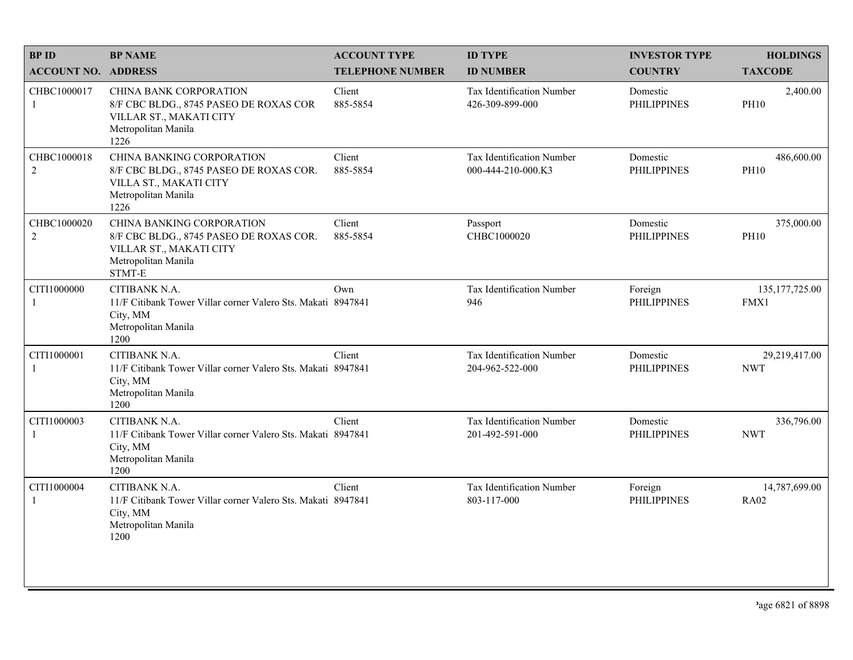| <b>BPID</b>                   | <b>BP NAME</b>                                                                                                                    | <b>ACCOUNT TYPE</b>     | <b>ID TYPE</b>                                  | <b>INVESTOR TYPE</b>           | <b>HOLDINGS</b>              |
|-------------------------------|-----------------------------------------------------------------------------------------------------------------------------------|-------------------------|-------------------------------------------------|--------------------------------|------------------------------|
| <b>ACCOUNT NO. ADDRESS</b>    |                                                                                                                                   | <b>TELEPHONE NUMBER</b> | <b>ID NUMBER</b>                                | <b>COUNTRY</b>                 | <b>TAXCODE</b>               |
| CHBC1000017<br>$\mathbf{1}$   | <b>CHINA BANK CORPORATION</b><br>8/F CBC BLDG., 8745 PASEO DE ROXAS COR<br>VILLAR ST., MAKATI CITY<br>Metropolitan Manila<br>1226 | Client<br>885-5854      | Tax Identification Number<br>426-309-899-000    | Domestic<br><b>PHILIPPINES</b> | 2,400.00<br><b>PH10</b>      |
| CHBC1000018<br>$\overline{2}$ | CHINA BANKING CORPORATION<br>8/F CBC BLDG., 8745 PASEO DE ROXAS COR.<br>VILLA ST., MAKATI CITY<br>Metropolitan Manila<br>1226     | Client<br>885-5854      | Tax Identification Number<br>000-444-210-000.K3 | Domestic<br><b>PHILIPPINES</b> | 486,600.00<br><b>PH10</b>    |
| CHBC1000020<br>$\overline{c}$ | CHINA BANKING CORPORATION<br>8/F CBC BLDG., 8745 PASEO DE ROXAS COR.<br>VILLAR ST., MAKATI CITY<br>Metropolitan Manila<br>STMT-E  | Client<br>885-5854      | Passport<br>CHBC1000020                         | Domestic<br><b>PHILIPPINES</b> | 375,000.00<br><b>PH10</b>    |
| CITI1000000<br>1              | CITIBANK N.A.<br>11/F Citibank Tower Villar corner Valero Sts. Makati 8947841<br>City, MM<br>Metropolitan Manila<br>1200          | Own                     | Tax Identification Number<br>946                | Foreign<br><b>PHILIPPINES</b>  | 135, 177, 725.00<br>FMX1     |
| CITI1000001<br>1              | CITIBANK N.A.<br>11/F Citibank Tower Villar corner Valero Sts. Makati 8947841<br>City, MM<br>Metropolitan Manila<br>1200          | Client                  | Tax Identification Number<br>204-962-522-000    | Domestic<br><b>PHILIPPINES</b> | 29,219,417.00<br><b>NWT</b>  |
| CITI1000003<br>$\mathbf{1}$   | CITIBANK N.A.<br>11/F Citibank Tower Villar corner Valero Sts. Makati 8947841<br>City, MM<br>Metropolitan Manila<br>1200          | Client                  | Tax Identification Number<br>201-492-591-000    | Domestic<br><b>PHILIPPINES</b> | 336,796.00<br><b>NWT</b>     |
| CITI1000004<br>1              | CITIBANK N.A.<br>11/F Citibank Tower Villar corner Valero Sts. Makati 8947841<br>City, MM<br>Metropolitan Manila<br>1200          | Client                  | Tax Identification Number<br>803-117-000        | Foreign<br><b>PHILIPPINES</b>  | 14,787,699.00<br><b>RA02</b> |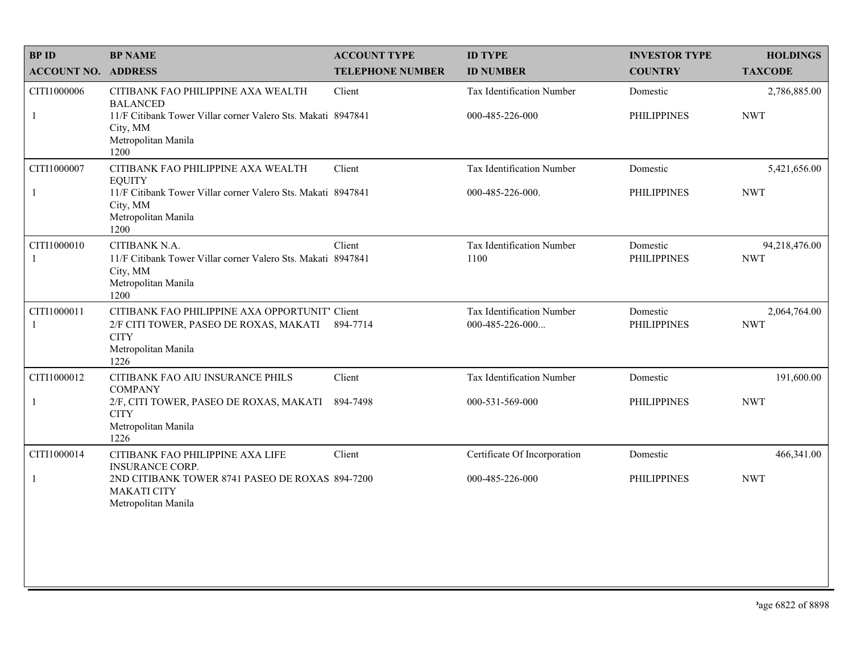| <b>BPID</b>                 | <b>BP NAME</b>                                                                                                                         | <b>ACCOUNT TYPE</b>     | <b>ID TYPE</b>                               | <b>INVESTOR TYPE</b>           | <b>HOLDINGS</b>             |
|-----------------------------|----------------------------------------------------------------------------------------------------------------------------------------|-------------------------|----------------------------------------------|--------------------------------|-----------------------------|
| <b>ACCOUNT NO. ADDRESS</b>  |                                                                                                                                        | <b>TELEPHONE NUMBER</b> | <b>ID NUMBER</b>                             | <b>COUNTRY</b>                 | <b>TAXCODE</b>              |
| CITI1000006                 | CITIBANK FAO PHILIPPINE AXA WEALTH<br><b>BALANCED</b>                                                                                  | Client                  | Tax Identification Number                    | Domestic                       | 2,786,885.00                |
| $\mathbf{1}$                | 11/F Citibank Tower Villar corner Valero Sts. Makati 8947841<br>City, MM<br>Metropolitan Manila<br>1200                                |                         | 000-485-226-000                              | <b>PHILIPPINES</b>             | <b>NWT</b>                  |
| CITI1000007                 | CITIBANK FAO PHILIPPINE AXA WEALTH<br><b>EQUITY</b>                                                                                    | Client                  | Tax Identification Number                    | Domestic                       | 5,421,656.00                |
| $\mathbf{1}$                | 11/F Citibank Tower Villar corner Valero Sts. Makati 8947841<br>City, MM<br>Metropolitan Manila<br>1200                                |                         | 000-485-226-000.                             | <b>PHILIPPINES</b>             | <b>NWT</b>                  |
| CITI1000010<br>-1           | CITIBANK N.A.<br>11/F Citibank Tower Villar corner Valero Sts. Makati 8947841<br>City, MM<br>Metropolitan Manila<br>1200               | Client                  | Tax Identification Number<br>1100            | Domestic<br><b>PHILIPPINES</b> | 94,218,476.00<br><b>NWT</b> |
| CITI1000011<br>$\mathbf{1}$ | CITIBANK FAO PHILIPPINE AXA OPPORTUNIT' Client<br>2/F CITI TOWER, PASEO DE ROXAS, MAKATI<br><b>CITY</b><br>Metropolitan Manila<br>1226 | 894-7714                | Tax Identification Number<br>000-485-226-000 | Domestic<br><b>PHILIPPINES</b> | 2,064,764.00<br><b>NWT</b>  |
| CITI1000012                 | CITIBANK FAO AIU INSURANCE PHILS<br><b>COMPANY</b>                                                                                     | Client                  | Tax Identification Number                    | Domestic                       | 191,600.00                  |
| $\mathbf{1}$                | 2/F, CITI TOWER, PASEO DE ROXAS, MAKATI<br><b>CITY</b><br>Metropolitan Manila<br>1226                                                  | 894-7498                | 000-531-569-000                              | <b>PHILIPPINES</b>             | <b>NWT</b>                  |
| CITI1000014                 | CITIBANK FAO PHILIPPINE AXA LIFE<br><b>INSURANCE CORP.</b>                                                                             | Client                  | Certificate Of Incorporation                 | Domestic                       | 466,341.00                  |
| $\mathbf{1}$                | 2ND CITIBANK TOWER 8741 PASEO DE ROXAS 894-7200<br><b>MAKATI CITY</b><br>Metropolitan Manila                                           |                         | 000-485-226-000                              | <b>PHILIPPINES</b>             | <b>NWT</b>                  |
|                             |                                                                                                                                        |                         |                                              |                                |                             |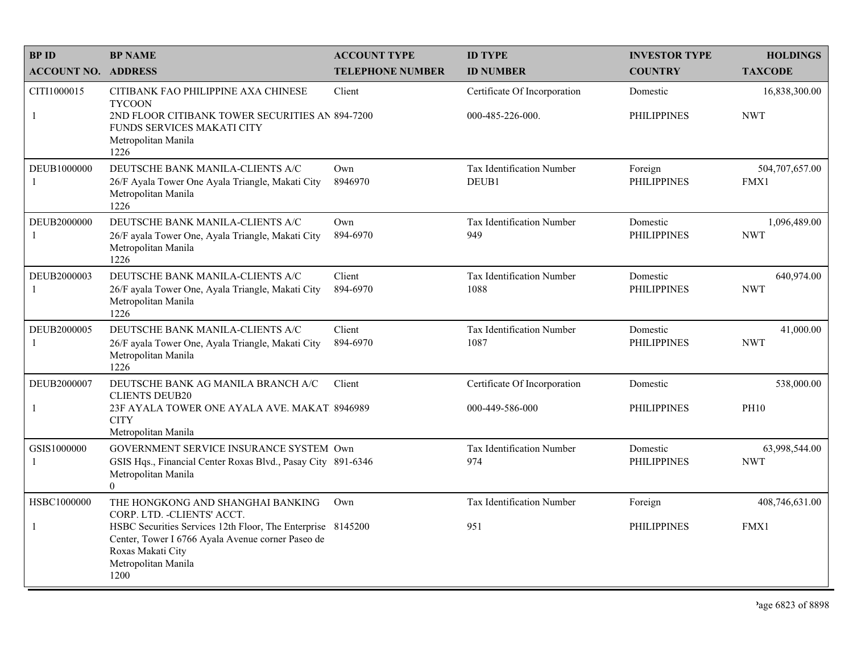| <b>BPID</b>                   | <b>BP NAME</b>                                                                                                                                                                                                                           | <b>ACCOUNT TYPE</b>     | <b>ID TYPE</b>                                   | <b>INVESTOR TYPE</b>           | <b>HOLDINGS</b>             |
|-------------------------------|------------------------------------------------------------------------------------------------------------------------------------------------------------------------------------------------------------------------------------------|-------------------------|--------------------------------------------------|--------------------------------|-----------------------------|
| <b>ACCOUNT NO. ADDRESS</b>    |                                                                                                                                                                                                                                          | <b>TELEPHONE NUMBER</b> | <b>ID NUMBER</b>                                 | <b>COUNTRY</b>                 | <b>TAXCODE</b>              |
| CITI1000015<br>$\mathbf{1}$   | CITIBANK FAO PHILIPPINE AXA CHINESE<br><b>TYCOON</b><br>2ND FLOOR CITIBANK TOWER SECURITIES AN 894-7200<br>FUNDS SERVICES MAKATI CITY<br>Metropolitan Manila<br>1226                                                                     | Client                  | Certificate Of Incorporation<br>000-485-226-000. | Domestic<br><b>PHILIPPINES</b> | 16,838,300.00<br><b>NWT</b> |
| DEUB1000000<br>-1             | DEUTSCHE BANK MANILA-CLIENTS A/C<br>26/F Ayala Tower One Ayala Triangle, Makati City<br>Metropolitan Manila<br>1226                                                                                                                      | Own<br>8946970          | Tax Identification Number<br>DEUB1               | Foreign<br><b>PHILIPPINES</b>  | 504,707,657.00<br>FMX1      |
| DEUB2000000<br>-1             | DEUTSCHE BANK MANILA-CLIENTS A/C<br>26/F ayala Tower One, Ayala Triangle, Makati City<br>Metropolitan Manila<br>1226                                                                                                                     | Own<br>894-6970         | Tax Identification Number<br>949                 | Domestic<br><b>PHILIPPINES</b> | 1,096,489.00<br><b>NWT</b>  |
| DEUB2000003<br>$\overline{1}$ | DEUTSCHE BANK MANILA-CLIENTS A/C<br>26/F ayala Tower One, Ayala Triangle, Makati City<br>Metropolitan Manila<br>1226                                                                                                                     | Client<br>894-6970      | Tax Identification Number<br>1088                | Domestic<br><b>PHILIPPINES</b> | 640,974.00<br><b>NWT</b>    |
| DEUB2000005<br>-1             | DEUTSCHE BANK MANILA-CLIENTS A/C<br>26/F ayala Tower One, Ayala Triangle, Makati City<br>Metropolitan Manila<br>1226                                                                                                                     | Client<br>894-6970      | <b>Tax Identification Number</b><br>1087         | Domestic<br><b>PHILIPPINES</b> | 41,000.00<br><b>NWT</b>     |
| DEUB2000007<br>$\mathbf{1}$   | DEUTSCHE BANK AG MANILA BRANCH A/C<br><b>CLIENTS DEUB20</b><br>23F AYALA TOWER ONE AYALA AVE. MAKAT 8946989<br><b>CITY</b><br>Metropolitan Manila                                                                                        | Client                  | Certificate Of Incorporation<br>000-449-586-000  | Domestic<br>PHILIPPINES        | 538,000.00<br><b>PH10</b>   |
| GSIS1000000<br>-1             | GOVERNMENT SERVICE INSURANCE SYSTEM Own<br>GSIS Hqs., Financial Center Roxas Blvd., Pasay City 891-6346<br>Metropolitan Manila<br>$\Omega$                                                                                               |                         | <b>Tax Identification Number</b><br>974          | Domestic<br><b>PHILIPPINES</b> | 63,998,544.00<br><b>NWT</b> |
| HSBC1000000<br>$\mathbf{1}$   | THE HONGKONG AND SHANGHAI BANKING<br>CORP. LTD. - CLIENTS' ACCT.<br>HSBC Securities Services 12th Floor, The Enterprise 8145200<br>Center, Tower I 6766 Ayala Avenue corner Paseo de<br>Roxas Makati City<br>Metropolitan Manila<br>1200 | Own                     | Tax Identification Number<br>951                 | Foreign<br><b>PHILIPPINES</b>  | 408,746,631.00<br>FMX1      |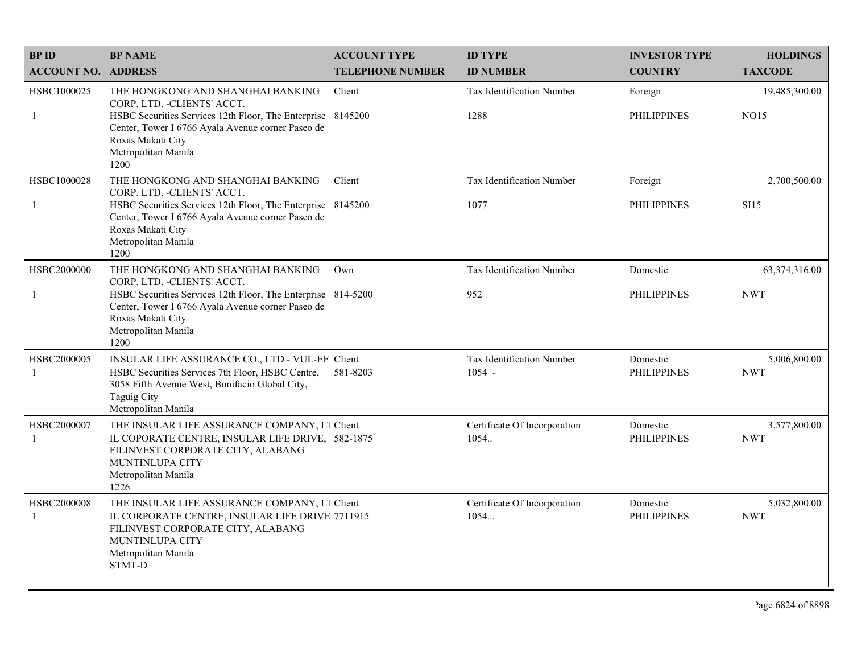| <b>BPID</b>                 | <b>BP NAME</b>                                                                                                                                                                                                                            | <b>ACCOUNT TYPE</b>     | <b>ID TYPE</b>                               | <b>INVESTOR TYPE</b>           | <b>HOLDINGS</b>              |
|-----------------------------|-------------------------------------------------------------------------------------------------------------------------------------------------------------------------------------------------------------------------------------------|-------------------------|----------------------------------------------|--------------------------------|------------------------------|
| <b>ACCOUNT NO. ADDRESS</b>  |                                                                                                                                                                                                                                           | <b>TELEPHONE NUMBER</b> | <b>ID NUMBER</b>                             | <b>COUNTRY</b>                 | <b>TAXCODE</b>               |
| HSBC1000025<br>-1           | THE HONGKONG AND SHANGHAI BANKING<br>CORP. LTD. - CLIENTS' ACCT.<br>HSBC Securities Services 12th Floor, The Enterprise 8145200<br>Center, Tower I 6766 Ayala Avenue corner Paseo de<br>Roxas Makati City<br>Metropolitan Manila<br>1200  | Client                  | <b>Tax Identification Number</b><br>1288     | Foreign<br><b>PHILIPPINES</b>  | 19,485,300.00<br><b>NO15</b> |
| HSBC1000028<br>-1           | THE HONGKONG AND SHANGHAI BANKING<br>CORP. LTD. - CLIENTS' ACCT.<br>HSBC Securities Services 12th Floor, The Enterprise 8145200<br>Center, Tower I 6766 Ayala Avenue corner Paseo de<br>Roxas Makati City<br>Metropolitan Manila<br>1200  | Client                  | Tax Identification Number<br>1077            | Foreign<br><b>PHILIPPINES</b>  | 2,700,500.00<br><b>SI15</b>  |
| HSBC2000000<br>-1           | THE HONGKONG AND SHANGHAI BANKING<br>CORP. LTD. - CLIENTS' ACCT.<br>HSBC Securities Services 12th Floor, The Enterprise 814-5200<br>Center, Tower I 6766 Ayala Avenue corner Paseo de<br>Roxas Makati City<br>Metropolitan Manila<br>1200 | Own                     | Tax Identification Number<br>952             | Domestic<br><b>PHILIPPINES</b> | 63,374,316.00<br><b>NWT</b>  |
| HSBC2000005<br>$\mathbf{1}$ | INSULAR LIFE ASSURANCE CO., LTD - VUL-EF Client<br>HSBC Securities Services 7th Floor, HSBC Centre,<br>3058 Fifth Avenue West, Bonifacio Global City,<br><b>Taguig City</b><br>Metropolitan Manila                                        | 581-8203                | <b>Tax Identification Number</b><br>$1054 -$ | Domestic<br><b>PHILIPPINES</b> | 5,006,800.00<br><b>NWT</b>   |
| HSBC2000007<br>-1           | THE INSULAR LIFE ASSURANCE COMPANY, L1 Client<br>IL COPORATE CENTRE, INSULAR LIFE DRIVE, 582-1875<br>FILINVEST CORPORATE CITY, ALABANG<br>MUNTINLUPA CITY<br>Metropolitan Manila<br>1226                                                  |                         | Certificate Of Incorporation<br>1054.        | Domestic<br><b>PHILIPPINES</b> | 3,577,800.00<br><b>NWT</b>   |
| HSBC2000008<br>-1           | THE INSULAR LIFE ASSURANCE COMPANY, L1 Client<br>IL CORPORATE CENTRE, INSULAR LIFE DRIVE 7711915<br>FILINVEST CORPORATE CITY, ALABANG<br>MUNTINLUPA CITY<br>Metropolitan Manila<br><b>STMT-D</b>                                          |                         | Certificate Of Incorporation<br>1054         | Domestic<br><b>PHILIPPINES</b> | 5,032,800.00<br><b>NWT</b>   |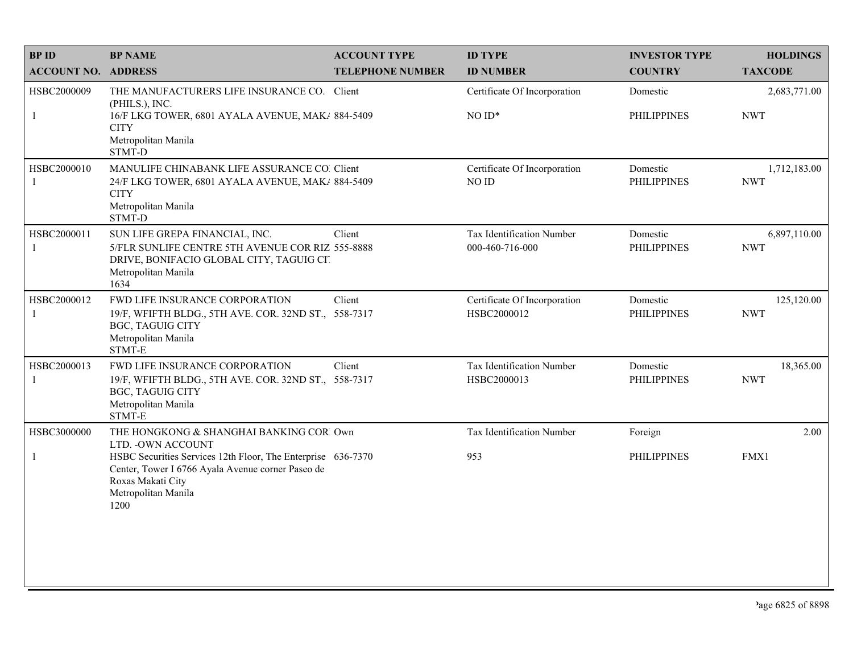| <b>BPID</b>                 | <b>BP NAME</b>                                                                                                                                                        | <b>ACCOUNT TYPE</b>     | <b>ID TYPE</b>                               | <b>INVESTOR TYPE</b>           | <b>HOLDINGS</b>            |
|-----------------------------|-----------------------------------------------------------------------------------------------------------------------------------------------------------------------|-------------------------|----------------------------------------------|--------------------------------|----------------------------|
| <b>ACCOUNT NO. ADDRESS</b>  |                                                                                                                                                                       | <b>TELEPHONE NUMBER</b> | <b>ID NUMBER</b>                             | <b>COUNTRY</b>                 | <b>TAXCODE</b>             |
| HSBC2000009                 | THE MANUFACTURERS LIFE INSURANCE CO. Client<br>(PHILS.), INC.                                                                                                         |                         | Certificate Of Incorporation                 | Domestic                       | 2,683,771.00               |
| $\mathbf{1}$                | 16/F LKG TOWER, 6801 AYALA AVENUE, MAK/ 884-5409<br><b>CITY</b><br>Metropolitan Manila<br>STMT-D                                                                      |                         | $NOID*$                                      | <b>PHILIPPINES</b>             | <b>NWT</b>                 |
| HSBC2000010<br>$\mathbf{1}$ | MANULIFE CHINABANK LIFE ASSURANCE CO. Client<br>24/F LKG TOWER, 6801 AYALA AVENUE, MAK/ 884-5409<br><b>CITY</b><br>Metropolitan Manila<br>STMT-D                      |                         | Certificate Of Incorporation<br>NO ID        | Domestic<br><b>PHILIPPINES</b> | 1,712,183.00<br><b>NWT</b> |
| HSBC2000011<br>$\mathbf{1}$ | SUN LIFE GREPA FINANCIAL, INC.<br>5/FLR SUNLIFE CENTRE 5TH AVENUE COR RIZ 555-8888<br>DRIVE, BONIFACIO GLOBAL CITY, TAGUIG CIT<br>Metropolitan Manila<br>1634         | Client                  | Tax Identification Number<br>000-460-716-000 | Domestic<br><b>PHILIPPINES</b> | 6,897,110.00<br><b>NWT</b> |
| HSBC2000012<br>$\mathbf{1}$ | FWD LIFE INSURANCE CORPORATION<br>19/F, WFIFTH BLDG., 5TH AVE. COR. 32ND ST., 558-7317<br><b>BGC, TAGUIG CITY</b><br>Metropolitan Manila<br>STMT-E                    | Client                  | Certificate Of Incorporation<br>HSBC2000012  | Domestic<br><b>PHILIPPINES</b> | 125,120.00<br><b>NWT</b>   |
| HSBC2000013<br>-1           | FWD LIFE INSURANCE CORPORATION<br>19/F, WFIFTH BLDG., 5TH AVE. COR. 32ND ST., 558-7317<br><b>BGC, TAGUIG CITY</b><br>Metropolitan Manila<br>STMT-E                    | Client                  | Tax Identification Number<br>HSBC2000013     | Domestic<br><b>PHILIPPINES</b> | 18,365.00<br><b>NWT</b>    |
| HSBC3000000                 | THE HONGKONG & SHANGHAI BANKING COR Own<br>LTD. - OWN ACCOUNT                                                                                                         |                         | Tax Identification Number                    | Foreign                        | 2.00                       |
| $\mathbf{1}$                | HSBC Securities Services 12th Floor, The Enterprise 636-7370<br>Center, Tower I 6766 Ayala Avenue corner Paseo de<br>Roxas Makati City<br>Metropolitan Manila<br>1200 |                         | 953                                          | <b>PHILIPPINES</b>             | FMX1                       |
|                             |                                                                                                                                                                       |                         |                                              |                                |                            |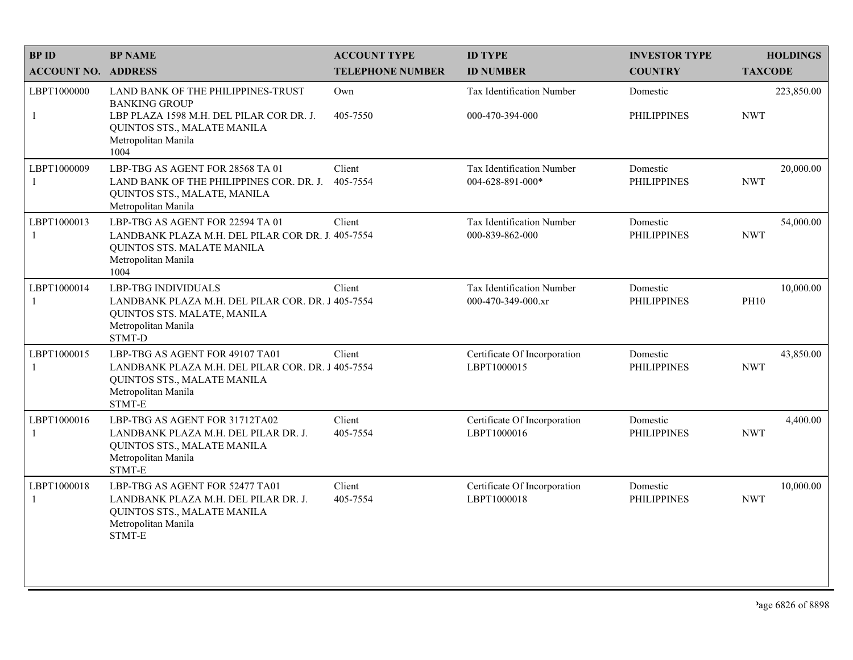| <b>BPID</b>                 | <b>BP NAME</b>                                                                                                                                                       | <b>ACCOUNT TYPE</b>     | <b>ID TYPE</b>                                  | <b>INVESTOR TYPE</b>           | <b>HOLDINGS</b>          |
|-----------------------------|----------------------------------------------------------------------------------------------------------------------------------------------------------------------|-------------------------|-------------------------------------------------|--------------------------------|--------------------------|
| <b>ACCOUNT NO. ADDRESS</b>  |                                                                                                                                                                      | <b>TELEPHONE NUMBER</b> | <b>ID NUMBER</b>                                | <b>COUNTRY</b>                 | <b>TAXCODE</b>           |
| LBPT1000000<br>$\mathbf{1}$ | LAND BANK OF THE PHILIPPINES-TRUST<br><b>BANKING GROUP</b><br>LBP PLAZA 1598 M.H. DEL PILAR COR DR. J.<br>QUINTOS STS., MALATE MANILA<br>Metropolitan Manila<br>1004 | Own<br>405-7550         | Tax Identification Number<br>000-470-394-000    | Domestic<br><b>PHILIPPINES</b> | 223,850.00<br><b>NWT</b> |
| LBPT1000009<br>-1           | LBP-TBG AS AGENT FOR 28568 TA 01<br>LAND BANK OF THE PHILIPPINES COR. DR. J.<br>QUINTOS STS., MALATE, MANILA<br>Metropolitan Manila                                  | Client<br>405-7554      | Tax Identification Number<br>004-628-891-000*   | Domestic<br><b>PHILIPPINES</b> | 20,000.00<br><b>NWT</b>  |
| LBPT1000013<br>$\mathbf{1}$ | LBP-TBG AS AGENT FOR 22594 TA 01<br>LANDBANK PLAZA M.H. DEL PILAR COR DR. J. 405-7554<br>QUINTOS STS. MALATE MANILA<br>Metropolitan Manila<br>1004                   | Client                  | Tax Identification Number<br>000-839-862-000    | Domestic<br><b>PHILIPPINES</b> | 54,000.00<br><b>NWT</b>  |
| LBPT1000014<br>-1           | <b>LBP-TBG INDIVIDUALS</b><br>LANDBANK PLAZA M.H. DEL PILAR COR. DR. J 405-7554<br>QUINTOS STS. MALATE, MANILA<br>Metropolitan Manila<br>STMT-D                      | Client                  | Tax Identification Number<br>000-470-349-000.xr | Domestic<br><b>PHILIPPINES</b> | 10,000.00<br><b>PH10</b> |
| LBPT1000015<br>$\mathbf{1}$ | LBP-TBG AS AGENT FOR 49107 TA01<br>LANDBANK PLAZA M.H. DEL PILAR COR. DR. J 405-7554<br>QUINTOS STS., MALATE MANILA<br>Metropolitan Manila<br>STMT-E                 | Client                  | Certificate Of Incorporation<br>LBPT1000015     | Domestic<br><b>PHILIPPINES</b> | 43,850.00<br><b>NWT</b>  |
| LBPT1000016<br>$\mathbf{1}$ | LBP-TBG AS AGENT FOR 31712TA02<br>LANDBANK PLAZA M.H. DEL PILAR DR. J.<br>QUINTOS STS., MALATE MANILA<br>Metropolitan Manila<br>STMT-E                               | Client<br>405-7554      | Certificate Of Incorporation<br>LBPT1000016     | Domestic<br><b>PHILIPPINES</b> | 4,400.00<br><b>NWT</b>   |
| LBPT1000018<br>-1           | LBP-TBG AS AGENT FOR 52477 TA01<br>LANDBANK PLAZA M.H. DEL PILAR DR. J.<br>QUINTOS STS., MALATE MANILA<br>Metropolitan Manila<br>STMT-E                              | Client<br>405-7554      | Certificate Of Incorporation<br>LBPT1000018     | Domestic<br><b>PHILIPPINES</b> | 10,000.00<br><b>NWT</b>  |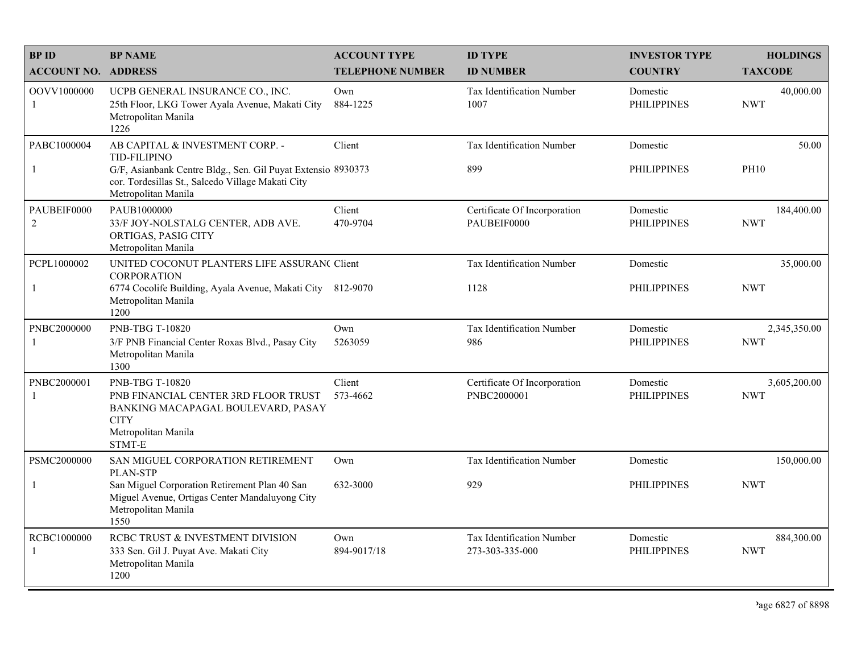| <b>BPID</b>                 | <b>BP NAME</b>                                                                                                                                                                                     | <b>ACCOUNT TYPE</b>     | <b>ID TYPE</b>                               | <b>INVESTOR TYPE</b>           | <b>HOLDINGS</b>            |
|-----------------------------|----------------------------------------------------------------------------------------------------------------------------------------------------------------------------------------------------|-------------------------|----------------------------------------------|--------------------------------|----------------------------|
| <b>ACCOUNT NO. ADDRESS</b>  |                                                                                                                                                                                                    | <b>TELEPHONE NUMBER</b> | <b>ID NUMBER</b>                             | <b>COUNTRY</b>                 | <b>TAXCODE</b>             |
| OOVV1000000<br>-1           | UCPB GENERAL INSURANCE CO., INC.<br>25th Floor, LKG Tower Ayala Avenue, Makati City<br>Metropolitan Manila<br>1226                                                                                 | Own<br>884-1225         | Tax Identification Number<br>1007            | Domestic<br><b>PHILIPPINES</b> | 40,000.00<br><b>NWT</b>    |
| PABC1000004<br>$\mathbf{1}$ | AB CAPITAL & INVESTMENT CORP. -<br><b>TID-FILIPINO</b><br>G/F, Asianbank Centre Bldg., Sen. Gil Puyat Extensio 8930373<br>cor. Tordesillas St., Salcedo Village Makati City<br>Metropolitan Manila | Client                  | Tax Identification Number<br>899             | Domestic<br><b>PHILIPPINES</b> | 50.00<br><b>PH10</b>       |
| PAUBEIF0000<br>2            | PAUB1000000<br>33/F JOY-NOLSTALG CENTER, ADB AVE.<br>ORTIGAS, PASIG CITY<br>Metropolitan Manila                                                                                                    | Client<br>470-9704      | Certificate Of Incorporation<br>PAUBEIF0000  | Domestic<br><b>PHILIPPINES</b> | 184,400.00<br><b>NWT</b>   |
| PCPL1000002<br>$\mathbf{1}$ | UNITED COCONUT PLANTERS LIFE ASSURAN( Client<br><b>CORPORATION</b><br>6774 Cocolife Building, Ayala Avenue, Makati City 812-9070<br>Metropolitan Manila<br>1200                                    |                         | Tax Identification Number<br>1128            | Domestic<br><b>PHILIPPINES</b> | 35,000.00<br><b>NWT</b>    |
| PNBC2000000<br>-1           | <b>PNB-TBG T-10820</b><br>3/F PNB Financial Center Roxas Blvd., Pasay City<br>Metropolitan Manila<br>1300                                                                                          | Own<br>5263059          | Tax Identification Number<br>986             | Domestic<br><b>PHILIPPINES</b> | 2,345,350.00<br><b>NWT</b> |
| PNBC2000001<br>-1           | <b>PNB-TBG T-10820</b><br>PNB FINANCIAL CENTER 3RD FLOOR TRUST<br>BANKING MACAPAGAL BOULEVARD, PASAY<br><b>CITY</b><br>Metropolitan Manila<br>STMT-E                                               | Client<br>573-4662      | Certificate Of Incorporation<br>PNBC2000001  | Domestic<br><b>PHILIPPINES</b> | 3,605,200.00<br><b>NWT</b> |
| PSMC2000000                 | SAN MIGUEL CORPORATION RETIREMENT<br>PLAN-STP                                                                                                                                                      | Own                     | Tax Identification Number                    | Domestic                       | 150,000.00                 |
| $\mathbf{1}$                | San Miguel Corporation Retirement Plan 40 San<br>Miguel Avenue, Ortigas Center Mandaluyong City<br>Metropolitan Manila<br>1550                                                                     | 632-3000                | 929                                          | <b>PHILIPPINES</b>             | <b>NWT</b>                 |
| RCBC1000000<br>-1           | RCBC TRUST & INVESTMENT DIVISION<br>333 Sen. Gil J. Puyat Ave. Makati City<br>Metropolitan Manila<br>1200                                                                                          | Own<br>894-9017/18      | Tax Identification Number<br>273-303-335-000 | Domestic<br><b>PHILIPPINES</b> | 884,300.00<br><b>NWT</b>   |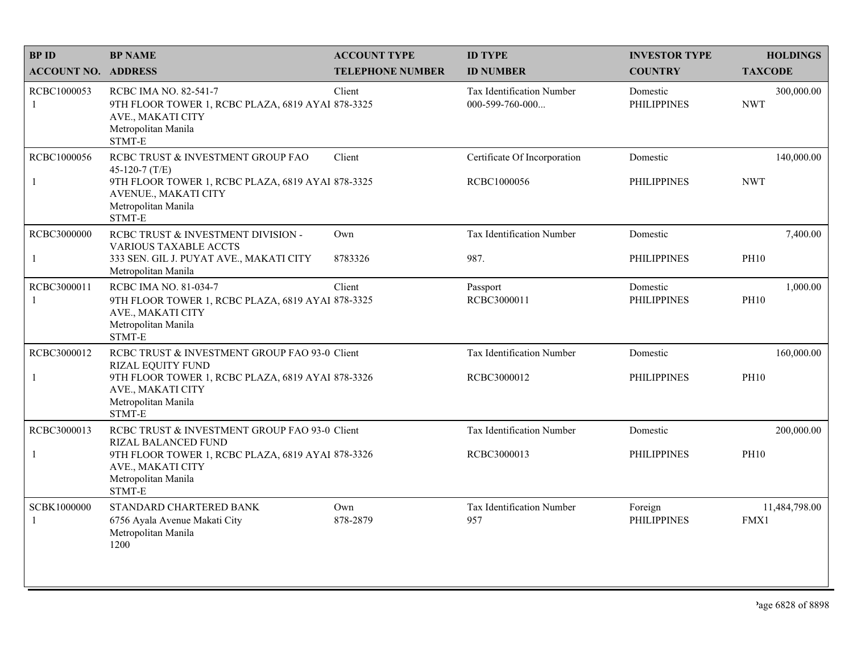| <b>BPID</b>                 | <b>BP NAME</b>                                                                                                                                                                         | <b>ACCOUNT TYPE</b>     | <b>ID TYPE</b>                                      | <b>INVESTOR TYPE</b>           | <b>HOLDINGS</b>           |
|-----------------------------|----------------------------------------------------------------------------------------------------------------------------------------------------------------------------------------|-------------------------|-----------------------------------------------------|--------------------------------|---------------------------|
| <b>ACCOUNT NO. ADDRESS</b>  |                                                                                                                                                                                        | <b>TELEPHONE NUMBER</b> | <b>ID NUMBER</b>                                    | <b>COUNTRY</b>                 | <b>TAXCODE</b>            |
| RCBC1000053<br>-1           | RCBC IMA NO. 82-541-7<br>9TH FLOOR TOWER 1, RCBC PLAZA, 6819 AYAI 878-3325<br>AVE., MAKATI CITY<br>Metropolitan Manila<br>STMT-E                                                       | Client                  | <b>Tax Identification Number</b><br>000-599-760-000 | Domestic<br><b>PHILIPPINES</b> | 300,000.00<br><b>NWT</b>  |
| RCBC1000056<br>$\mathbf{1}$ | RCBC TRUST & INVESTMENT GROUP FAO<br>45-120-7 $(T/E)$<br>9TH FLOOR TOWER 1, RCBC PLAZA, 6819 AYAI 878-3325<br>AVENUE., MAKATI CITY<br>Metropolitan Manila<br>STMT-E                    | Client                  | Certificate Of Incorporation<br>RCBC1000056         | Domestic<br><b>PHILIPPINES</b> | 140,000.00<br><b>NWT</b>  |
| RCBC3000000<br>$\mathbf{1}$ | RCBC TRUST & INVESTMENT DIVISION -<br><b>VARIOUS TAXABLE ACCTS</b><br>333 SEN. GIL J. PUYAT AVE., MAKATI CITY<br>Metropolitan Manila                                                   | Own<br>8783326          | Tax Identification Number<br>987.                   | Domestic<br><b>PHILIPPINES</b> | 7,400.00<br><b>PH10</b>   |
| RCBC3000011<br>-1           | RCBC IMA NO. 81-034-7<br>9TH FLOOR TOWER 1, RCBC PLAZA, 6819 AYAl 878-3325<br>AVE., MAKATI CITY<br>Metropolitan Manila<br>STMT-E                                                       | Client                  | Passport<br>RCBC3000011                             | Domestic<br><b>PHILIPPINES</b> | 1,000.00<br><b>PH10</b>   |
| RCBC3000012<br>$\mathbf{1}$ | RCBC TRUST & INVESTMENT GROUP FAO 93-0 Client<br><b>RIZAL EQUITY FUND</b><br>9TH FLOOR TOWER 1, RCBC PLAZA, 6819 AYAI 878-3326<br>AVE., MAKATI CITY<br>Metropolitan Manila<br>STMT-E   |                         | Tax Identification Number<br>RCBC3000012            | Domestic<br><b>PHILIPPINES</b> | 160,000.00<br><b>PH10</b> |
| RCBC3000013<br>$\mathbf{1}$ | RCBC TRUST & INVESTMENT GROUP FAO 93-0 Client<br><b>RIZAL BALANCED FUND</b><br>9TH FLOOR TOWER 1, RCBC PLAZA, 6819 AYAI 878-3326<br>AVE., MAKATI CITY<br>Metropolitan Manila<br>STMT-E |                         | <b>Tax Identification Number</b><br>RCBC3000013     | Domestic<br><b>PHILIPPINES</b> | 200,000.00<br><b>PH10</b> |
| SCBK1000000<br>-1           | STANDARD CHARTERED BANK<br>6756 Ayala Avenue Makati City<br>Metropolitan Manila<br>1200                                                                                                | Own<br>878-2879         | Tax Identification Number<br>957                    | Foreign<br><b>PHILIPPINES</b>  | 11,484,798.00<br>FMX1     |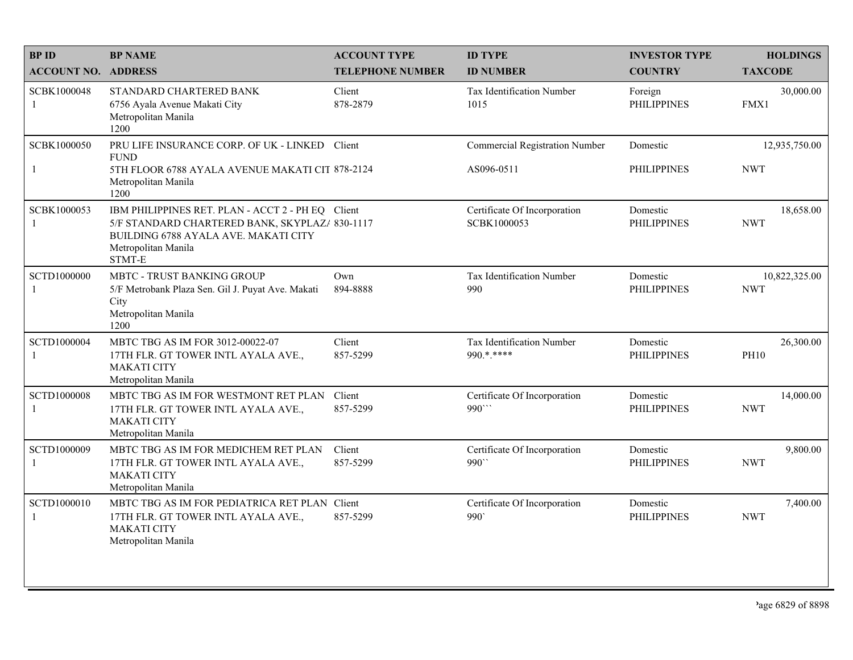| <b>BPID</b>                 | <b>BP NAME</b>                                                                                                                                                               | <b>ACCOUNT TYPE</b>     | <b>ID TYPE</b>                              | <b>INVESTOR TYPE</b>           | <b>HOLDINGS</b>             |
|-----------------------------|------------------------------------------------------------------------------------------------------------------------------------------------------------------------------|-------------------------|---------------------------------------------|--------------------------------|-----------------------------|
| <b>ACCOUNT NO. ADDRESS</b>  |                                                                                                                                                                              | <b>TELEPHONE NUMBER</b> | <b>ID NUMBER</b>                            | <b>COUNTRY</b>                 | <b>TAXCODE</b>              |
| SCBK1000048<br>-1           | STANDARD CHARTERED BANK<br>6756 Ayala Avenue Makati City<br>Metropolitan Manila<br>1200                                                                                      | Client<br>878-2879      | <b>Tax Identification Number</b><br>1015    | Foreign<br><b>PHILIPPINES</b>  | 30,000.00<br>FMX1           |
| SCBK1000050                 | PRU LIFE INSURANCE CORP. OF UK - LINKED Client<br><b>FUND</b>                                                                                                                |                         | <b>Commercial Registration Number</b>       | Domestic                       | 12,935,750.00               |
| -1                          | 5TH FLOOR 6788 AYALA AVENUE MAKATI CIT 878-2124<br>Metropolitan Manila<br>1200                                                                                               |                         | AS096-0511                                  | <b>PHILIPPINES</b>             | <b>NWT</b>                  |
| SCBK1000053<br>-1           | IBM PHILIPPINES RET. PLAN - ACCT 2 - PH EQ Client<br>5/F STANDARD CHARTERED BANK, SKYPLAZ/ 830-1117<br>BUILDING 6788 AYALA AVE. MAKATI CITY<br>Metropolitan Manila<br>STMT-E |                         | Certificate Of Incorporation<br>SCBK1000053 | Domestic<br><b>PHILIPPINES</b> | 18,658.00<br><b>NWT</b>     |
| SCTD1000000<br>-1           | MBTC - TRUST BANKING GROUP<br>5/F Metrobank Plaza Sen. Gil J. Puyat Ave. Makati<br>City<br>Metropolitan Manila<br>1200                                                       | Own<br>894-8888         | Tax Identification Number<br>990            | Domestic<br><b>PHILIPPINES</b> | 10,822,325.00<br><b>NWT</b> |
| SCTD1000004<br>-1           | MBTC TBG AS IM FOR 3012-00022-07<br>17TH FLR. GT TOWER INTL AYALA AVE.,<br><b>MAKATI CITY</b><br>Metropolitan Manila                                                         | Client<br>857-5299      | Tax Identification Number<br>990.*.****     | Domestic<br><b>PHILIPPINES</b> | 26,300.00<br><b>PH10</b>    |
| SCTD1000008<br>-1           | MBTC TBG AS IM FOR WESTMONT RET PLAN<br>17TH FLR. GT TOWER INTL AYALA AVE.,<br><b>MAKATI CITY</b><br>Metropolitan Manila                                                     | Client<br>857-5299      | Certificate Of Incorporation<br>990"        | Domestic<br><b>PHILIPPINES</b> | 14,000.00<br><b>NWT</b>     |
| SCTD1000009<br>-1           | MBTC TBG AS IM FOR MEDICHEM RET PLAN<br>17TH FLR. GT TOWER INTL AYALA AVE.,<br><b>MAKATI CITY</b><br>Metropolitan Manila                                                     | Client<br>857-5299      | Certificate Of Incorporation<br>990``       | Domestic<br><b>PHILIPPINES</b> | 9,800.00<br><b>NWT</b>      |
| SCTD1000010<br>$\mathbf{1}$ | MBTC TBG AS IM FOR PEDIATRICA RET PLAN Client<br>17TH FLR. GT TOWER INTL AYALA AVE.,<br><b>MAKATI CITY</b><br>Metropolitan Manila                                            | 857-5299                | Certificate Of Incorporation<br>990'        | Domestic<br><b>PHILIPPINES</b> | 7,400.00<br><b>NWT</b>      |
|                             |                                                                                                                                                                              |                         |                                             |                                |                             |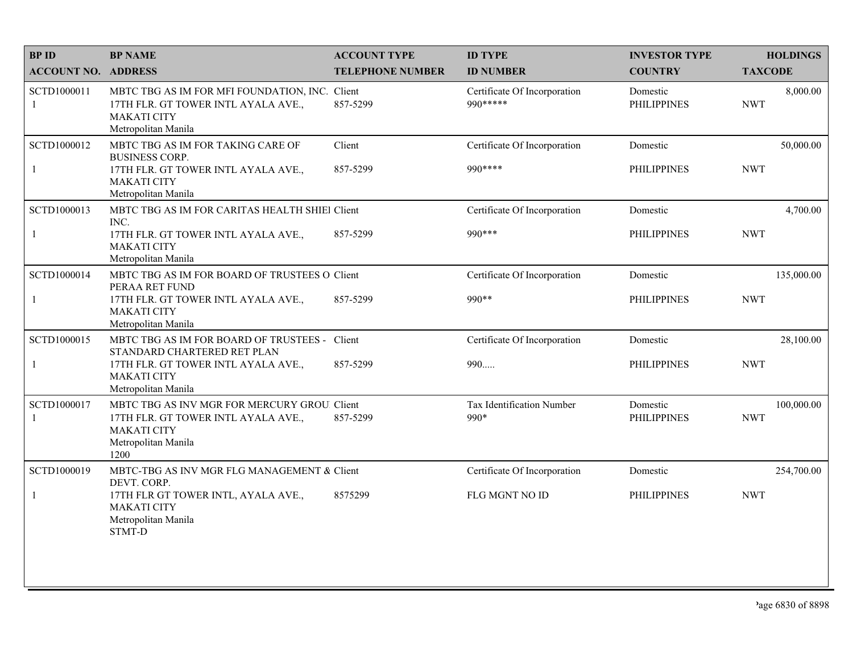| <b>BPID</b>                 | <b>BP NAME</b>                                                                                                                                 | <b>ACCOUNT TYPE</b>     | <b>ID TYPE</b>                            | <b>INVESTOR TYPE</b>           | <b>HOLDINGS</b>          |
|-----------------------------|------------------------------------------------------------------------------------------------------------------------------------------------|-------------------------|-------------------------------------------|--------------------------------|--------------------------|
| <b>ACCOUNT NO. ADDRESS</b>  |                                                                                                                                                | <b>TELEPHONE NUMBER</b> | <b>ID NUMBER</b>                          | <b>COUNTRY</b>                 | <b>TAXCODE</b>           |
| SCTD1000011<br>$\mathbf{1}$ | MBTC TBG AS IM FOR MFI FOUNDATION, INC. Client<br>17TH FLR. GT TOWER INTL AYALA AVE.,<br><b>MAKATI CITY</b><br>Metropolitan Manila             | 857-5299                | Certificate Of Incorporation<br>990 ***** | Domestic<br><b>PHILIPPINES</b> | 8,000.00<br><b>NWT</b>   |
| SCTD1000012<br>$\mathbf{1}$ | MBTC TBG AS IM FOR TAKING CARE OF<br><b>BUSINESS CORP.</b><br>17TH FLR. GT TOWER INTL AYALA AVE.,<br><b>MAKATI CITY</b><br>Metropolitan Manila | Client<br>857-5299      | Certificate Of Incorporation<br>990 ****  | Domestic<br><b>PHILIPPINES</b> | 50,000.00<br><b>NWT</b>  |
| SCTD1000013                 | MBTC TBG AS IM FOR CARITAS HEALTH SHIEl Client                                                                                                 |                         | Certificate Of Incorporation              | Domestic                       | 4,700.00                 |
| $\mathbf{1}$                | INC.<br>17TH FLR. GT TOWER INTL AYALA AVE.,<br><b>MAKATI CITY</b><br>Metropolitan Manila                                                       | 857-5299                | 990 ***                                   | <b>PHILIPPINES</b>             | <b>NWT</b>               |
| SCTD1000014                 | MBTC TBG AS IM FOR BOARD OF TRUSTEES O Client<br>PERAA RET FUND                                                                                |                         | Certificate Of Incorporation              | Domestic                       | 135,000.00               |
| $\mathbf{1}$                | 17TH FLR. GT TOWER INTL AYALA AVE.,<br><b>MAKATI CITY</b><br>Metropolitan Manila                                                               | 857-5299                | 990**                                     | <b>PHILIPPINES</b>             | <b>NWT</b>               |
| SCTD1000015                 | MBTC TBG AS IM FOR BOARD OF TRUSTEES - Client<br>STANDARD CHARTERED RET PLAN                                                                   |                         | Certificate Of Incorporation              | Domestic                       | 28,100.00                |
| 1                           | 17TH FLR. GT TOWER INTL AYALA AVE.,<br><b>MAKATI CITY</b><br>Metropolitan Manila                                                               | 857-5299                | 990                                       | <b>PHILIPPINES</b>             | <b>NWT</b>               |
| SCTD1000017<br>1            | MBTC TBG AS INV MGR FOR MERCURY GROU. Client<br>17TH FLR. GT TOWER INTL AYALA AVE.,<br><b>MAKATI CITY</b><br>Metropolitan Manila<br>1200       | 857-5299                | Tax Identification Number<br>990*         | Domestic<br><b>PHILIPPINES</b> | 100,000.00<br><b>NWT</b> |
| SCTD1000019                 | MBTC-TBG AS INV MGR FLG MANAGEMENT & Client<br>DEVT. CORP.                                                                                     |                         | Certificate Of Incorporation              | Domestic                       | 254,700.00               |
|                             | 17TH FLR GT TOWER INTL, AYALA AVE.,<br><b>MAKATI CITY</b><br>Metropolitan Manila<br>STMT-D                                                     | 8575299                 | FLG MGNT NO ID                            | <b>PHILIPPINES</b>             | <b>NWT</b>               |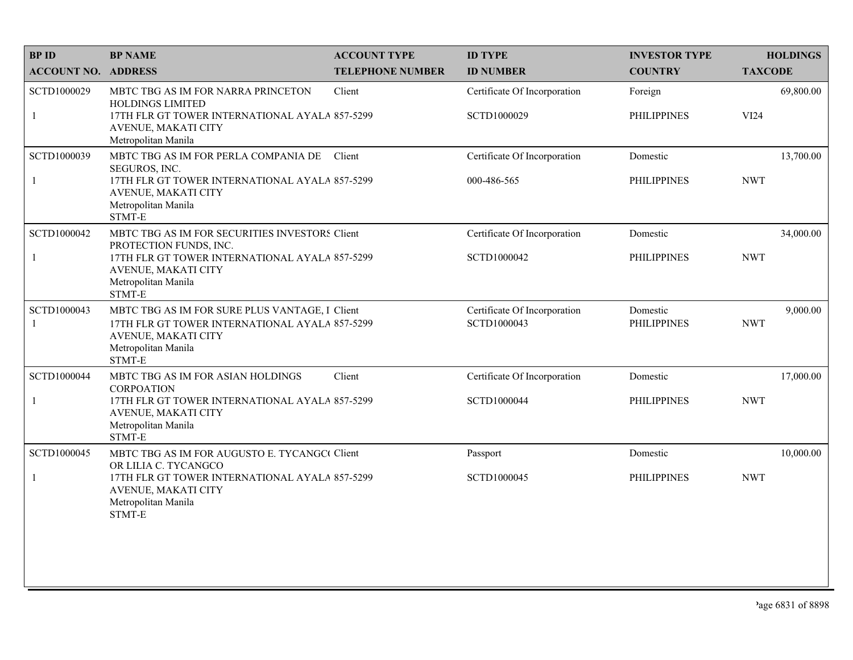| <b>BPID</b>                 | <b>BP NAME</b>                                                                                                                                                                     | <b>ACCOUNT TYPE</b>     | <b>ID TYPE</b>                              | <b>INVESTOR TYPE</b>           | <b>HOLDINGS</b>         |
|-----------------------------|------------------------------------------------------------------------------------------------------------------------------------------------------------------------------------|-------------------------|---------------------------------------------|--------------------------------|-------------------------|
| <b>ACCOUNT NO. ADDRESS</b>  |                                                                                                                                                                                    | <b>TELEPHONE NUMBER</b> | <b>ID NUMBER</b>                            | <b>COUNTRY</b>                 | <b>TAXCODE</b>          |
| SCTD1000029<br>$\mathbf{1}$ | MBTC TBG AS IM FOR NARRA PRINCETON<br>HOLDINGS LIMITED<br>17TH FLR GT TOWER INTERNATIONAL AYALA 857-5299<br>AVENUE, MAKATI CITY<br>Metropolitan Manila                             | Client                  | Certificate Of Incorporation<br>SCTD1000029 | Foreign<br><b>PHILIPPINES</b>  | 69,800.00<br>VI24       |
| SCTD1000039<br>$\mathbf{1}$ | MBTC TBG AS IM FOR PERLA COMPANIA DE<br>SEGUROS, INC.<br>17TH FLR GT TOWER INTERNATIONAL AYALA 857-5299<br>AVENUE, MAKATI CITY<br>Metropolitan Manila<br>STMT-E                    | Client                  | Certificate Of Incorporation<br>000-486-565 | Domestic<br><b>PHILIPPINES</b> | 13,700.00<br><b>NWT</b> |
| SCTD1000042<br>$\mathbf{1}$ | MBTC TBG AS IM FOR SECURITIES INVESTORS Client<br>PROTECTION FUNDS, INC.<br>17TH FLR GT TOWER INTERNATIONAL AYALA 857-5299<br>AVENUE, MAKATI CITY<br>Metropolitan Manila<br>STMT-E |                         | Certificate Of Incorporation<br>SCTD1000042 | Domestic<br><b>PHILIPPINES</b> | 34,000.00<br><b>NWT</b> |
| SCTD1000043<br>-1           | MBTC TBG AS IM FOR SURE PLUS VANTAGE, I Client<br>17TH FLR GT TOWER INTERNATIONAL AYALA 857-5299<br>AVENUE, MAKATI CITY<br>Metropolitan Manila<br>STMT-E                           |                         | Certificate Of Incorporation<br>SCTD1000043 | Domestic<br><b>PHILIPPINES</b> | 9,000.00<br><b>NWT</b>  |
| SCTD1000044<br>$\mathbf{1}$ | MBTC TBG AS IM FOR ASIAN HOLDINGS<br><b>CORPOATION</b><br>17TH FLR GT TOWER INTERNATIONAL AYALA 857-5299<br>AVENUE, MAKATI CITY<br>Metropolitan Manila<br>STMT-E                   | Client                  | Certificate Of Incorporation<br>SCTD1000044 | Domestic<br><b>PHILIPPINES</b> | 17,000.00<br><b>NWT</b> |
| SCTD1000045<br>-1           | MBTC TBG AS IM FOR AUGUSTO E. TYCANGC Client<br>OR LILIA C. TYCANGCO<br>17TH FLR GT TOWER INTERNATIONAL AYALA 857-5299<br>AVENUE, MAKATI CITY<br>Metropolitan Manila<br>STMT-E     |                         | Passport<br>SCTD1000045                     | Domestic<br><b>PHILIPPINES</b> | 10,000.00<br><b>NWT</b> |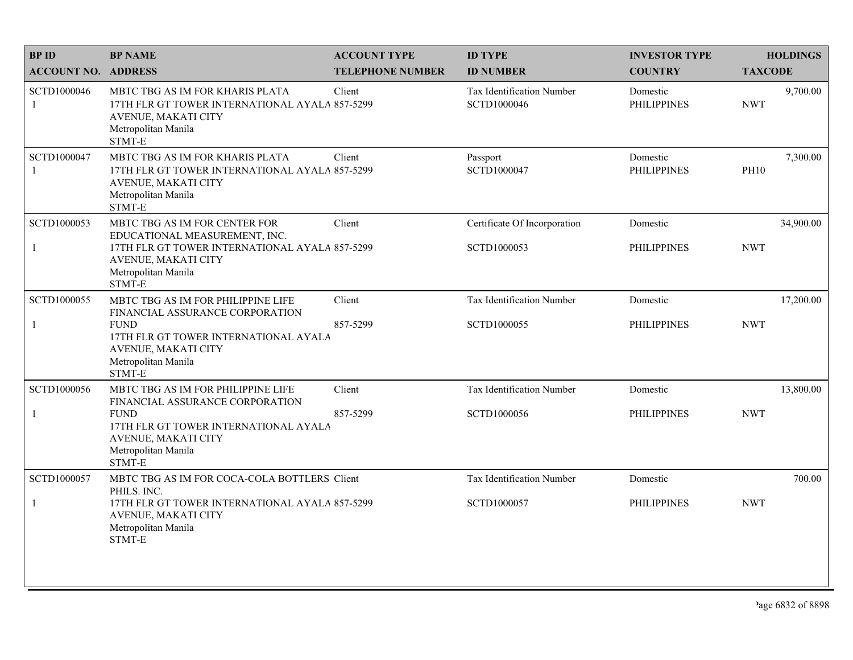| <b>BPID</b>                 | <b>BP NAME</b>                                                                                                                            | <b>ACCOUNT TYPE</b>     | <b>ID TYPE</b>                                  | <b>INVESTOR TYPE</b>           | <b>HOLDINGS</b>         |
|-----------------------------|-------------------------------------------------------------------------------------------------------------------------------------------|-------------------------|-------------------------------------------------|--------------------------------|-------------------------|
| <b>ACCOUNT NO. ADDRESS</b>  |                                                                                                                                           | <b>TELEPHONE NUMBER</b> | <b>ID NUMBER</b>                                | <b>COUNTRY</b>                 | <b>TAXCODE</b>          |
| SCTD1000046<br>-1           | MBTC TBG AS IM FOR KHARIS PLATA<br>17TH FLR GT TOWER INTERNATIONAL AYALA 857-5299<br>AVENUE, MAKATI CITY<br>Metropolitan Manila<br>STMT-E | Client                  | <b>Tax Identification Number</b><br>SCTD1000046 | Domestic<br><b>PHILIPPINES</b> | 9,700.00<br><b>NWT</b>  |
| SCTD1000047<br>$\mathbf{1}$ | MBTC TBG AS IM FOR KHARIS PLATA<br>17TH FLR GT TOWER INTERNATIONAL AYALA 857-5299<br>AVENUE, MAKATI CITY<br>Metropolitan Manila<br>STMT-E | Client                  | Passport<br>SCTD1000047                         | Domestic<br><b>PHILIPPINES</b> | 7,300.00<br><b>PH10</b> |
| SCTD1000053                 | MBTC TBG AS IM FOR CENTER FOR<br>EDUCATIONAL MEASUREMENT, INC.                                                                            | Client                  | Certificate Of Incorporation                    | Domestic                       | 34,900.00               |
| $\mathbf{1}$                | 17TH FLR GT TOWER INTERNATIONAL AYALA 857-5299<br>AVENUE, MAKATI CITY<br>Metropolitan Manila<br>STMT-E                                    |                         | SCTD1000053                                     | <b>PHILIPPINES</b>             | <b>NWT</b>              |
| SCTD1000055                 | MBTC TBG AS IM FOR PHILIPPINE LIFE<br>FINANCIAL ASSURANCE CORPORATION                                                                     | Client                  | Tax Identification Number                       | Domestic                       | 17,200.00               |
| $\mathbf{1}$                | <b>FUND</b><br>17TH FLR GT TOWER INTERNATIONAL AYALA<br>AVENUE, MAKATI CITY<br>Metropolitan Manila<br>STMT-E                              | 857-5299                | SCTD1000055                                     | <b>PHILIPPINES</b>             | <b>NWT</b>              |
| SCTD1000056                 | MBTC TBG AS IM FOR PHILIPPINE LIFE<br>FINANCIAL ASSURANCE CORPORATION                                                                     | Client                  | Tax Identification Number                       | Domestic                       | 13,800.00               |
| $\mathbf{1}$                | <b>FUND</b><br>17TH FLR GT TOWER INTERNATIONAL AYALA<br>AVENUE, MAKATI CITY<br>Metropolitan Manila<br>STMT-E                              | 857-5299                | SCTD1000056                                     | <b>PHILIPPINES</b>             | <b>NWT</b>              |
| SCTD1000057                 | MBTC TBG AS IM FOR COCA-COLA BOTTLERS Client<br>PHILS. INC.                                                                               |                         | Tax Identification Number                       | Domestic                       | 700.00                  |
| $\mathbf{1}$                | 17TH FLR GT TOWER INTERNATIONAL AYALA 857-5299<br>AVENUE, MAKATI CITY<br>Metropolitan Manila<br>STMT-E                                    |                         | SCTD1000057                                     | <b>PHILIPPINES</b>             | <b>NWT</b>              |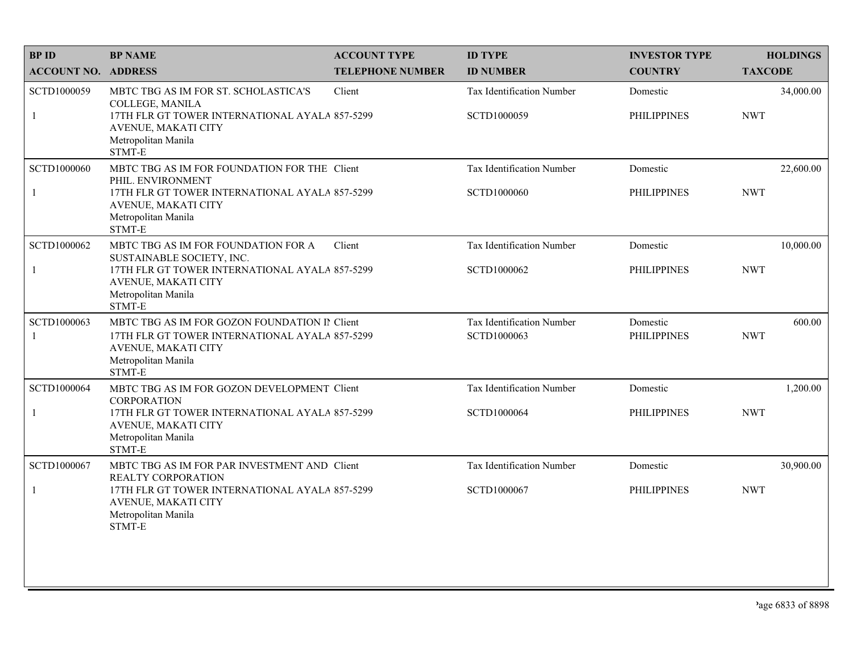| <b>BPID</b>                 | <b>BP NAME</b>                                                                                                                                                              | <b>ACCOUNT TYPE</b>     | <b>ID TYPE</b>                           | <b>INVESTOR TYPE</b>           | <b>HOLDINGS</b>         |
|-----------------------------|-----------------------------------------------------------------------------------------------------------------------------------------------------------------------------|-------------------------|------------------------------------------|--------------------------------|-------------------------|
| <b>ACCOUNT NO. ADDRESS</b>  |                                                                                                                                                                             | <b>TELEPHONE NUMBER</b> | <b>ID NUMBER</b>                         | <b>COUNTRY</b>                 | <b>TAXCODE</b>          |
| SCTD1000059<br>$\mathbf{1}$ | MBTC TBG AS IM FOR ST. SCHOLASTICA'S<br>COLLEGE, MANILA<br>17TH FLR GT TOWER INTERNATIONAL AYALA 857-5299<br>AVENUE, MAKATI CITY<br>Metropolitan Manila<br>STMT-E           | Client                  | Tax Identification Number<br>SCTD1000059 | Domestic<br><b>PHILIPPINES</b> | 34,000.00<br><b>NWT</b> |
| SCTD1000060<br>$\mathbf{1}$ | MBTC TBG AS IM FOR FOUNDATION FOR THE Client<br>PHIL. ENVIRONMENT<br>17TH FLR GT TOWER INTERNATIONAL AYALA 857-5299<br>AVENUE, MAKATI CITY<br>Metropolitan Manila<br>STMT-E |                         | Tax Identification Number<br>SCTD1000060 | Domestic<br><b>PHILIPPINES</b> | 22,600.00<br><b>NWT</b> |
| SCTD1000062<br>$\mathbf{1}$ | MBTC TBG AS IM FOR FOUNDATION FOR A<br>SUSTAINABLE SOCIETY, INC.<br>17TH FLR GT TOWER INTERNATIONAL AYALA 857-5299<br>AVENUE, MAKATI CITY<br>Metropolitan Manila<br>STMT-E  | Client                  | Tax Identification Number<br>SCTD1000062 | Domestic<br><b>PHILIPPINES</b> | 10,000.00<br><b>NWT</b> |
| SCTD1000063<br>-1           | MBTC TBG AS IM FOR GOZON FOUNDATION II Client<br>17TH FLR GT TOWER INTERNATIONAL AYALA 857-5299<br>AVENUE, MAKATI CITY<br>Metropolitan Manila<br>STMT-E                     |                         | Tax Identification Number<br>SCTD1000063 | Domestic<br><b>PHILIPPINES</b> | 600.00<br><b>NWT</b>    |
| SCTD1000064                 | MBTC TBG AS IM FOR GOZON DEVELOPMENT Client                                                                                                                                 |                         | Tax Identification Number                | Domestic                       | 1,200.00                |
| $\mathbf{1}$                | <b>CORPORATION</b><br>17TH FLR GT TOWER INTERNATIONAL AYALA 857-5299<br>AVENUE, MAKATI CITY<br>Metropolitan Manila<br>STMT-E                                                |                         | SCTD1000064                              | <b>PHILIPPINES</b>             | <b>NWT</b>              |
| SCTD1000067                 | MBTC TBG AS IM FOR PAR INVESTMENT AND Client<br>REALTY CORPORATION                                                                                                          |                         | Tax Identification Number                | Domestic                       | 30,900.00               |
| $\mathbf{1}$                | 17TH FLR GT TOWER INTERNATIONAL AYALA 857-5299<br>AVENUE, MAKATI CITY<br>Metropolitan Manila<br>STMT-E                                                                      |                         | SCTD1000067                              | <b>PHILIPPINES</b>             | <b>NWT</b>              |
|                             |                                                                                                                                                                             |                         |                                          |                                |                         |